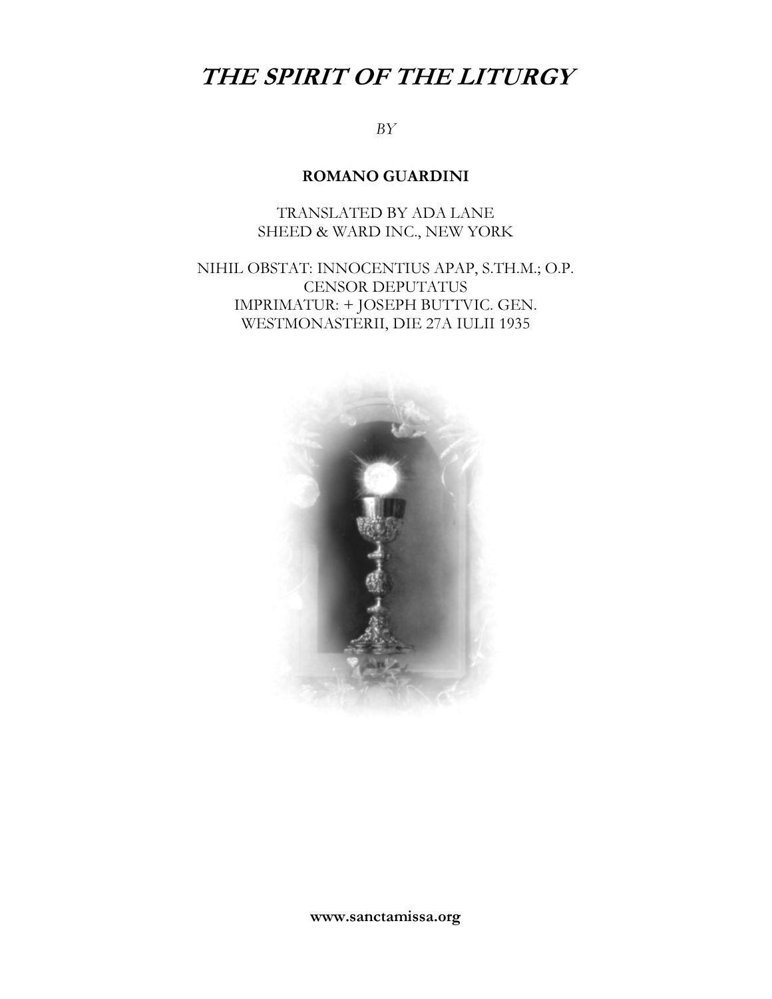# THE SPIRIT OF THE LITURGY

BY

#### ROMANO GUARDINI

TRANSLATED BY ADA LANE SHEED & WARD INC., NEW YORK

NIHIL OBSTAT: INNOCENTIUS APAP, S.TH.M.; O.P. CENSOR DEPUTATUS IMPRIMATUR: + JOSEPH BUTTVIC. GEN. WESTMONASTERII, DIE 27A IULII 1935



www.sanctamissa.org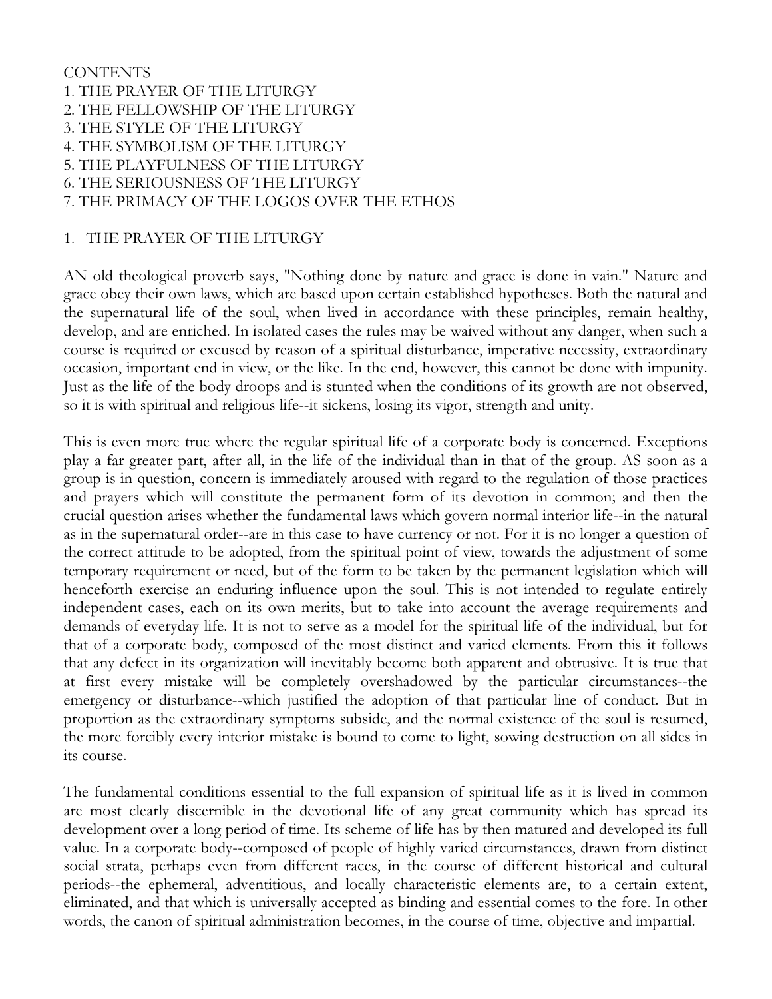**CONTENTS** 1. THE PRAYER OF THE LITURGY 2. THE FELLOWSHIP OF THE LITURGY 3. THE STYLE OF THE LITURGY 4. THE SYMBOLISM OF THE LITURGY 5. THE PLAYFULNESS OF THE LITURGY 6. THE SERIOUSNESS OF THE LITURGY 7. THE PRIMACY OF THE LOGOS OVER THE ETHOS

## 1. THE PRAYER OF THE LITURGY

AN old theological proverb says, "Nothing done by nature and grace is done in vain." Nature and grace obey their own laws, which are based upon certain established hypotheses. Both the natural and the supernatural life of the soul, when lived in accordance with these principles, remain healthy, develop, and are enriched. In isolated cases the rules may be waived without any danger, when such a course is required or excused by reason of a spiritual disturbance, imperative necessity, extraordinary occasion, important end in view, or the like. In the end, however, this cannot be done with impunity. Just as the life of the body droops and is stunted when the conditions of its growth are not observed, so it is with spiritual and religious life--it sickens, losing its vigor, strength and unity.

This is even more true where the regular spiritual life of a corporate body is concerned. Exceptions play a far greater part, after all, in the life of the individual than in that of the group. AS soon as a group is in question, concern is immediately aroused with regard to the regulation of those practices and prayers which will constitute the permanent form of its devotion in common; and then the crucial question arises whether the fundamental laws which govern normal interior life--in the natural as in the supernatural order--are in this case to have currency or not. For it is no longer a question of the correct attitude to be adopted, from the spiritual point of view, towards the adjustment of some temporary requirement or need, but of the form to be taken by the permanent legislation which will henceforth exercise an enduring influence upon the soul. This is not intended to regulate entirely independent cases, each on its own merits, but to take into account the average requirements and demands of everyday life. It is not to serve as a model for the spiritual life of the individual, but for that of a corporate body, composed of the most distinct and varied elements. From this it follows that any defect in its organization will inevitably become both apparent and obtrusive. It is true that at first every mistake will be completely overshadowed by the particular circumstances--the emergency or disturbance--which justified the adoption of that particular line of conduct. But in proportion as the extraordinary symptoms subside, and the normal existence of the soul is resumed, the more forcibly every interior mistake is bound to come to light, sowing destruction on all sides in its course.

The fundamental conditions essential to the full expansion of spiritual life as it is lived in common are most clearly discernible in the devotional life of any great community which has spread its development over a long period of time. Its scheme of life has by then matured and developed its full value. In a corporate body--composed of people of highly varied circumstances, drawn from distinct social strata, perhaps even from different races, in the course of different historical and cultural periods--the ephemeral, adventitious, and locally characteristic elements are, to a certain extent, eliminated, and that which is universally accepted as binding and essential comes to the fore. In other words, the canon of spiritual administration becomes, in the course of time, objective and impartial.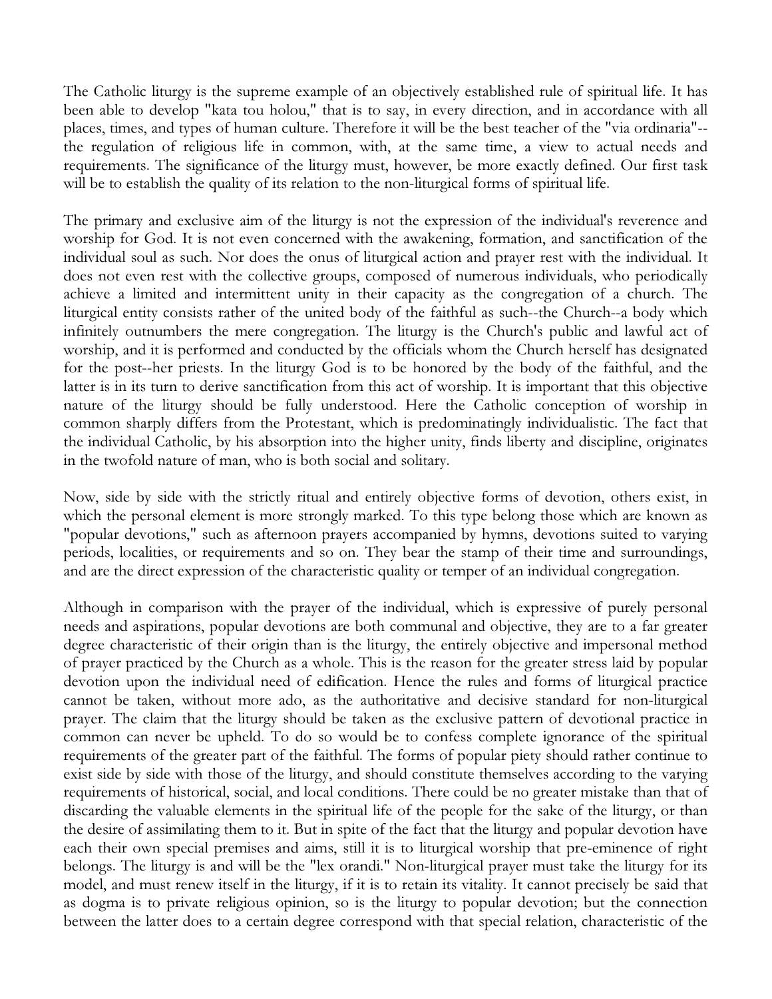The Catholic liturgy is the supreme example of an objectively established rule of spiritual life. It has been able to develop "kata tou holou," that is to say, in every direction, and in accordance with all places, times, and types of human culture. Therefore it will be the best teacher of the "via ordinaria"- the regulation of religious life in common, with, at the same time, a view to actual needs and requirements. The significance of the liturgy must, however, be more exactly defined. Our first task will be to establish the quality of its relation to the non-liturgical forms of spiritual life.

The primary and exclusive aim of the liturgy is not the expression of the individual's reverence and worship for God. It is not even concerned with the awakening, formation, and sanctification of the individual soul as such. Nor does the onus of liturgical action and prayer rest with the individual. It does not even rest with the collective groups, composed of numerous individuals, who periodically achieve a limited and intermittent unity in their capacity as the congregation of a church. The liturgical entity consists rather of the united body of the faithful as such--the Church--a body which infinitely outnumbers the mere congregation. The liturgy is the Church's public and lawful act of worship, and it is performed and conducted by the officials whom the Church herself has designated for the post--her priests. In the liturgy God is to be honored by the body of the faithful, and the latter is in its turn to derive sanctification from this act of worship. It is important that this objective nature of the liturgy should be fully understood. Here the Catholic conception of worship in common sharply differs from the Protestant, which is predominatingly individualistic. The fact that the individual Catholic, by his absorption into the higher unity, finds liberty and discipline, originates in the twofold nature of man, who is both social and solitary.

Now, side by side with the strictly ritual and entirely objective forms of devotion, others exist, in which the personal element is more strongly marked. To this type belong those which are known as "popular devotions," such as afternoon prayers accompanied by hymns, devotions suited to varying periods, localities, or requirements and so on. They bear the stamp of their time and surroundings, and are the direct expression of the characteristic quality or temper of an individual congregation.

Although in comparison with the prayer of the individual, which is expressive of purely personal needs and aspirations, popular devotions are both communal and objective, they are to a far greater degree characteristic of their origin than is the liturgy, the entirely objective and impersonal method of prayer practiced by the Church as a whole. This is the reason for the greater stress laid by popular devotion upon the individual need of edification. Hence the rules and forms of liturgical practice cannot be taken, without more ado, as the authoritative and decisive standard for non-liturgical prayer. The claim that the liturgy should be taken as the exclusive pattern of devotional practice in common can never be upheld. To do so would be to confess complete ignorance of the spiritual requirements of the greater part of the faithful. The forms of popular piety should rather continue to exist side by side with those of the liturgy, and should constitute themselves according to the varying requirements of historical, social, and local conditions. There could be no greater mistake than that of discarding the valuable elements in the spiritual life of the people for the sake of the liturgy, or than the desire of assimilating them to it. But in spite of the fact that the liturgy and popular devotion have each their own special premises and aims, still it is to liturgical worship that pre-eminence of right belongs. The liturgy is and will be the "lex orandi." Non-liturgical prayer must take the liturgy for its model, and must renew itself in the liturgy, if it is to retain its vitality. It cannot precisely be said that as dogma is to private religious opinion, so is the liturgy to popular devotion; but the connection between the latter does to a certain degree correspond with that special relation, characteristic of the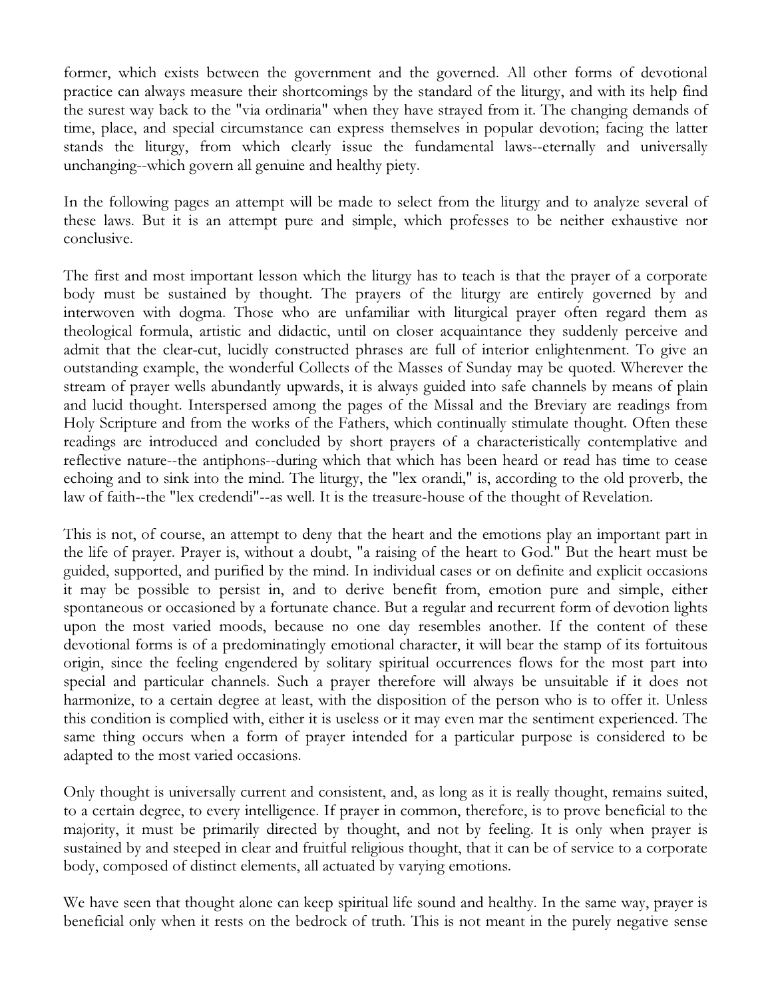former, which exists between the government and the governed. All other forms of devotional practice can always measure their shortcomings by the standard of the liturgy, and with its help find the surest way back to the "via ordinaria" when they have strayed from it. The changing demands of time, place, and special circumstance can express themselves in popular devotion; facing the latter stands the liturgy, from which clearly issue the fundamental laws--eternally and universally unchanging--which govern all genuine and healthy piety.

In the following pages an attempt will be made to select from the liturgy and to analyze several of these laws. But it is an attempt pure and simple, which professes to be neither exhaustive nor conclusive.

The first and most important lesson which the liturgy has to teach is that the prayer of a corporate body must be sustained by thought. The prayers of the liturgy are entirely governed by and interwoven with dogma. Those who are unfamiliar with liturgical prayer often regard them as theological formula, artistic and didactic, until on closer acquaintance they suddenly perceive and admit that the clear-cut, lucidly constructed phrases are full of interior enlightenment. To give an outstanding example, the wonderful Collects of the Masses of Sunday may be quoted. Wherever the stream of prayer wells abundantly upwards, it is always guided into safe channels by means of plain and lucid thought. Interspersed among the pages of the Missal and the Breviary are readings from Holy Scripture and from the works of the Fathers, which continually stimulate thought. Often these readings are introduced and concluded by short prayers of a characteristically contemplative and reflective nature--the antiphons--during which that which has been heard or read has time to cease echoing and to sink into the mind. The liturgy, the "lex orandi," is, according to the old proverb, the law of faith--the "lex credendi"--as well. It is the treasure-house of the thought of Revelation.

This is not, of course, an attempt to deny that the heart and the emotions play an important part in the life of prayer. Prayer is, without a doubt, "a raising of the heart to God." But the heart must be guided, supported, and purified by the mind. In individual cases or on definite and explicit occasions it may be possible to persist in, and to derive benefit from, emotion pure and simple, either spontaneous or occasioned by a fortunate chance. But a regular and recurrent form of devotion lights upon the most varied moods, because no one day resembles another. If the content of these devotional forms is of a predominatingly emotional character, it will bear the stamp of its fortuitous origin, since the feeling engendered by solitary spiritual occurrences flows for the most part into special and particular channels. Such a prayer therefore will always be unsuitable if it does not harmonize, to a certain degree at least, with the disposition of the person who is to offer it. Unless this condition is complied with, either it is useless or it may even mar the sentiment experienced. The same thing occurs when a form of prayer intended for a particular purpose is considered to be adapted to the most varied occasions.

Only thought is universally current and consistent, and, as long as it is really thought, remains suited, to a certain degree, to every intelligence. If prayer in common, therefore, is to prove beneficial to the majority, it must be primarily directed by thought, and not by feeling. It is only when prayer is sustained by and steeped in clear and fruitful religious thought, that it can be of service to a corporate body, composed of distinct elements, all actuated by varying emotions.

We have seen that thought alone can keep spiritual life sound and healthy. In the same way, prayer is beneficial only when it rests on the bedrock of truth. This is not meant in the purely negative sense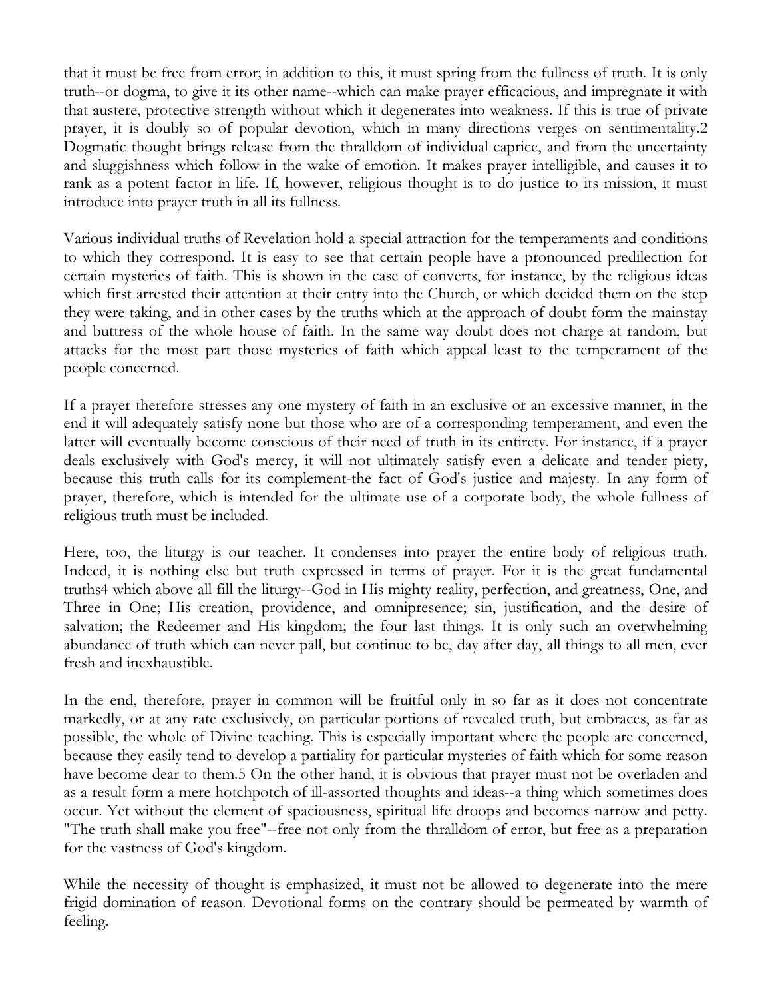that it must be free from error; in addition to this, it must spring from the fullness of truth. It is only truth--or dogma, to give it its other name--which can make prayer efficacious, and impregnate it with that austere, protective strength without which it degenerates into weakness. If this is true of private prayer, it is doubly so of popular devotion, which in many directions verges on sentimentality.2 Dogmatic thought brings release from the thralldom of individual caprice, and from the uncertainty and sluggishness which follow in the wake of emotion. It makes prayer intelligible, and causes it to rank as a potent factor in life. If, however, religious thought is to do justice to its mission, it must introduce into prayer truth in all its fullness.

Various individual truths of Revelation hold a special attraction for the temperaments and conditions to which they correspond. It is easy to see that certain people have a pronounced predilection for certain mysteries of faith. This is shown in the case of converts, for instance, by the religious ideas which first arrested their attention at their entry into the Church, or which decided them on the step they were taking, and in other cases by the truths which at the approach of doubt form the mainstay and buttress of the whole house of faith. In the same way doubt does not charge at random, but attacks for the most part those mysteries of faith which appeal least to the temperament of the people concerned.

If a prayer therefore stresses any one mystery of faith in an exclusive or an excessive manner, in the end it will adequately satisfy none but those who are of a corresponding temperament, and even the latter will eventually become conscious of their need of truth in its entirety. For instance, if a prayer deals exclusively with God's mercy, it will not ultimately satisfy even a delicate and tender piety, because this truth calls for its complement-the fact of God's justice and majesty. In any form of prayer, therefore, which is intended for the ultimate use of a corporate body, the whole fullness of religious truth must be included.

Here, too, the liturgy is our teacher. It condenses into prayer the entire body of religious truth. Indeed, it is nothing else but truth expressed in terms of prayer. For it is the great fundamental truths4 which above all fill the liturgy--God in His mighty reality, perfection, and greatness, One, and Three in One; His creation, providence, and omnipresence; sin, justification, and the desire of salvation; the Redeemer and His kingdom; the four last things. It is only such an overwhelming abundance of truth which can never pall, but continue to be, day after day, all things to all men, ever fresh and inexhaustible.

In the end, therefore, prayer in common will be fruitful only in so far as it does not concentrate markedly, or at any rate exclusively, on particular portions of revealed truth, but embraces, as far as possible, the whole of Divine teaching. This is especially important where the people are concerned, because they easily tend to develop a partiality for particular mysteries of faith which for some reason have become dear to them.5 On the other hand, it is obvious that prayer must not be overladen and as a result form a mere hotchpotch of ill-assorted thoughts and ideas--a thing which sometimes does occur. Yet without the element of spaciousness, spiritual life droops and becomes narrow and petty. "The truth shall make you free"--free not only from the thralldom of error, but free as a preparation for the vastness of God's kingdom.

While the necessity of thought is emphasized, it must not be allowed to degenerate into the mere frigid domination of reason. Devotional forms on the contrary should be permeated by warmth of feeling.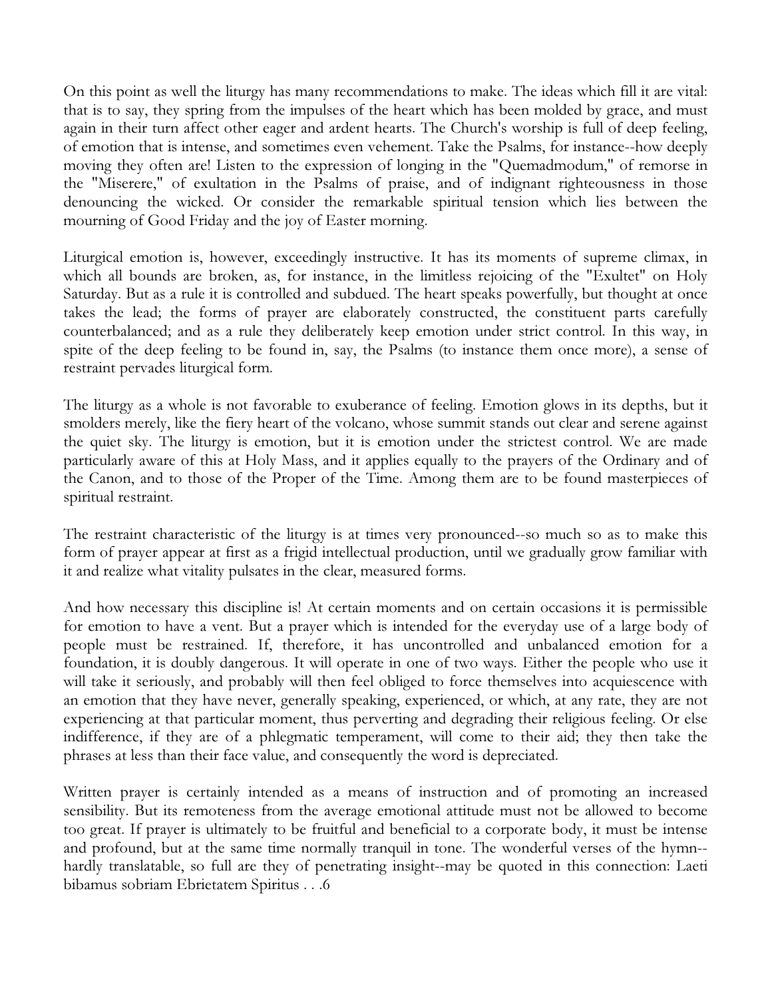On this point as well the liturgy has many recommendations to make. The ideas which fill it are vital: that is to say, they spring from the impulses of the heart which has been molded by grace, and must again in their turn affect other eager and ardent hearts. The Church's worship is full of deep feeling, of emotion that is intense, and sometimes even vehement. Take the Psalms, for instance--how deeply moving they often are! Listen to the expression of longing in the "Quemadmodum," of remorse in the "Miserere," of exultation in the Psalms of praise, and of indignant righteousness in those denouncing the wicked. Or consider the remarkable spiritual tension which lies between the mourning of Good Friday and the joy of Easter morning.

Liturgical emotion is, however, exceedingly instructive. It has its moments of supreme climax, in which all bounds are broken, as, for instance, in the limitless rejoicing of the "Exultet" on Holy Saturday. But as a rule it is controlled and subdued. The heart speaks powerfully, but thought at once takes the lead; the forms of prayer are elaborately constructed, the constituent parts carefully counterbalanced; and as a rule they deliberately keep emotion under strict control. In this way, in spite of the deep feeling to be found in, say, the Psalms (to instance them once more), a sense of restraint pervades liturgical form.

The liturgy as a whole is not favorable to exuberance of feeling. Emotion glows in its depths, but it smolders merely, like the fiery heart of the volcano, whose summit stands out clear and serene against the quiet sky. The liturgy is emotion, but it is emotion under the strictest control. We are made particularly aware of this at Holy Mass, and it applies equally to the prayers of the Ordinary and of the Canon, and to those of the Proper of the Time. Among them are to be found masterpieces of spiritual restraint.

The restraint characteristic of the liturgy is at times very pronounced--so much so as to make this form of prayer appear at first as a frigid intellectual production, until we gradually grow familiar with it and realize what vitality pulsates in the clear, measured forms.

And how necessary this discipline is! At certain moments and on certain occasions it is permissible for emotion to have a vent. But a prayer which is intended for the everyday use of a large body of people must be restrained. If, therefore, it has uncontrolled and unbalanced emotion for a foundation, it is doubly dangerous. It will operate in one of two ways. Either the people who use it will take it seriously, and probably will then feel obliged to force themselves into acquiescence with an emotion that they have never, generally speaking, experienced, or which, at any rate, they are not experiencing at that particular moment, thus perverting and degrading their religious feeling. Or else indifference, if they are of a phlegmatic temperament, will come to their aid; they then take the phrases at less than their face value, and consequently the word is depreciated.

Written prayer is certainly intended as a means of instruction and of promoting an increased sensibility. But its remoteness from the average emotional attitude must not be allowed to become too great. If prayer is ultimately to be fruitful and beneficial to a corporate body, it must be intense and profound, but at the same time normally tranquil in tone. The wonderful verses of the hymn- hardly translatable, so full are they of penetrating insight--may be quoted in this connection: Laeti bibamus sobriam Ebrietatem Spiritus . . .6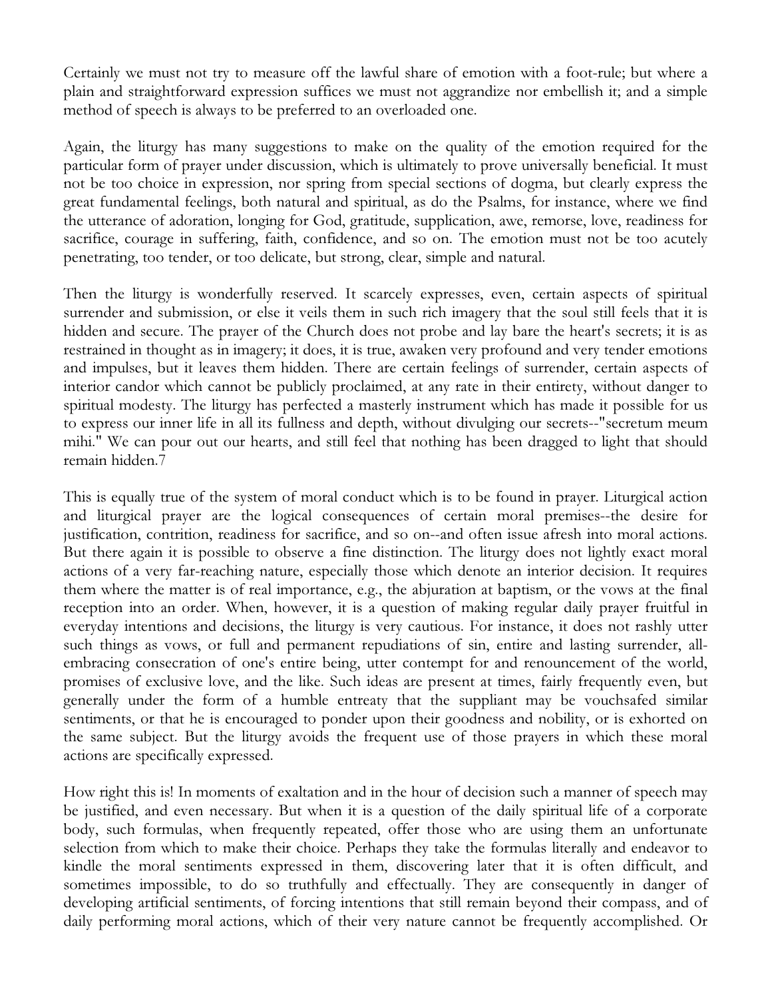Certainly we must not try to measure off the lawful share of emotion with a foot-rule; but where a plain and straightforward expression suffices we must not aggrandize nor embellish it; and a simple method of speech is always to be preferred to an overloaded one.

Again, the liturgy has many suggestions to make on the quality of the emotion required for the particular form of prayer under discussion, which is ultimately to prove universally beneficial. It must not be too choice in expression, nor spring from special sections of dogma, but clearly express the great fundamental feelings, both natural and spiritual, as do the Psalms, for instance, where we find the utterance of adoration, longing for God, gratitude, supplication, awe, remorse, love, readiness for sacrifice, courage in suffering, faith, confidence, and so on. The emotion must not be too acutely penetrating, too tender, or too delicate, but strong, clear, simple and natural.

Then the liturgy is wonderfully reserved. It scarcely expresses, even, certain aspects of spiritual surrender and submission, or else it veils them in such rich imagery that the soul still feels that it is hidden and secure. The prayer of the Church does not probe and lay bare the heart's secrets; it is as restrained in thought as in imagery; it does, it is true, awaken very profound and very tender emotions and impulses, but it leaves them hidden. There are certain feelings of surrender, certain aspects of interior candor which cannot be publicly proclaimed, at any rate in their entirety, without danger to spiritual modesty. The liturgy has perfected a masterly instrument which has made it possible for us to express our inner life in all its fullness and depth, without divulging our secrets--"secretum meum mihi." We can pour out our hearts, and still feel that nothing has been dragged to light that should remain hidden.7

This is equally true of the system of moral conduct which is to be found in prayer. Liturgical action and liturgical prayer are the logical consequences of certain moral premises--the desire for justification, contrition, readiness for sacrifice, and so on--and often issue afresh into moral actions. But there again it is possible to observe a fine distinction. The liturgy does not lightly exact moral actions of a very far-reaching nature, especially those which denote an interior decision. It requires them where the matter is of real importance, e.g., the abjuration at baptism, or the vows at the final reception into an order. When, however, it is a question of making regular daily prayer fruitful in everyday intentions and decisions, the liturgy is very cautious. For instance, it does not rashly utter such things as vows, or full and permanent repudiations of sin, entire and lasting surrender, allembracing consecration of one's entire being, utter contempt for and renouncement of the world, promises of exclusive love, and the like. Such ideas are present at times, fairly frequently even, but generally under the form of a humble entreaty that the suppliant may be vouchsafed similar sentiments, or that he is encouraged to ponder upon their goodness and nobility, or is exhorted on the same subject. But the liturgy avoids the frequent use of those prayers in which these moral actions are specifically expressed.

How right this is! In moments of exaltation and in the hour of decision such a manner of speech may be justified, and even necessary. But when it is a question of the daily spiritual life of a corporate body, such formulas, when frequently repeated, offer those who are using them an unfortunate selection from which to make their choice. Perhaps they take the formulas literally and endeavor to kindle the moral sentiments expressed in them, discovering later that it is often difficult, and sometimes impossible, to do so truthfully and effectually. They are consequently in danger of developing artificial sentiments, of forcing intentions that still remain beyond their compass, and of daily performing moral actions, which of their very nature cannot be frequently accomplished. Or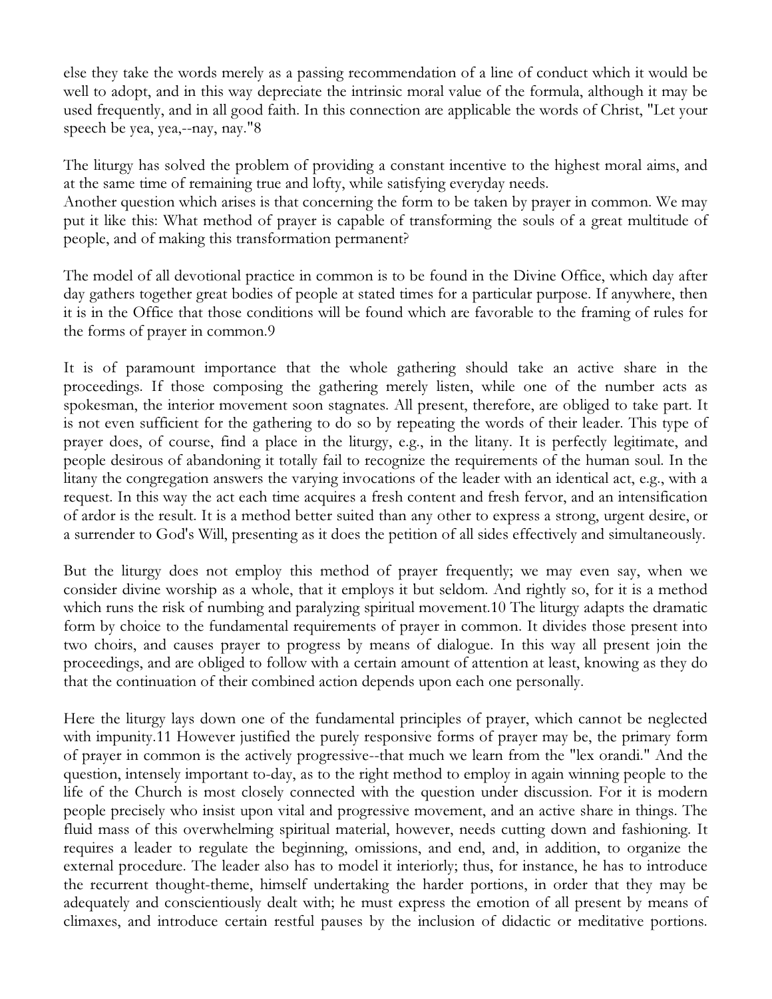else they take the words merely as a passing recommendation of a line of conduct which it would be well to adopt, and in this way depreciate the intrinsic moral value of the formula, although it may be used frequently, and in all good faith. In this connection are applicable the words of Christ, "Let your speech be yea, yea,--nay, nay."8

The liturgy has solved the problem of providing a constant incentive to the highest moral aims, and at the same time of remaining true and lofty, while satisfying everyday needs.

Another question which arises is that concerning the form to be taken by prayer in common. We may put it like this: What method of prayer is capable of transforming the souls of a great multitude of people, and of making this transformation permanent?

The model of all devotional practice in common is to be found in the Divine Office, which day after day gathers together great bodies of people at stated times for a particular purpose. If anywhere, then it is in the Office that those conditions will be found which are favorable to the framing of rules for the forms of prayer in common.9

It is of paramount importance that the whole gathering should take an active share in the proceedings. If those composing the gathering merely listen, while one of the number acts as spokesman, the interior movement soon stagnates. All present, therefore, are obliged to take part. It is not even sufficient for the gathering to do so by repeating the words of their leader. This type of prayer does, of course, find a place in the liturgy, e.g., in the litany. It is perfectly legitimate, and people desirous of abandoning it totally fail to recognize the requirements of the human soul. In the litany the congregation answers the varying invocations of the leader with an identical act, e.g., with a request. In this way the act each time acquires a fresh content and fresh fervor, and an intensification of ardor is the result. It is a method better suited than any other to express a strong, urgent desire, or a surrender to God's Will, presenting as it does the petition of all sides effectively and simultaneously.

But the liturgy does not employ this method of prayer frequently; we may even say, when we consider divine worship as a whole, that it employs it but seldom. And rightly so, for it is a method which runs the risk of numbing and paralyzing spiritual movement.10 The liturgy adapts the dramatic form by choice to the fundamental requirements of prayer in common. It divides those present into two choirs, and causes prayer to progress by means of dialogue. In this way all present join the proceedings, and are obliged to follow with a certain amount of attention at least, knowing as they do that the continuation of their combined action depends upon each one personally.

Here the liturgy lays down one of the fundamental principles of prayer, which cannot be neglected with impunity.11 However justified the purely responsive forms of prayer may be, the primary form of prayer in common is the actively progressive--that much we learn from the "lex orandi." And the question, intensely important to-day, as to the right method to employ in again winning people to the life of the Church is most closely connected with the question under discussion. For it is modern people precisely who insist upon vital and progressive movement, and an active share in things. The fluid mass of this overwhelming spiritual material, however, needs cutting down and fashioning. It requires a leader to regulate the beginning, omissions, and end, and, in addition, to organize the external procedure. The leader also has to model it interiorly; thus, for instance, he has to introduce the recurrent thought-theme, himself undertaking the harder portions, in order that they may be adequately and conscientiously dealt with; he must express the emotion of all present by means of climaxes, and introduce certain restful pauses by the inclusion of didactic or meditative portions.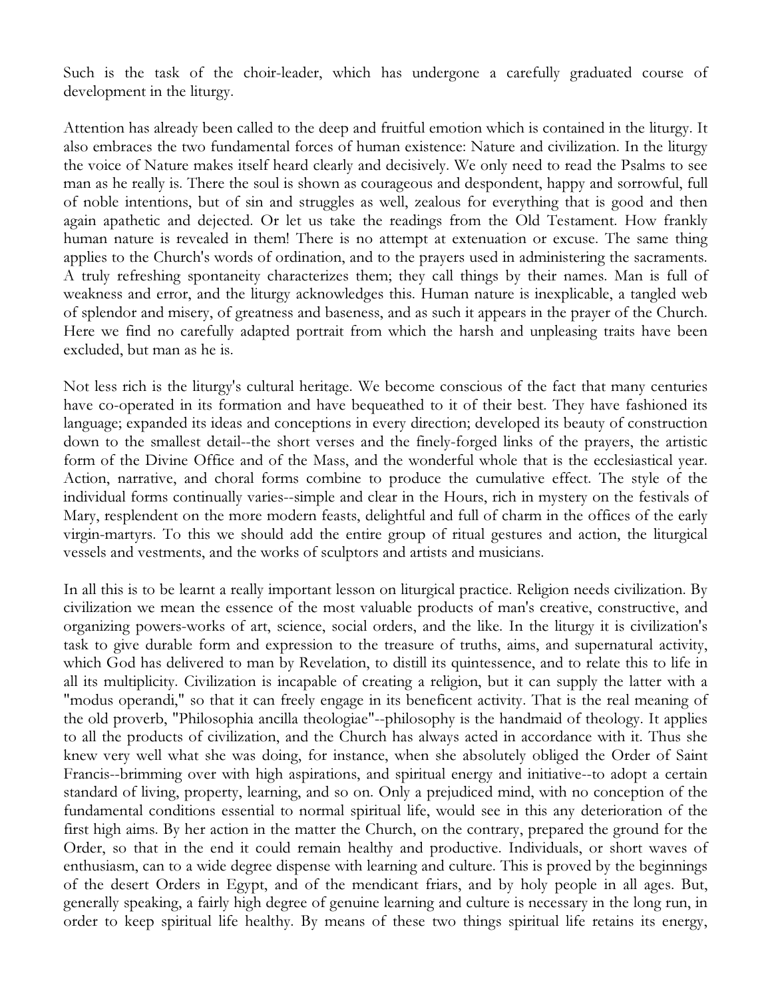Such is the task of the choir-leader, which has undergone a carefully graduated course of development in the liturgy.

Attention has already been called to the deep and fruitful emotion which is contained in the liturgy. It also embraces the two fundamental forces of human existence: Nature and civilization. In the liturgy the voice of Nature makes itself heard clearly and decisively. We only need to read the Psalms to see man as he really is. There the soul is shown as courageous and despondent, happy and sorrowful, full of noble intentions, but of sin and struggles as well, zealous for everything that is good and then again apathetic and dejected. Or let us take the readings from the Old Testament. How frankly human nature is revealed in them! There is no attempt at extenuation or excuse. The same thing applies to the Church's words of ordination, and to the prayers used in administering the sacraments. A truly refreshing spontaneity characterizes them; they call things by their names. Man is full of weakness and error, and the liturgy acknowledges this. Human nature is inexplicable, a tangled web of splendor and misery, of greatness and baseness, and as such it appears in the prayer of the Church. Here we find no carefully adapted portrait from which the harsh and unpleasing traits have been excluded, but man as he is.

Not less rich is the liturgy's cultural heritage. We become conscious of the fact that many centuries have co-operated in its formation and have bequeathed to it of their best. They have fashioned its language; expanded its ideas and conceptions in every direction; developed its beauty of construction down to the smallest detail--the short verses and the finely-forged links of the prayers, the artistic form of the Divine Office and of the Mass, and the wonderful whole that is the ecclesiastical year. Action, narrative, and choral forms combine to produce the cumulative effect. The style of the individual forms continually varies--simple and clear in the Hours, rich in mystery on the festivals of Mary, resplendent on the more modern feasts, delightful and full of charm in the offices of the early virgin-martyrs. To this we should add the entire group of ritual gestures and action, the liturgical vessels and vestments, and the works of sculptors and artists and musicians.

In all this is to be learnt a really important lesson on liturgical practice. Religion needs civilization. By civilization we mean the essence of the most valuable products of man's creative, constructive, and organizing powers-works of art, science, social orders, and the like. In the liturgy it is civilization's task to give durable form and expression to the treasure of truths, aims, and supernatural activity, which God has delivered to man by Revelation, to distill its quintessence, and to relate this to life in all its multiplicity. Civilization is incapable of creating a religion, but it can supply the latter with a "modus operandi," so that it can freely engage in its beneficent activity. That is the real meaning of the old proverb, "Philosophia ancilla theologiae"--philosophy is the handmaid of theology. It applies to all the products of civilization, and the Church has always acted in accordance with it. Thus she knew very well what she was doing, for instance, when she absolutely obliged the Order of Saint Francis--brimming over with high aspirations, and spiritual energy and initiative--to adopt a certain standard of living, property, learning, and so on. Only a prejudiced mind, with no conception of the fundamental conditions essential to normal spiritual life, would see in this any deterioration of the first high aims. By her action in the matter the Church, on the contrary, prepared the ground for the Order, so that in the end it could remain healthy and productive. Individuals, or short waves of enthusiasm, can to a wide degree dispense with learning and culture. This is proved by the beginnings of the desert Orders in Egypt, and of the mendicant friars, and by holy people in all ages. But, generally speaking, a fairly high degree of genuine learning and culture is necessary in the long run, in order to keep spiritual life healthy. By means of these two things spiritual life retains its energy,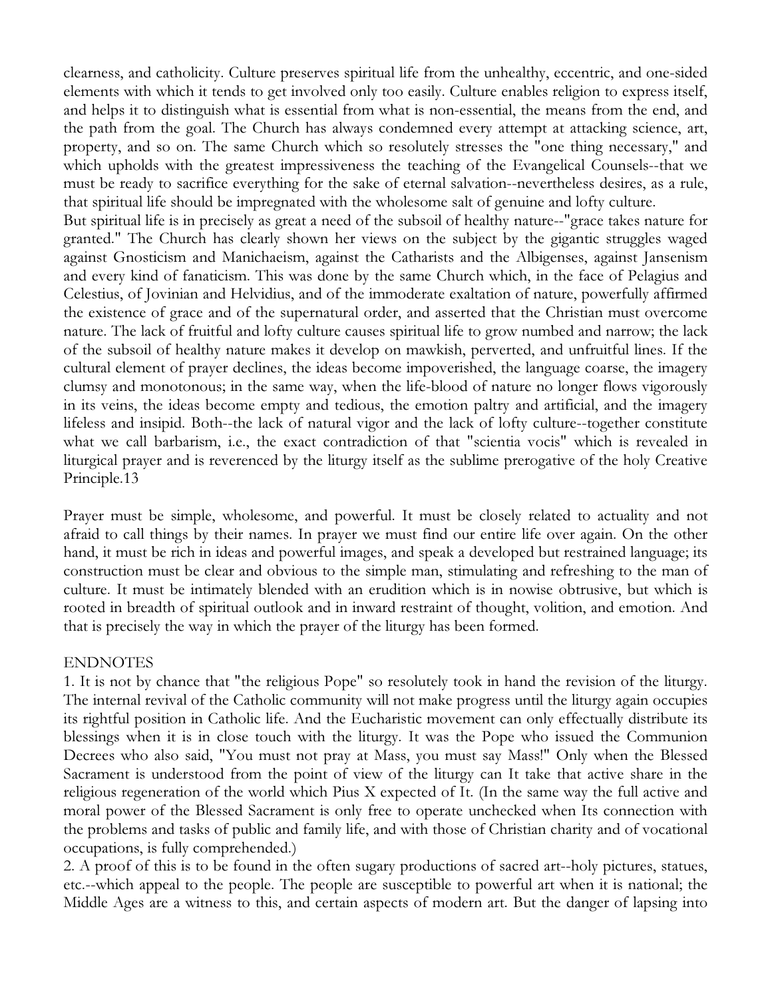clearness, and catholicity. Culture preserves spiritual life from the unhealthy, eccentric, and one-sided elements with which it tends to get involved only too easily. Culture enables religion to express itself, and helps it to distinguish what is essential from what is non-essential, the means from the end, and the path from the goal. The Church has always condemned every attempt at attacking science, art, property, and so on. The same Church which so resolutely stresses the "one thing necessary," and which upholds with the greatest impressiveness the teaching of the Evangelical Counsels--that we must be ready to sacrifice everything for the sake of eternal salvation--nevertheless desires, as a rule, that spiritual life should be impregnated with the wholesome salt of genuine and lofty culture.

But spiritual life is in precisely as great a need of the subsoil of healthy nature--"grace takes nature for granted." The Church has clearly shown her views on the subject by the gigantic struggles waged against Gnosticism and Manichaeism, against the Catharists and the Albigenses, against Jansenism and every kind of fanaticism. This was done by the same Church which, in the face of Pelagius and Celestius, of Jovinian and Helvidius, and of the immoderate exaltation of nature, powerfully affirmed the existence of grace and of the supernatural order, and asserted that the Christian must overcome nature. The lack of fruitful and lofty culture causes spiritual life to grow numbed and narrow; the lack of the subsoil of healthy nature makes it develop on mawkish, perverted, and unfruitful lines. If the cultural element of prayer declines, the ideas become impoverished, the language coarse, the imagery clumsy and monotonous; in the same way, when the life-blood of nature no longer flows vigorously in its veins, the ideas become empty and tedious, the emotion paltry and artificial, and the imagery lifeless and insipid. Both--the lack of natural vigor and the lack of lofty culture--together constitute what we call barbarism, i.e., the exact contradiction of that "scientia vocis" which is revealed in liturgical prayer and is reverenced by the liturgy itself as the sublime prerogative of the holy Creative Principle.13

Prayer must be simple, wholesome, and powerful. It must be closely related to actuality and not afraid to call things by their names. In prayer we must find our entire life over again. On the other hand, it must be rich in ideas and powerful images, and speak a developed but restrained language; its construction must be clear and obvious to the simple man, stimulating and refreshing to the man of culture. It must be intimately blended with an erudition which is in nowise obtrusive, but which is rooted in breadth of spiritual outlook and in inward restraint of thought, volition, and emotion. And that is precisely the way in which the prayer of the liturgy has been formed.

#### ENDNOTES

1. It is not by chance that "the religious Pope" so resolutely took in hand the revision of the liturgy. The internal revival of the Catholic community will not make progress until the liturgy again occupies its rightful position in Catholic life. And the Eucharistic movement can only effectually distribute its blessings when it is in close touch with the liturgy. It was the Pope who issued the Communion Decrees who also said, "You must not pray at Mass, you must say Mass!" Only when the Blessed Sacrament is understood from the point of view of the liturgy can It take that active share in the religious regeneration of the world which Pius X expected of It. (In the same way the full active and moral power of the Blessed Sacrament is only free to operate unchecked when Its connection with the problems and tasks of public and family life, and with those of Christian charity and of vocational occupations, is fully comprehended.)

2. A proof of this is to be found in the often sugary productions of sacred art--holy pictures, statues, etc.--which appeal to the people. The people are susceptible to powerful art when it is national; the Middle Ages are a witness to this, and certain aspects of modern art. But the danger of lapsing into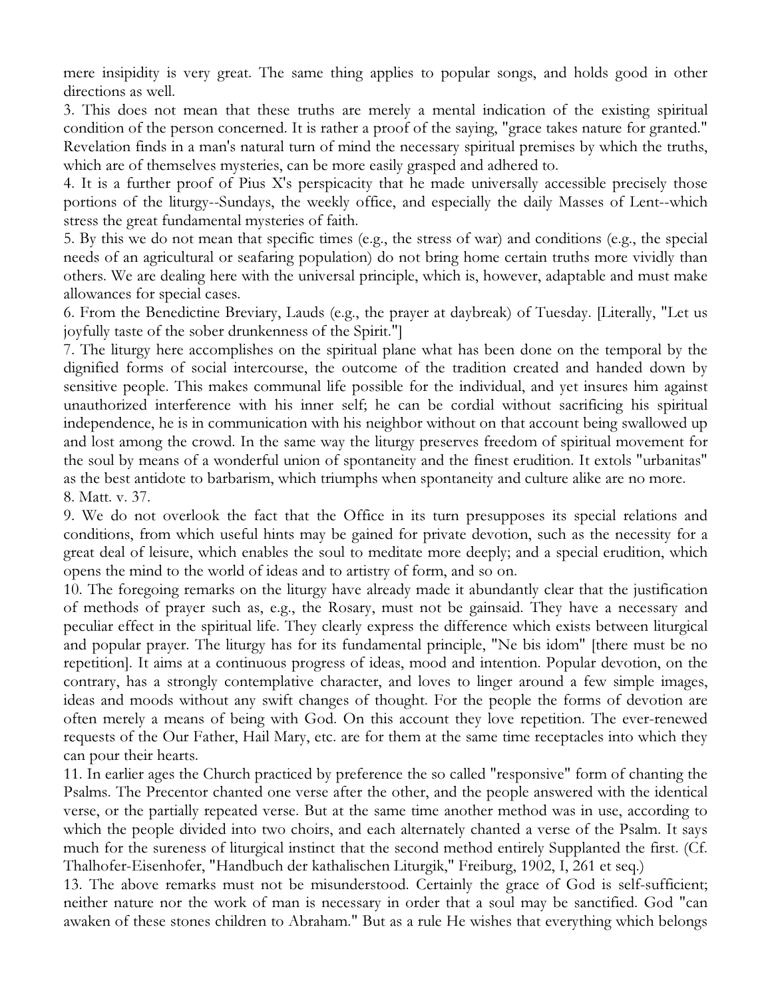mere insipidity is very great. The same thing applies to popular songs, and holds good in other directions as well.

3. This does not mean that these truths are merely a mental indication of the existing spiritual condition of the person concerned. It is rather a proof of the saying, "grace takes nature for granted." Revelation finds in a man's natural turn of mind the necessary spiritual premises by which the truths, which are of themselves mysteries, can be more easily grasped and adhered to.

4. It is a further proof of Pius X's perspicacity that he made universally accessible precisely those portions of the liturgy--Sundays, the weekly office, and especially the daily Masses of Lent--which stress the great fundamental mysteries of faith.

5. By this we do not mean that specific times (e.g., the stress of war) and conditions (e.g., the special needs of an agricultural or seafaring population) do not bring home certain truths more vividly than others. We are dealing here with the universal principle, which is, however, adaptable and must make allowances for special cases.

6. From the Benedictine Breviary, Lauds (e.g., the prayer at daybreak) of Tuesday. [Literally, "Let us joyfully taste of the sober drunkenness of the Spirit."]

7. The liturgy here accomplishes on the spiritual plane what has been done on the temporal by the dignified forms of social intercourse, the outcome of the tradition created and handed down by sensitive people. This makes communal life possible for the individual, and yet insures him against unauthorized interference with his inner self; he can be cordial without sacrificing his spiritual independence, he is in communication with his neighbor without on that account being swallowed up and lost among the crowd. In the same way the liturgy preserves freedom of spiritual movement for the soul by means of a wonderful union of spontaneity and the finest erudition. It extols "urbanitas" as the best antidote to barbarism, which triumphs when spontaneity and culture alike are no more. 8. Matt. v. 37.

9. We do not overlook the fact that the Office in its turn presupposes its special relations and conditions, from which useful hints may be gained for private devotion, such as the necessity for a great deal of leisure, which enables the soul to meditate more deeply; and a special erudition, which opens the mind to the world of ideas and to artistry of form, and so on.

10. The foregoing remarks on the liturgy have already made it abundantly clear that the justification of methods of prayer such as, e.g., the Rosary, must not be gainsaid. They have a necessary and peculiar effect in the spiritual life. They clearly express the difference which exists between liturgical and popular prayer. The liturgy has for its fundamental principle, "Ne bis idom" [there must be no repetition]. It aims at a continuous progress of ideas, mood and intention. Popular devotion, on the contrary, has a strongly contemplative character, and loves to linger around a few simple images, ideas and moods without any swift changes of thought. For the people the forms of devotion are often merely a means of being with God. On this account they love repetition. The ever-renewed requests of the Our Father, Hail Mary, etc. are for them at the same time receptacles into which they can pour their hearts.

11. In earlier ages the Church practiced by preference the so called "responsive" form of chanting the Psalms. The Precentor chanted one verse after the other, and the people answered with the identical verse, or the partially repeated verse. But at the same time another method was in use, according to which the people divided into two choirs, and each alternately chanted a verse of the Psalm. It says much for the sureness of liturgical instinct that the second method entirely Supplanted the first. (Cf. Thalhofer-Eisenhofer, "Handbuch der kathalischen Liturgik," Freiburg, 1902, I, 261 et seq.)

13. The above remarks must not be misunderstood. Certainly the grace of God is self-sufficient; neither nature nor the work of man is necessary in order that a soul may be sanctified. God "can awaken of these stones children to Abraham." But as a rule He wishes that everything which belongs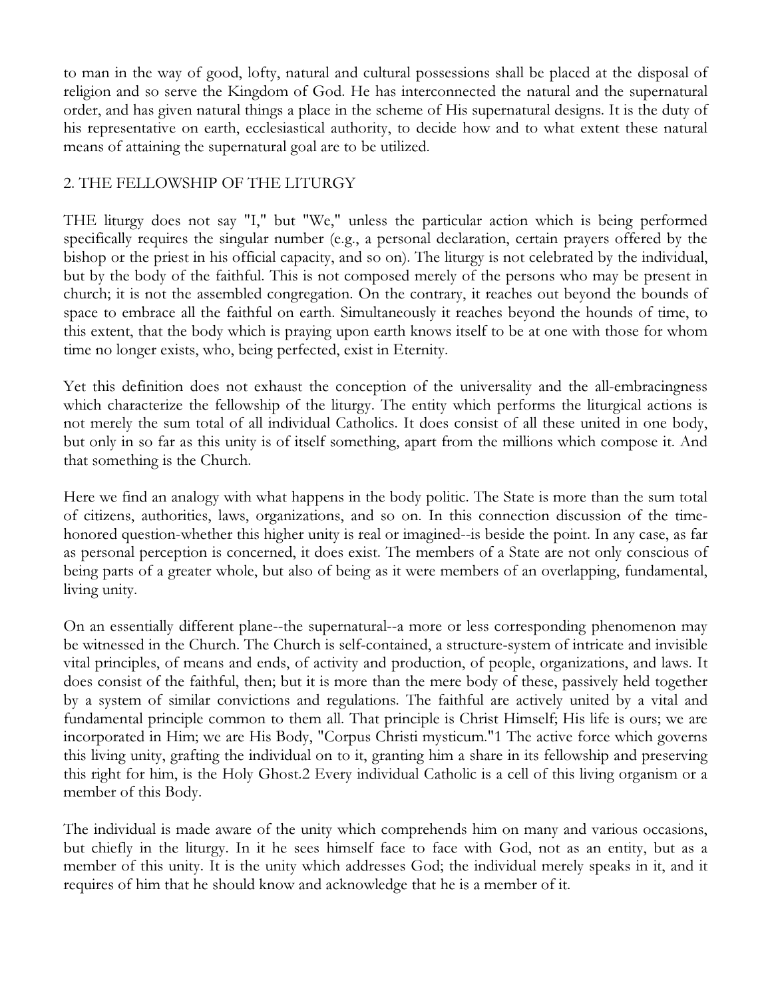to man in the way of good, lofty, natural and cultural possessions shall be placed at the disposal of religion and so serve the Kingdom of God. He has interconnected the natural and the supernatural order, and has given natural things a place in the scheme of His supernatural designs. It is the duty of his representative on earth, ecclesiastical authority, to decide how and to what extent these natural means of attaining the supernatural goal are to be utilized.

# 2. THE FELLOWSHIP OF THE LITURGY

THE liturgy does not say "I," but "We," unless the particular action which is being performed specifically requires the singular number (e.g., a personal declaration, certain prayers offered by the bishop or the priest in his official capacity, and so on). The liturgy is not celebrated by the individual, but by the body of the faithful. This is not composed merely of the persons who may be present in church; it is not the assembled congregation. On the contrary, it reaches out beyond the bounds of space to embrace all the faithful on earth. Simultaneously it reaches beyond the hounds of time, to this extent, that the body which is praying upon earth knows itself to be at one with those for whom time no longer exists, who, being perfected, exist in Eternity.

Yet this definition does not exhaust the conception of the universality and the all-embracingness which characterize the fellowship of the liturgy. The entity which performs the liturgical actions is not merely the sum total of all individual Catholics. It does consist of all these united in one body, but only in so far as this unity is of itself something, apart from the millions which compose it. And that something is the Church.

Here we find an analogy with what happens in the body politic. The State is more than the sum total of citizens, authorities, laws, organizations, and so on. In this connection discussion of the timehonored question-whether this higher unity is real or imagined--is beside the point. In any case, as far as personal perception is concerned, it does exist. The members of a State are not only conscious of being parts of a greater whole, but also of being as it were members of an overlapping, fundamental, living unity.

On an essentially different plane--the supernatural--a more or less corresponding phenomenon may be witnessed in the Church. The Church is self-contained, a structure-system of intricate and invisible vital principles, of means and ends, of activity and production, of people, organizations, and laws. It does consist of the faithful, then; but it is more than the mere body of these, passively held together by a system of similar convictions and regulations. The faithful are actively united by a vital and fundamental principle common to them all. That principle is Christ Himself; His life is ours; we are incorporated in Him; we are His Body, "Corpus Christi mysticum."1 The active force which governs this living unity, grafting the individual on to it, granting him a share in its fellowship and preserving this right for him, is the Holy Ghost.2 Every individual Catholic is a cell of this living organism or a member of this Body.

The individual is made aware of the unity which comprehends him on many and various occasions, but chiefly in the liturgy. In it he sees himself face to face with God, not as an entity, but as a member of this unity. It is the unity which addresses God; the individual merely speaks in it, and it requires of him that he should know and acknowledge that he is a member of it.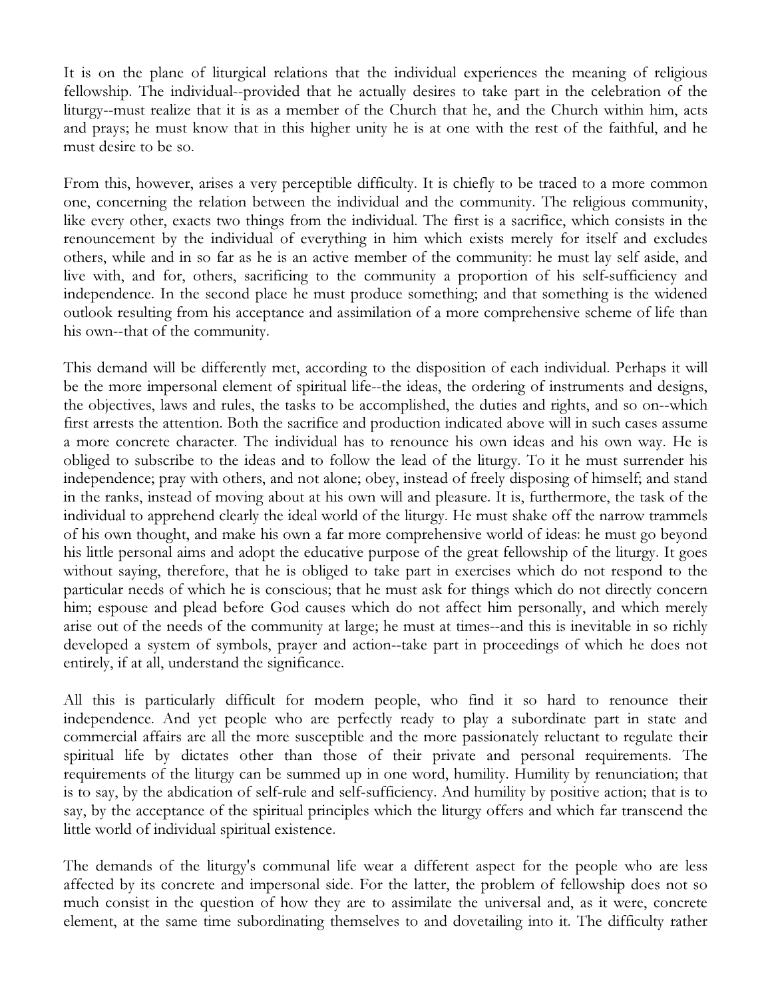It is on the plane of liturgical relations that the individual experiences the meaning of religious fellowship. The individual--provided that he actually desires to take part in the celebration of the liturgy--must realize that it is as a member of the Church that he, and the Church within him, acts and prays; he must know that in this higher unity he is at one with the rest of the faithful, and he must desire to be so.

From this, however, arises a very perceptible difficulty. It is chiefly to be traced to a more common one, concerning the relation between the individual and the community. The religious community, like every other, exacts two things from the individual. The first is a sacrifice, which consists in the renouncement by the individual of everything in him which exists merely for itself and excludes others, while and in so far as he is an active member of the community: he must lay self aside, and live with, and for, others, sacrificing to the community a proportion of his self-sufficiency and independence. In the second place he must produce something; and that something is the widened outlook resulting from his acceptance and assimilation of a more comprehensive scheme of life than his own--that of the community.

This demand will be differently met, according to the disposition of each individual. Perhaps it will be the more impersonal element of spiritual life--the ideas, the ordering of instruments and designs, the objectives, laws and rules, the tasks to be accomplished, the duties and rights, and so on--which first arrests the attention. Both the sacrifice and production indicated above will in such cases assume a more concrete character. The individual has to renounce his own ideas and his own way. He is obliged to subscribe to the ideas and to follow the lead of the liturgy. To it he must surrender his independence; pray with others, and not alone; obey, instead of freely disposing of himself; and stand in the ranks, instead of moving about at his own will and pleasure. It is, furthermore, the task of the individual to apprehend clearly the ideal world of the liturgy. He must shake off the narrow trammels of his own thought, and make his own a far more comprehensive world of ideas: he must go beyond his little personal aims and adopt the educative purpose of the great fellowship of the liturgy. It goes without saying, therefore, that he is obliged to take part in exercises which do not respond to the particular needs of which he is conscious; that he must ask for things which do not directly concern him; espouse and plead before God causes which do not affect him personally, and which merely arise out of the needs of the community at large; he must at times--and this is inevitable in so richly developed a system of symbols, prayer and action--take part in proceedings of which he does not entirely, if at all, understand the significance.

All this is particularly difficult for modern people, who find it so hard to renounce their independence. And yet people who are perfectly ready to play a subordinate part in state and commercial affairs are all the more susceptible and the more passionately reluctant to regulate their spiritual life by dictates other than those of their private and personal requirements. The requirements of the liturgy can be summed up in one word, humility. Humility by renunciation; that is to say, by the abdication of self-rule and self-sufficiency. And humility by positive action; that is to say, by the acceptance of the spiritual principles which the liturgy offers and which far transcend the little world of individual spiritual existence.

The demands of the liturgy's communal life wear a different aspect for the people who are less affected by its concrete and impersonal side. For the latter, the problem of fellowship does not so much consist in the question of how they are to assimilate the universal and, as it were, concrete element, at the same time subordinating themselves to and dovetailing into it. The difficulty rather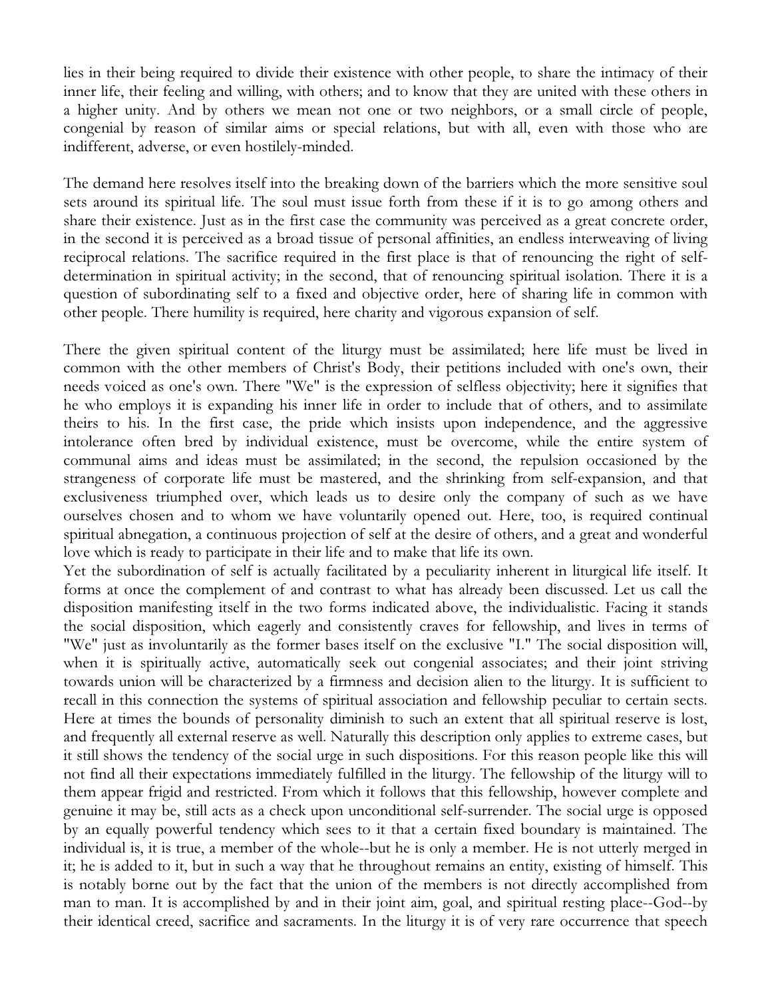lies in their being required to divide their existence with other people, to share the intimacy of their inner life, their feeling and willing, with others; and to know that they are united with these others in a higher unity. And by others we mean not one or two neighbors, or a small circle of people, congenial by reason of similar aims or special relations, but with all, even with those who are indifferent, adverse, or even hostilely-minded.

The demand here resolves itself into the breaking down of the barriers which the more sensitive soul sets around its spiritual life. The soul must issue forth from these if it is to go among others and share their existence. Just as in the first case the community was perceived as a great concrete order, in the second it is perceived as a broad tissue of personal affinities, an endless interweaving of living reciprocal relations. The sacrifice required in the first place is that of renouncing the right of selfdetermination in spiritual activity; in the second, that of renouncing spiritual isolation. There it is a question of subordinating self to a fixed and objective order, here of sharing life in common with other people. There humility is required, here charity and vigorous expansion of self.

There the given spiritual content of the liturgy must be assimilated; here life must be lived in common with the other members of Christ's Body, their petitions included with one's own, their needs voiced as one's own. There "We" is the expression of selfless objectivity; here it signifies that he who employs it is expanding his inner life in order to include that of others, and to assimilate theirs to his. In the first case, the pride which insists upon independence, and the aggressive intolerance often bred by individual existence, must be overcome, while the entire system of communal aims and ideas must be assimilated; in the second, the repulsion occasioned by the strangeness of corporate life must be mastered, and the shrinking from self-expansion, and that exclusiveness triumphed over, which leads us to desire only the company of such as we have ourselves chosen and to whom we have voluntarily opened out. Here, too, is required continual spiritual abnegation, a continuous projection of self at the desire of others, and a great and wonderful love which is ready to participate in their life and to make that life its own.

Yet the subordination of self is actually facilitated by a peculiarity inherent in liturgical life itself. It forms at once the complement of and contrast to what has already been discussed. Let us call the disposition manifesting itself in the two forms indicated above, the individualistic. Facing it stands the social disposition, which eagerly and consistently craves for fellowship, and lives in terms of "We" just as involuntarily as the former bases itself on the exclusive "I." The social disposition will, when it is spiritually active, automatically seek out congenial associates; and their joint striving towards union will be characterized by a firmness and decision alien to the liturgy. It is sufficient to recall in this connection the systems of spiritual association and fellowship peculiar to certain sects. Here at times the bounds of personality diminish to such an extent that all spiritual reserve is lost, and frequently all external reserve as well. Naturally this description only applies to extreme cases, but it still shows the tendency of the social urge in such dispositions. For this reason people like this will not find all their expectations immediately fulfilled in the liturgy. The fellowship of the liturgy will to them appear frigid and restricted. From which it follows that this fellowship, however complete and genuine it may be, still acts as a check upon unconditional self-surrender. The social urge is opposed by an equally powerful tendency which sees to it that a certain fixed boundary is maintained. The individual is, it is true, a member of the whole--but he is only a member. He is not utterly merged in it; he is added to it, but in such a way that he throughout remains an entity, existing of himself. This is notably borne out by the fact that the union of the members is not directly accomplished from man to man. It is accomplished by and in their joint aim, goal, and spiritual resting place--God--by their identical creed, sacrifice and sacraments. In the liturgy it is of very rare occurrence that speech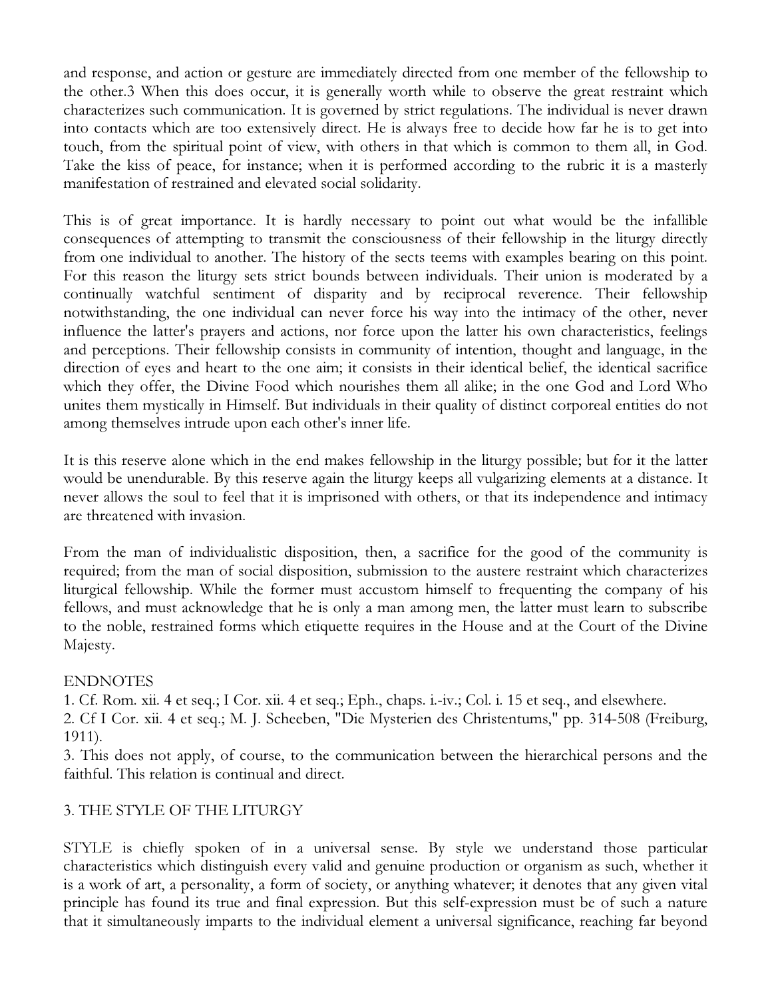and response, and action or gesture are immediately directed from one member of the fellowship to the other.3 When this does occur, it is generally worth while to observe the great restraint which characterizes such communication. It is governed by strict regulations. The individual is never drawn into contacts which are too extensively direct. He is always free to decide how far he is to get into touch, from the spiritual point of view, with others in that which is common to them all, in God. Take the kiss of peace, for instance; when it is performed according to the rubric it is a masterly manifestation of restrained and elevated social solidarity.

This is of great importance. It is hardly necessary to point out what would be the infallible consequences of attempting to transmit the consciousness of their fellowship in the liturgy directly from one individual to another. The history of the sects teems with examples bearing on this point. For this reason the liturgy sets strict bounds between individuals. Their union is moderated by a continually watchful sentiment of disparity and by reciprocal reverence. Their fellowship notwithstanding, the one individual can never force his way into the intimacy of the other, never influence the latter's prayers and actions, nor force upon the latter his own characteristics, feelings and perceptions. Their fellowship consists in community of intention, thought and language, in the direction of eyes and heart to the one aim; it consists in their identical belief, the identical sacrifice which they offer, the Divine Food which nourishes them all alike; in the one God and Lord Who unites them mystically in Himself. But individuals in their quality of distinct corporeal entities do not among themselves intrude upon each other's inner life.

It is this reserve alone which in the end makes fellowship in the liturgy possible; but for it the latter would be unendurable. By this reserve again the liturgy keeps all vulgarizing elements at a distance. It never allows the soul to feel that it is imprisoned with others, or that its independence and intimacy are threatened with invasion.

From the man of individualistic disposition, then, a sacrifice for the good of the community is required; from the man of social disposition, submission to the austere restraint which characterizes liturgical fellowship. While the former must accustom himself to frequenting the company of his fellows, and must acknowledge that he is only a man among men, the latter must learn to subscribe to the noble, restrained forms which etiquette requires in the House and at the Court of the Divine Majesty.

#### ENDNOTES

1. Cf. Rom. xii. 4 et seq.; I Cor. xii. 4 et seq.; Eph., chaps. i.-iv.; Col. i. 15 et seq., and elsewhere.

2. Cf I Cor. xii. 4 et seq.; M. J. Scheeben, "Die Mysterien des Christentums," pp. 314-508 (Freiburg, 1911).

3. This does not apply, of course, to the communication between the hierarchical persons and the faithful. This relation is continual and direct.

# 3. THE STYLE OF THE LITURGY

STYLE is chiefly spoken of in a universal sense. By style we understand those particular characteristics which distinguish every valid and genuine production or organism as such, whether it is a work of art, a personality, a form of society, or anything whatever; it denotes that any given vital principle has found its true and final expression. But this self-expression must be of such a nature that it simultaneously imparts to the individual element a universal significance, reaching far beyond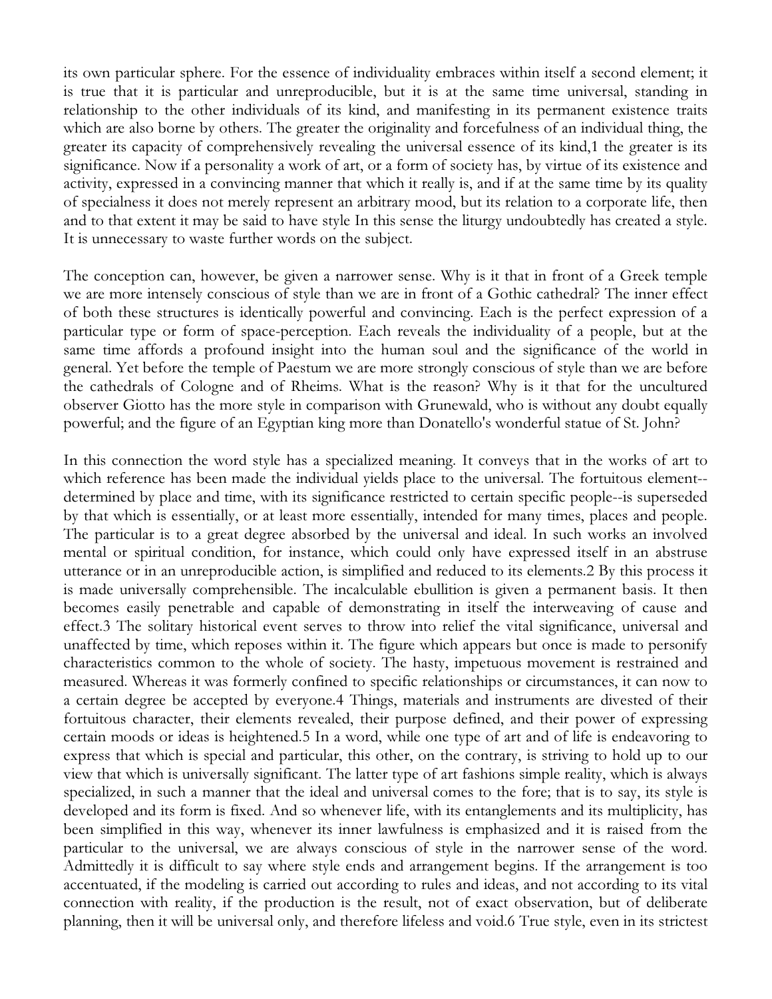its own particular sphere. For the essence of individuality embraces within itself a second element; it is true that it is particular and unreproducible, but it is at the same time universal, standing in relationship to the other individuals of its kind, and manifesting in its permanent existence traits which are also borne by others. The greater the originality and forcefulness of an individual thing, the greater its capacity of comprehensively revealing the universal essence of its kind,1 the greater is its significance. Now if a personality a work of art, or a form of society has, by virtue of its existence and activity, expressed in a convincing manner that which it really is, and if at the same time by its quality of specialness it does not merely represent an arbitrary mood, but its relation to a corporate life, then and to that extent it may be said to have style In this sense the liturgy undoubtedly has created a style. It is unnecessary to waste further words on the subject.

The conception can, however, be given a narrower sense. Why is it that in front of a Greek temple we are more intensely conscious of style than we are in front of a Gothic cathedral? The inner effect of both these structures is identically powerful and convincing. Each is the perfect expression of a particular type or form of space-perception. Each reveals the individuality of a people, but at the same time affords a profound insight into the human soul and the significance of the world in general. Yet before the temple of Paestum we are more strongly conscious of style than we are before the cathedrals of Cologne and of Rheims. What is the reason? Why is it that for the uncultured observer Giotto has the more style in comparison with Grunewald, who is without any doubt equally powerful; and the figure of an Egyptian king more than Donatello's wonderful statue of St. John?

In this connection the word style has a specialized meaning. It conveys that in the works of art to which reference has been made the individual yields place to the universal. The fortuitous element- determined by place and time, with its significance restricted to certain specific people--is superseded by that which is essentially, or at least more essentially, intended for many times, places and people. The particular is to a great degree absorbed by the universal and ideal. In such works an involved mental or spiritual condition, for instance, which could only have expressed itself in an abstruse utterance or in an unreproducible action, is simplified and reduced to its elements.2 By this process it is made universally comprehensible. The incalculable ebullition is given a permanent basis. It then becomes easily penetrable and capable of demonstrating in itself the interweaving of cause and effect.3 The solitary historical event serves to throw into relief the vital significance, universal and unaffected by time, which reposes within it. The figure which appears but once is made to personify characteristics common to the whole of society. The hasty, impetuous movement is restrained and measured. Whereas it was formerly confined to specific relationships or circumstances, it can now to a certain degree be accepted by everyone.4 Things, materials and instruments are divested of their fortuitous character, their elements revealed, their purpose defined, and their power of expressing certain moods or ideas is heightened.5 In a word, while one type of art and of life is endeavoring to express that which is special and particular, this other, on the contrary, is striving to hold up to our view that which is universally significant. The latter type of art fashions simple reality, which is always specialized, in such a manner that the ideal and universal comes to the fore; that is to say, its style is developed and its form is fixed. And so whenever life, with its entanglements and its multiplicity, has been simplified in this way, whenever its inner lawfulness is emphasized and it is raised from the particular to the universal, we are always conscious of style in the narrower sense of the word. Admittedly it is difficult to say where style ends and arrangement begins. If the arrangement is too accentuated, if the modeling is carried out according to rules and ideas, and not according to its vital connection with reality, if the production is the result, not of exact observation, but of deliberate planning, then it will be universal only, and therefore lifeless and void.6 True style, even in its strictest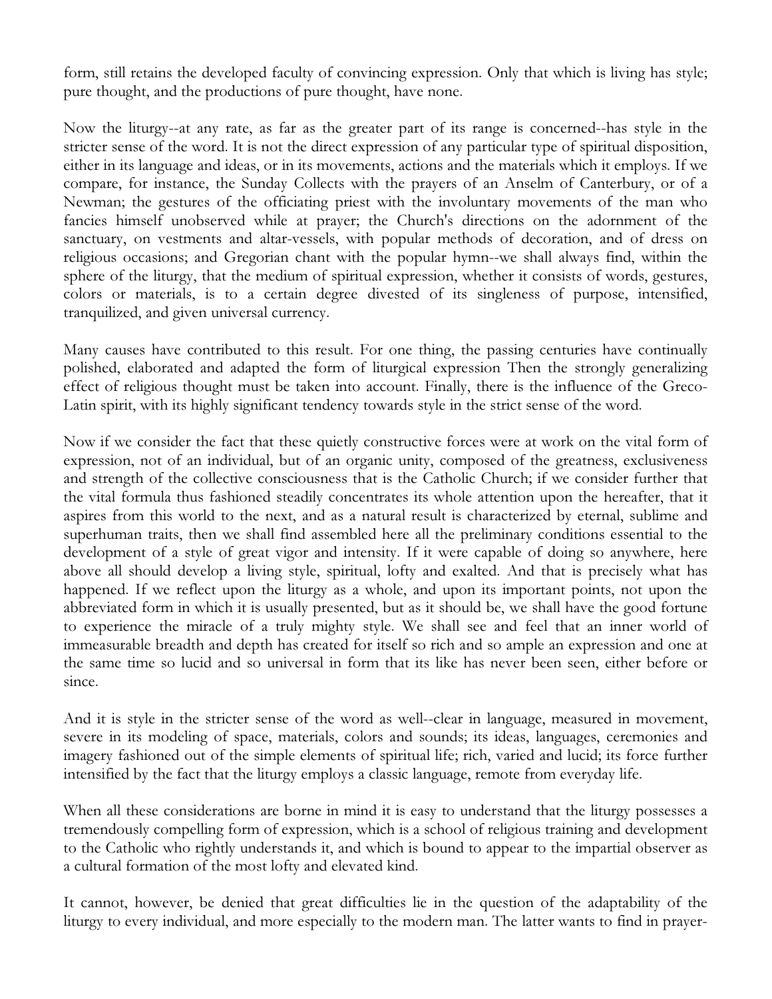form, still retains the developed faculty of convincing expression. Only that which is living has style; pure thought, and the productions of pure thought, have none.

Now the liturgy--at any rate, as far as the greater part of its range is concerned--has style in the stricter sense of the word. It is not the direct expression of any particular type of spiritual disposition, either in its language and ideas, or in its movements, actions and the materials which it employs. If we compare, for instance, the Sunday Collects with the prayers of an Anselm of Canterbury, or of a Newman; the gestures of the officiating priest with the involuntary movements of the man who fancies himself unobserved while at prayer; the Church's directions on the adornment of the sanctuary, on vestments and altar-vessels, with popular methods of decoration, and of dress on religious occasions; and Gregorian chant with the popular hymn--we shall always find, within the sphere of the liturgy, that the medium of spiritual expression, whether it consists of words, gestures, colors or materials, is to a certain degree divested of its singleness of purpose, intensified, tranquilized, and given universal currency.

Many causes have contributed to this result. For one thing, the passing centuries have continually polished, elaborated and adapted the form of liturgical expression Then the strongly generalizing effect of religious thought must be taken into account. Finally, there is the influence of the Greco-Latin spirit, with its highly significant tendency towards style in the strict sense of the word.

Now if we consider the fact that these quietly constructive forces were at work on the vital form of expression, not of an individual, but of an organic unity, composed of the greatness, exclusiveness and strength of the collective consciousness that is the Catholic Church; if we consider further that the vital formula thus fashioned steadily concentrates its whole attention upon the hereafter, that it aspires from this world to the next, and as a natural result is characterized by eternal, sublime and superhuman traits, then we shall find assembled here all the preliminary conditions essential to the development of a style of great vigor and intensity. If it were capable of doing so anywhere, here above all should develop a living style, spiritual, lofty and exalted. And that is precisely what has happened. If we reflect upon the liturgy as a whole, and upon its important points, not upon the abbreviated form in which it is usually presented, but as it should be, we shall have the good fortune to experience the miracle of a truly mighty style. We shall see and feel that an inner world of immeasurable breadth and depth has created for itself so rich and so ample an expression and one at the same time so lucid and so universal in form that its like has never been seen, either before or since.

And it is style in the stricter sense of the word as well--clear in language, measured in movement, severe in its modeling of space, materials, colors and sounds; its ideas, languages, ceremonies and imagery fashioned out of the simple elements of spiritual life; rich, varied and lucid; its force further intensified by the fact that the liturgy employs a classic language, remote from everyday life.

When all these considerations are borne in mind it is easy to understand that the liturgy possesses a tremendously compelling form of expression, which is a school of religious training and development to the Catholic who rightly understands it, and which is bound to appear to the impartial observer as a cultural formation of the most lofty and elevated kind.

It cannot, however, be denied that great difficulties lie in the question of the adaptability of the liturgy to every individual, and more especially to the modern man. The latter wants to find in prayer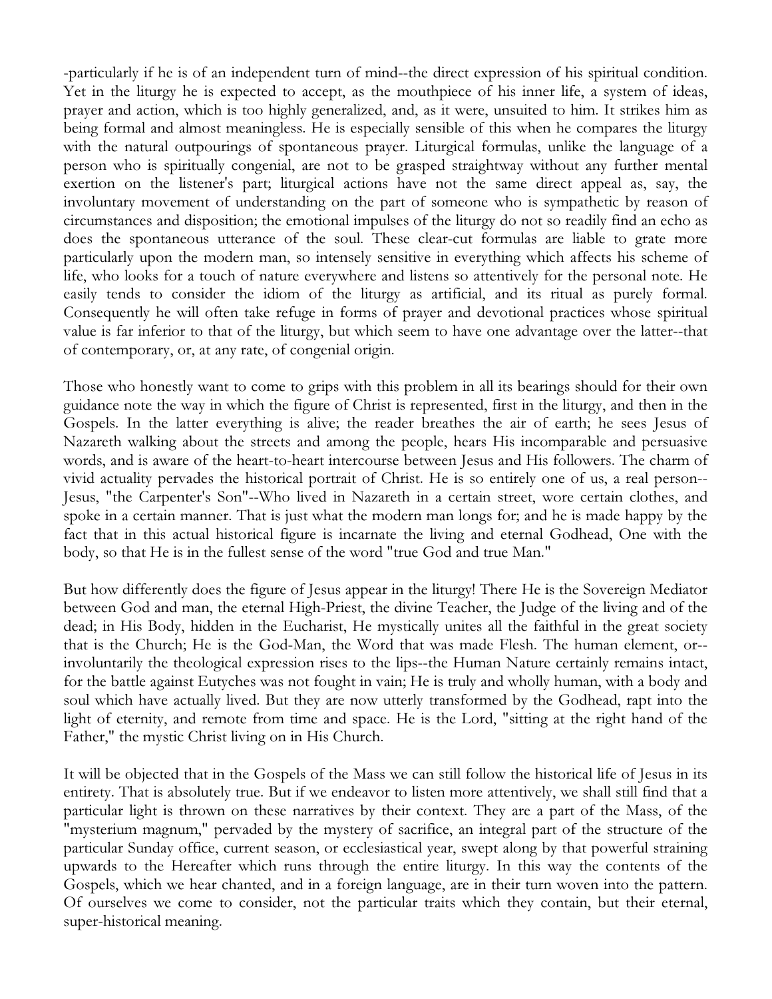-particularly if he is of an independent turn of mind--the direct expression of his spiritual condition. Yet in the liturgy he is expected to accept, as the mouthpiece of his inner life, a system of ideas, prayer and action, which is too highly generalized, and, as it were, unsuited to him. It strikes him as being formal and almost meaningless. He is especially sensible of this when he compares the liturgy with the natural outpourings of spontaneous prayer. Liturgical formulas, unlike the language of a person who is spiritually congenial, are not to be grasped straightway without any further mental exertion on the listener's part; liturgical actions have not the same direct appeal as, say, the involuntary movement of understanding on the part of someone who is sympathetic by reason of circumstances and disposition; the emotional impulses of the liturgy do not so readily find an echo as does the spontaneous utterance of the soul. These clear-cut formulas are liable to grate more particularly upon the modern man, so intensely sensitive in everything which affects his scheme of life, who looks for a touch of nature everywhere and listens so attentively for the personal note. He easily tends to consider the idiom of the liturgy as artificial, and its ritual as purely formal. Consequently he will often take refuge in forms of prayer and devotional practices whose spiritual value is far inferior to that of the liturgy, but which seem to have one advantage over the latter--that of contemporary, or, at any rate, of congenial origin.

Those who honestly want to come to grips with this problem in all its bearings should for their own guidance note the way in which the figure of Christ is represented, first in the liturgy, and then in the Gospels. In the latter everything is alive; the reader breathes the air of earth; he sees Jesus of Nazareth walking about the streets and among the people, hears His incomparable and persuasive words, and is aware of the heart-to-heart intercourse between Jesus and His followers. The charm of vivid actuality pervades the historical portrait of Christ. He is so entirely one of us, a real person-- Jesus, "the Carpenter's Son"--Who lived in Nazareth in a certain street, wore certain clothes, and spoke in a certain manner. That is just what the modern man longs for; and he is made happy by the fact that in this actual historical figure is incarnate the living and eternal Godhead, One with the body, so that He is in the fullest sense of the word "true God and true Man."

But how differently does the figure of Jesus appear in the liturgy! There He is the Sovereign Mediator between God and man, the eternal High-Priest, the divine Teacher, the Judge of the living and of the dead; in His Body, hidden in the Eucharist, He mystically unites all the faithful in the great society that is the Church; He is the God-Man, the Word that was made Flesh. The human element, or- involuntarily the theological expression rises to the lips--the Human Nature certainly remains intact, for the battle against Eutyches was not fought in vain; He is truly and wholly human, with a body and soul which have actually lived. But they are now utterly transformed by the Godhead, rapt into the light of eternity, and remote from time and space. He is the Lord, "sitting at the right hand of the Father," the mystic Christ living on in His Church.

It will be objected that in the Gospels of the Mass we can still follow the historical life of Jesus in its entirety. That is absolutely true. But if we endeavor to listen more attentively, we shall still find that a particular light is thrown on these narratives by their context. They are a part of the Mass, of the "mysterium magnum," pervaded by the mystery of sacrifice, an integral part of the structure of the particular Sunday office, current season, or ecclesiastical year, swept along by that powerful straining upwards to the Hereafter which runs through the entire liturgy. In this way the contents of the Gospels, which we hear chanted, and in a foreign language, are in their turn woven into the pattern. Of ourselves we come to consider, not the particular traits which they contain, but their eternal, super-historical meaning.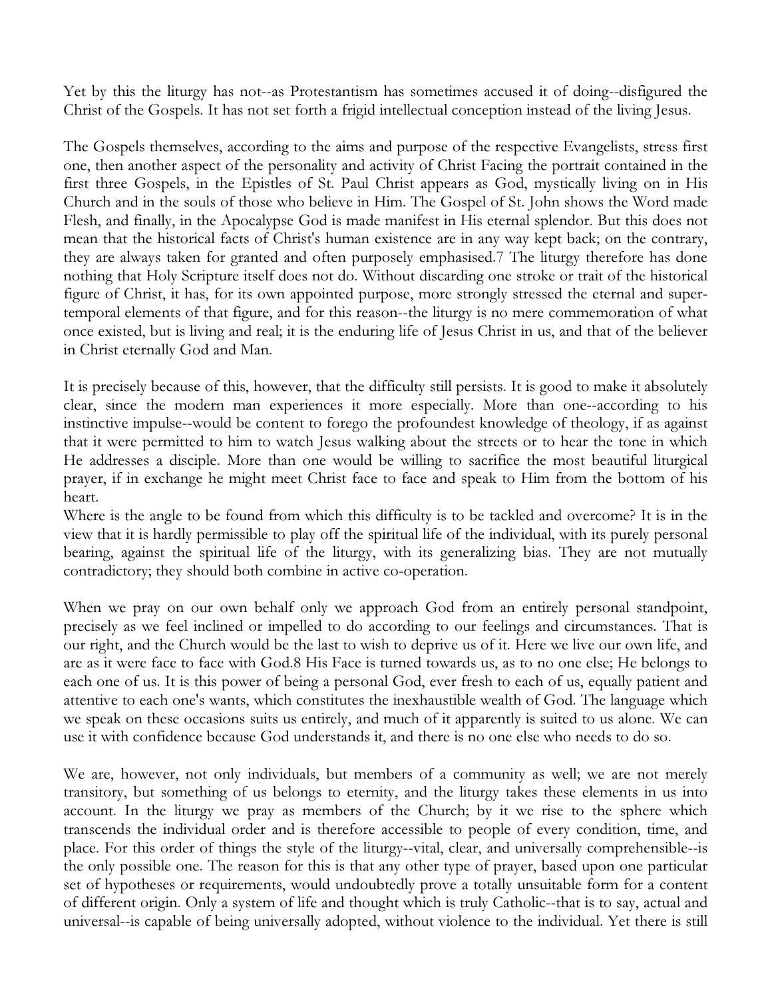Yet by this the liturgy has not--as Protestantism has sometimes accused it of doing--disfigured the Christ of the Gospels. It has not set forth a frigid intellectual conception instead of the living Jesus.

The Gospels themselves, according to the aims and purpose of the respective Evangelists, stress first one, then another aspect of the personality and activity of Christ Facing the portrait contained in the first three Gospels, in the Epistles of St. Paul Christ appears as God, mystically living on in His Church and in the souls of those who believe in Him. The Gospel of St. John shows the Word made Flesh, and finally, in the Apocalypse God is made manifest in His eternal splendor. But this does not mean that the historical facts of Christ's human existence are in any way kept back; on the contrary, they are always taken for granted and often purposely emphasised.7 The liturgy therefore has done nothing that Holy Scripture itself does not do. Without discarding one stroke or trait of the historical figure of Christ, it has, for its own appointed purpose, more strongly stressed the eternal and supertemporal elements of that figure, and for this reason--the liturgy is no mere commemoration of what once existed, but is living and real; it is the enduring life of Jesus Christ in us, and that of the believer in Christ eternally God and Man.

It is precisely because of this, however, that the difficulty still persists. It is good to make it absolutely clear, since the modern man experiences it more especially. More than one--according to his instinctive impulse--would be content to forego the profoundest knowledge of theology, if as against that it were permitted to him to watch Jesus walking about the streets or to hear the tone in which He addresses a disciple. More than one would be willing to sacrifice the most beautiful liturgical prayer, if in exchange he might meet Christ face to face and speak to Him from the bottom of his heart.

Where is the angle to be found from which this difficulty is to be tackled and overcome? It is in the view that it is hardly permissible to play off the spiritual life of the individual, with its purely personal bearing, against the spiritual life of the liturgy, with its generalizing bias. They are not mutually contradictory; they should both combine in active co-operation.

When we pray on our own behalf only we approach God from an entirely personal standpoint, precisely as we feel inclined or impelled to do according to our feelings and circumstances. That is our right, and the Church would be the last to wish to deprive us of it. Here we live our own life, and are as it were face to face with God.8 His Face is turned towards us, as to no one else; He belongs to each one of us. It is this power of being a personal God, ever fresh to each of us, equally patient and attentive to each one's wants, which constitutes the inexhaustible wealth of God. The language which we speak on these occasions suits us entirely, and much of it apparently is suited to us alone. We can use it with confidence because God understands it, and there is no one else who needs to do so.

We are, however, not only individuals, but members of a community as well; we are not merely transitory, but something of us belongs to eternity, and the liturgy takes these elements in us into account. In the liturgy we pray as members of the Church; by it we rise to the sphere which transcends the individual order and is therefore accessible to people of every condition, time, and place. For this order of things the style of the liturgy--vital, clear, and universally comprehensible--is the only possible one. The reason for this is that any other type of prayer, based upon one particular set of hypotheses or requirements, would undoubtedly prove a totally unsuitable form for a content of different origin. Only a system of life and thought which is truly Catholic--that is to say, actual and universal--is capable of being universally adopted, without violence to the individual. Yet there is still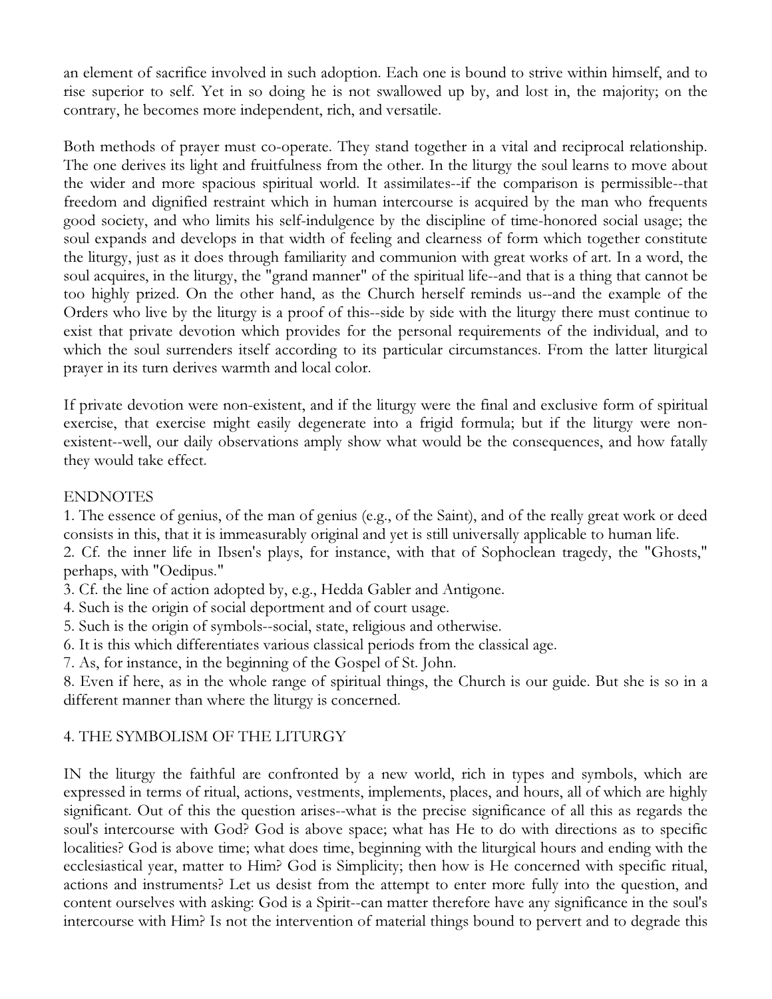an element of sacrifice involved in such adoption. Each one is bound to strive within himself, and to rise superior to self. Yet in so doing he is not swallowed up by, and lost in, the majority; on the contrary, he becomes more independent, rich, and versatile.

Both methods of prayer must co-operate. They stand together in a vital and reciprocal relationship. The one derives its light and fruitfulness from the other. In the liturgy the soul learns to move about the wider and more spacious spiritual world. It assimilates--if the comparison is permissible--that freedom and dignified restraint which in human intercourse is acquired by the man who frequents good society, and who limits his self-indulgence by the discipline of time-honored social usage; the soul expands and develops in that width of feeling and clearness of form which together constitute the liturgy, just as it does through familiarity and communion with great works of art. In a word, the soul acquires, in the liturgy, the "grand manner" of the spiritual life--and that is a thing that cannot be too highly prized. On the other hand, as the Church herself reminds us--and the example of the Orders who live by the liturgy is a proof of this--side by side with the liturgy there must continue to exist that private devotion which provides for the personal requirements of the individual, and to which the soul surrenders itself according to its particular circumstances. From the latter liturgical prayer in its turn derives warmth and local color.

If private devotion were non-existent, and if the liturgy were the final and exclusive form of spiritual exercise, that exercise might easily degenerate into a frigid formula; but if the liturgy were nonexistent--well, our daily observations amply show what would be the consequences, and how fatally they would take effect.

### ENDNOTES

1. The essence of genius, of the man of genius (e.g., of the Saint), and of the really great work or deed consists in this, that it is immeasurably original and yet is still universally applicable to human life.

2. Cf. the inner life in Ibsen's plays, for instance, with that of Sophoclean tragedy, the "Ghosts," perhaps, with "Oedipus."

3. Cf. the line of action adopted by, e.g., Hedda Gabler and Antigone.

- 4. Such is the origin of social deportment and of court usage.
- 5. Such is the origin of symbols--social, state, religious and otherwise.
- 6. It is this which differentiates various classical periods from the classical age.

7. As, for instance, in the beginning of the Gospel of St. John.

8. Even if here, as in the whole range of spiritual things, the Church is our guide. But she is so in a different manner than where the liturgy is concerned.

# 4. THE SYMBOLISM OF THE LITURGY

IN the liturgy the faithful are confronted by a new world, rich in types and symbols, which are expressed in terms of ritual, actions, vestments, implements, places, and hours, all of which are highly significant. Out of this the question arises--what is the precise significance of all this as regards the soul's intercourse with God? God is above space; what has He to do with directions as to specific localities? God is above time; what does time, beginning with the liturgical hours and ending with the ecclesiastical year, matter to Him? God is Simplicity; then how is He concerned with specific ritual, actions and instruments? Let us desist from the attempt to enter more fully into the question, and content ourselves with asking: God is a Spirit--can matter therefore have any significance in the soul's intercourse with Him? Is not the intervention of material things bound to pervert and to degrade this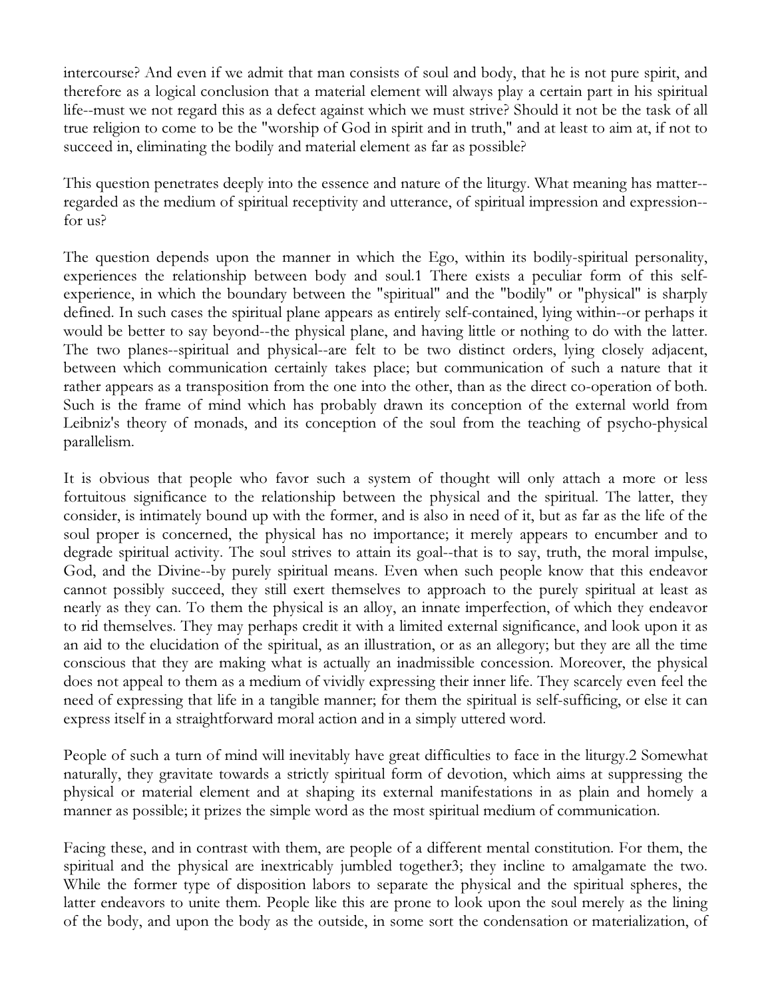intercourse? And even if we admit that man consists of soul and body, that he is not pure spirit, and therefore as a logical conclusion that a material element will always play a certain part in his spiritual life--must we not regard this as a defect against which we must strive? Should it not be the task of all true religion to come to be the "worship of God in spirit and in truth," and at least to aim at, if not to succeed in, eliminating the bodily and material element as far as possible?

This question penetrates deeply into the essence and nature of the liturgy. What meaning has matter- regarded as the medium of spiritual receptivity and utterance, of spiritual impression and expression- for us?

The question depends upon the manner in which the Ego, within its bodily-spiritual personality, experiences the relationship between body and soul.1 There exists a peculiar form of this selfexperience, in which the boundary between the "spiritual" and the "bodily" or "physical" is sharply defined. In such cases the spiritual plane appears as entirely self-contained, lying within--or perhaps it would be better to say beyond--the physical plane, and having little or nothing to do with the latter. The two planes--spiritual and physical--are felt to be two distinct orders, lying closely adjacent, between which communication certainly takes place; but communication of such a nature that it rather appears as a transposition from the one into the other, than as the direct co-operation of both. Such is the frame of mind which has probably drawn its conception of the external world from Leibniz's theory of monads, and its conception of the soul from the teaching of psycho-physical parallelism.

It is obvious that people who favor such a system of thought will only attach a more or less fortuitous significance to the relationship between the physical and the spiritual. The latter, they consider, is intimately bound up with the former, and is also in need of it, but as far as the life of the soul proper is concerned, the physical has no importance; it merely appears to encumber and to degrade spiritual activity. The soul strives to attain its goal--that is to say, truth, the moral impulse, God, and the Divine--by purely spiritual means. Even when such people know that this endeavor cannot possibly succeed, they still exert themselves to approach to the purely spiritual at least as nearly as they can. To them the physical is an alloy, an innate imperfection, of which they endeavor to rid themselves. They may perhaps credit it with a limited external significance, and look upon it as an aid to the elucidation of the spiritual, as an illustration, or as an allegory; but they are all the time conscious that they are making what is actually an inadmissible concession. Moreover, the physical does not appeal to them as a medium of vividly expressing their inner life. They scarcely even feel the need of expressing that life in a tangible manner; for them the spiritual is self-sufficing, or else it can express itself in a straightforward moral action and in a simply uttered word.

People of such a turn of mind will inevitably have great difficulties to face in the liturgy.2 Somewhat naturally, they gravitate towards a strictly spiritual form of devotion, which aims at suppressing the physical or material element and at shaping its external manifestations in as plain and homely a manner as possible; it prizes the simple word as the most spiritual medium of communication.

Facing these, and in contrast with them, are people of a different mental constitution. For them, the spiritual and the physical are inextricably jumbled together3; they incline to amalgamate the two. While the former type of disposition labors to separate the physical and the spiritual spheres, the latter endeavors to unite them. People like this are prone to look upon the soul merely as the lining of the body, and upon the body as the outside, in some sort the condensation or materialization, of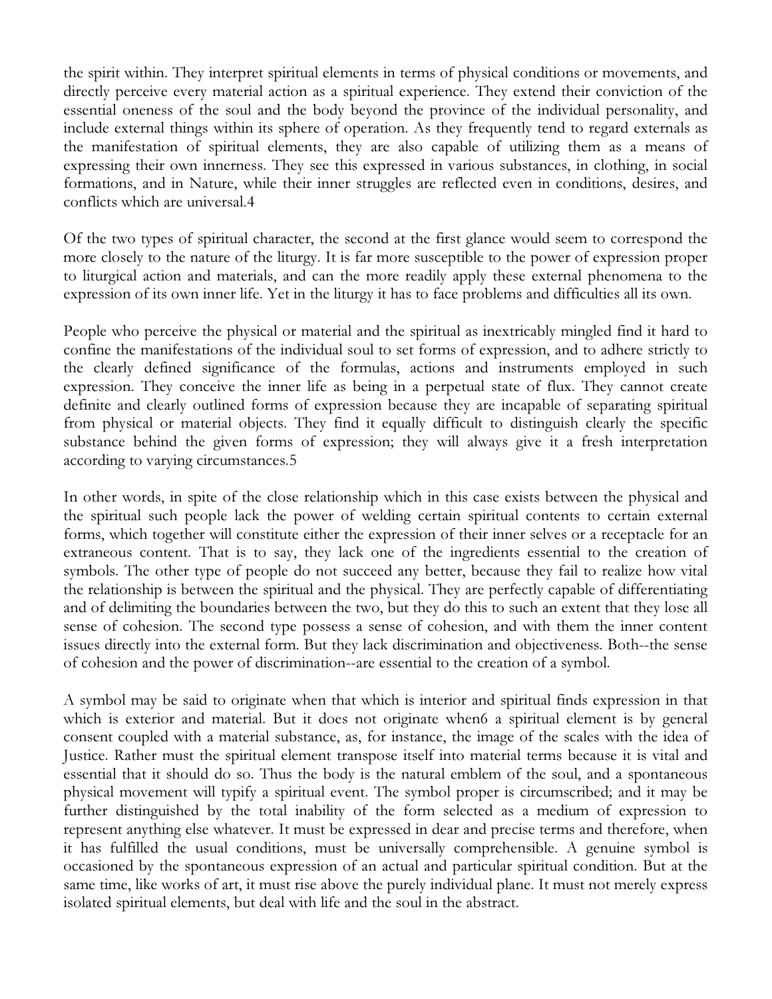the spirit within. They interpret spiritual elements in terms of physical conditions or movements, and directly perceive every material action as a spiritual experience. They extend their conviction of the essential oneness of the soul and the body beyond the province of the individual personality, and include external things within its sphere of operation. As they frequently tend to regard externals as the manifestation of spiritual elements, they are also capable of utilizing them as a means of expressing their own innerness. They see this expressed in various substances, in clothing, in social formations, and in Nature, while their inner struggles are reflected even in conditions, desires, and conflicts which are universal.4

Of the two types of spiritual character, the second at the first glance would seem to correspond the more closely to the nature of the liturgy. It is far more susceptible to the power of expression proper to liturgical action and materials, and can the more readily apply these external phenomena to the expression of its own inner life. Yet in the liturgy it has to face problems and difficulties all its own.

People who perceive the physical or material and the spiritual as inextricably mingled find it hard to confine the manifestations of the individual soul to set forms of expression, and to adhere strictly to the clearly defined significance of the formulas, actions and instruments employed in such expression. They conceive the inner life as being in a perpetual state of flux. They cannot create definite and clearly outlined forms of expression because they are incapable of separating spiritual from physical or material objects. They find it equally difficult to distinguish clearly the specific substance behind the given forms of expression; they will always give it a fresh interpretation according to varying circumstances.5

In other words, in spite of the close relationship which in this case exists between the physical and the spiritual such people lack the power of welding certain spiritual contents to certain external forms, which together will constitute either the expression of their inner selves or a receptacle for an extraneous content. That is to say, they lack one of the ingredients essential to the creation of symbols. The other type of people do not succeed any better, because they fail to realize how vital the relationship is between the spiritual and the physical. They are perfectly capable of differentiating and of delimiting the boundaries between the two, but they do this to such an extent that they lose all sense of cohesion. The second type possess a sense of cohesion, and with them the inner content issues directly into the external form. But they lack discrimination and objectiveness. Both--the sense of cohesion and the power of discrimination--are essential to the creation of a symbol.

A symbol may be said to originate when that which is interior and spiritual finds expression in that which is exterior and material. But it does not originate when6 a spiritual element is by general consent coupled with a material substance, as, for instance, the image of the scales with the idea of Justice. Rather must the spiritual element transpose itself into material terms because it is vital and essential that it should do so. Thus the body is the natural emblem of the soul, and a spontaneous physical movement will typify a spiritual event. The symbol proper is circumscribed; and it may be further distinguished by the total inability of the form selected as a medium of expression to represent anything else whatever. It must be expressed in dear and precise terms and therefore, when it has fulfilled the usual conditions, must be universally comprehensible. A genuine symbol is occasioned by the spontaneous expression of an actual and particular spiritual condition. But at the same time, like works of art, it must rise above the purely individual plane. It must not merely express isolated spiritual elements, but deal with life and the soul in the abstract.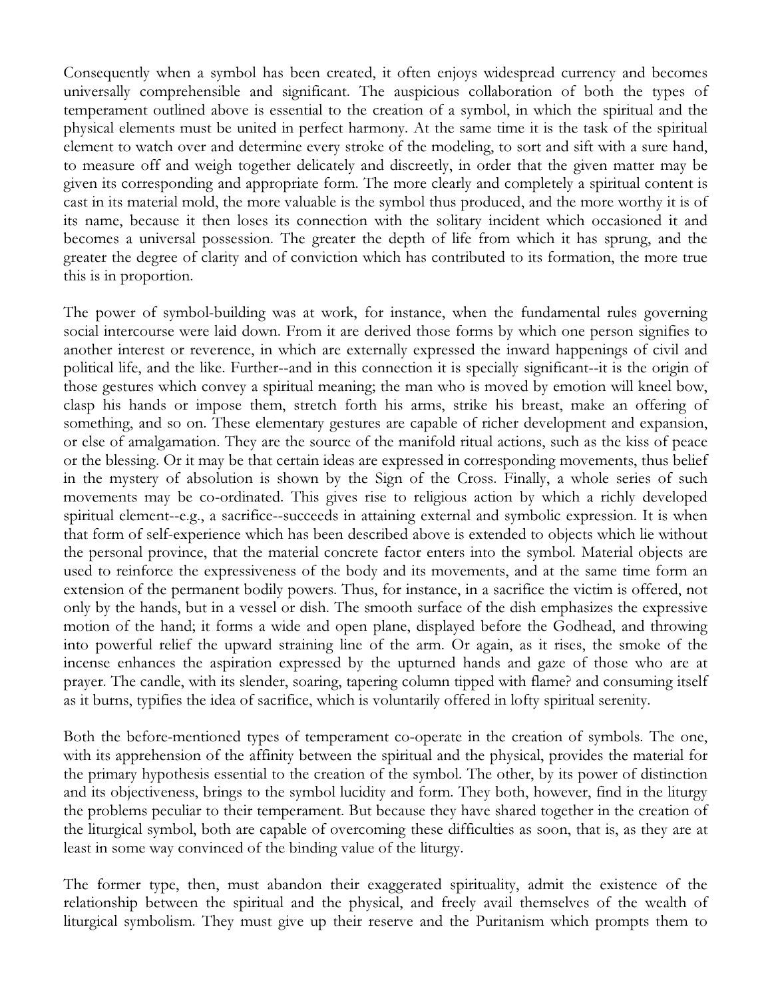Consequently when a symbol has been created, it often enjoys widespread currency and becomes universally comprehensible and significant. The auspicious collaboration of both the types of temperament outlined above is essential to the creation of a symbol, in which the spiritual and the physical elements must be united in perfect harmony. At the same time it is the task of the spiritual element to watch over and determine every stroke of the modeling, to sort and sift with a sure hand, to measure off and weigh together delicately and discreetly, in order that the given matter may be given its corresponding and appropriate form. The more clearly and completely a spiritual content is cast in its material mold, the more valuable is the symbol thus produced, and the more worthy it is of its name, because it then loses its connection with the solitary incident which occasioned it and becomes a universal possession. The greater the depth of life from which it has sprung, and the greater the degree of clarity and of conviction which has contributed to its formation, the more true this is in proportion.

The power of symbol-building was at work, for instance, when the fundamental rules governing social intercourse were laid down. From it are derived those forms by which one person signifies to another interest or reverence, in which are externally expressed the inward happenings of civil and political life, and the like. Further--and in this connection it is specially significant--it is the origin of those gestures which convey a spiritual meaning; the man who is moved by emotion will kneel bow, clasp his hands or impose them, stretch forth his arms, strike his breast, make an offering of something, and so on. These elementary gestures are capable of richer development and expansion, or else of amalgamation. They are the source of the manifold ritual actions, such as the kiss of peace or the blessing. Or it may be that certain ideas are expressed in corresponding movements, thus belief in the mystery of absolution is shown by the Sign of the Cross. Finally, a whole series of such movements may be co-ordinated. This gives rise to religious action by which a richly developed spiritual element--e.g., a sacrifice--succeeds in attaining external and symbolic expression. It is when that form of self-experience which has been described above is extended to objects which lie without the personal province, that the material concrete factor enters into the symbol. Material objects are used to reinforce the expressiveness of the body and its movements, and at the same time form an extension of the permanent bodily powers. Thus, for instance, in a sacrifice the victim is offered, not only by the hands, but in a vessel or dish. The smooth surface of the dish emphasizes the expressive motion of the hand; it forms a wide and open plane, displayed before the Godhead, and throwing into powerful relief the upward straining line of the arm. Or again, as it rises, the smoke of the incense enhances the aspiration expressed by the upturned hands and gaze of those who are at prayer. The candle, with its slender, soaring, tapering column tipped with flame? and consuming itself as it burns, typifies the idea of sacrifice, which is voluntarily offered in lofty spiritual serenity.

Both the before-mentioned types of temperament co-operate in the creation of symbols. The one, with its apprehension of the affinity between the spiritual and the physical, provides the material for the primary hypothesis essential to the creation of the symbol. The other, by its power of distinction and its objectiveness, brings to the symbol lucidity and form. They both, however, find in the liturgy the problems peculiar to their temperament. But because they have shared together in the creation of the liturgical symbol, both are capable of overcoming these difficulties as soon, that is, as they are at least in some way convinced of the binding value of the liturgy.

The former type, then, must abandon their exaggerated spirituality, admit the existence of the relationship between the spiritual and the physical, and freely avail themselves of the wealth of liturgical symbolism. They must give up their reserve and the Puritanism which prompts them to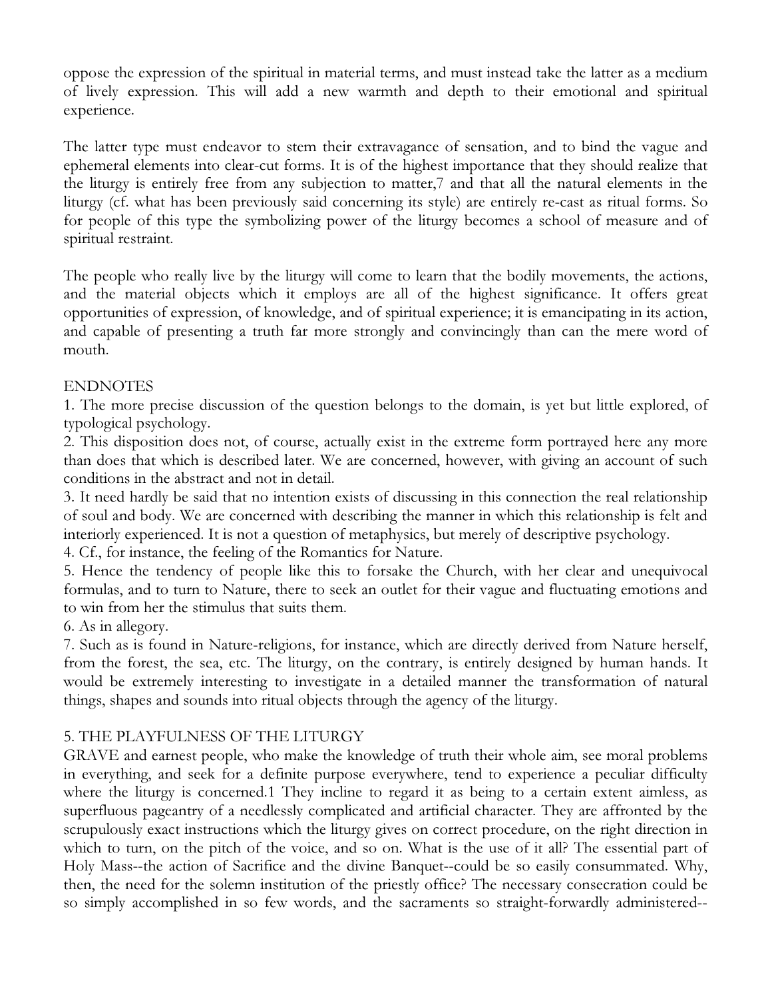oppose the expression of the spiritual in material terms, and must instead take the latter as a medium of lively expression. This will add a new warmth and depth to their emotional and spiritual experience.

The latter type must endeavor to stem their extravagance of sensation, and to bind the vague and ephemeral elements into clear-cut forms. It is of the highest importance that they should realize that the liturgy is entirely free from any subjection to matter,7 and that all the natural elements in the liturgy (cf. what has been previously said concerning its style) are entirely re-cast as ritual forms. So for people of this type the symbolizing power of the liturgy becomes a school of measure and of spiritual restraint.

The people who really live by the liturgy will come to learn that the bodily movements, the actions, and the material objects which it employs are all of the highest significance. It offers great opportunities of expression, of knowledge, and of spiritual experience; it is emancipating in its action, and capable of presenting a truth far more strongly and convincingly than can the mere word of mouth.

### ENDNOTES

1. The more precise discussion of the question belongs to the domain, is yet but little explored, of typological psychology.

2. This disposition does not, of course, actually exist in the extreme form portrayed here any more than does that which is described later. We are concerned, however, with giving an account of such conditions in the abstract and not in detail.

3. It need hardly be said that no intention exists of discussing in this connection the real relationship of soul and body. We are concerned with describing the manner in which this relationship is felt and interiorly experienced. It is not a question of metaphysics, but merely of descriptive psychology.

4. Cf., for instance, the feeling of the Romantics for Nature.

5. Hence the tendency of people like this to forsake the Church, with her clear and unequivocal formulas, and to turn to Nature, there to seek an outlet for their vague and fluctuating emotions and to win from her the stimulus that suits them.

6. As in allegory.

7. Such as is found in Nature-religions, for instance, which are directly derived from Nature herself, from the forest, the sea, etc. The liturgy, on the contrary, is entirely designed by human hands. It would be extremely interesting to investigate in a detailed manner the transformation of natural things, shapes and sounds into ritual objects through the agency of the liturgy.

# 5. THE PLAYFULNESS OF THE LITURGY

GRAVE and earnest people, who make the knowledge of truth their whole aim, see moral problems in everything, and seek for a definite purpose everywhere, tend to experience a peculiar difficulty where the liturgy is concerned.1 They incline to regard it as being to a certain extent aimless, as superfluous pageantry of a needlessly complicated and artificial character. They are affronted by the scrupulously exact instructions which the liturgy gives on correct procedure, on the right direction in which to turn, on the pitch of the voice, and so on. What is the use of it all? The essential part of Holy Mass--the action of Sacrifice and the divine Banquet--could be so easily consummated. Why, then, the need for the solemn institution of the priestly office? The necessary consecration could be so simply accomplished in so few words, and the sacraments so straight-forwardly administered--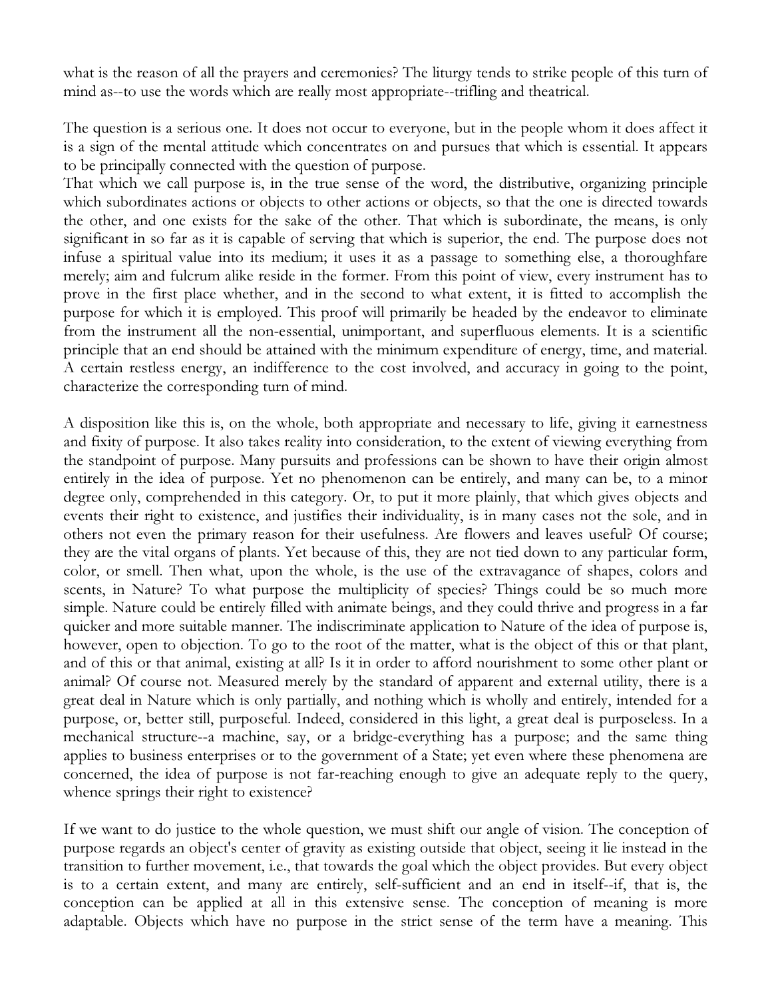what is the reason of all the prayers and ceremonies? The liturgy tends to strike people of this turn of mind as--to use the words which are really most appropriate--trifling and theatrical.

The question is a serious one. It does not occur to everyone, but in the people whom it does affect it is a sign of the mental attitude which concentrates on and pursues that which is essential. It appears to be principally connected with the question of purpose.

That which we call purpose is, in the true sense of the word, the distributive, organizing principle which subordinates actions or objects to other actions or objects, so that the one is directed towards the other, and one exists for the sake of the other. That which is subordinate, the means, is only significant in so far as it is capable of serving that which is superior, the end. The purpose does not infuse a spiritual value into its medium; it uses it as a passage to something else, a thoroughfare merely; aim and fulcrum alike reside in the former. From this point of view, every instrument has to prove in the first place whether, and in the second to what extent, it is fitted to accomplish the purpose for which it is employed. This proof will primarily be headed by the endeavor to eliminate from the instrument all the non-essential, unimportant, and superfluous elements. It is a scientific principle that an end should be attained with the minimum expenditure of energy, time, and material. A certain restless energy, an indifference to the cost involved, and accuracy in going to the point, characterize the corresponding turn of mind.

A disposition like this is, on the whole, both appropriate and necessary to life, giving it earnestness and fixity of purpose. It also takes reality into consideration, to the extent of viewing everything from the standpoint of purpose. Many pursuits and professions can be shown to have their origin almost entirely in the idea of purpose. Yet no phenomenon can be entirely, and many can be, to a minor degree only, comprehended in this category. Or, to put it more plainly, that which gives objects and events their right to existence, and justifies their individuality, is in many cases not the sole, and in others not even the primary reason for their usefulness. Are flowers and leaves useful? Of course; they are the vital organs of plants. Yet because of this, they are not tied down to any particular form, color, or smell. Then what, upon the whole, is the use of the extravagance of shapes, colors and scents, in Nature? To what purpose the multiplicity of species? Things could be so much more simple. Nature could be entirely filled with animate beings, and they could thrive and progress in a far quicker and more suitable manner. The indiscriminate application to Nature of the idea of purpose is, however, open to objection. To go to the root of the matter, what is the object of this or that plant, and of this or that animal, existing at all? Is it in order to afford nourishment to some other plant or animal? Of course not. Measured merely by the standard of apparent and external utility, there is a great deal in Nature which is only partially, and nothing which is wholly and entirely, intended for a purpose, or, better still, purposeful. Indeed, considered in this light, a great deal is purposeless. In a mechanical structure--a machine, say, or a bridge-everything has a purpose; and the same thing applies to business enterprises or to the government of a State; yet even where these phenomena are concerned, the idea of purpose is not far-reaching enough to give an adequate reply to the query, whence springs their right to existence?

If we want to do justice to the whole question, we must shift our angle of vision. The conception of purpose regards an object's center of gravity as existing outside that object, seeing it lie instead in the transition to further movement, i.e., that towards the goal which the object provides. But every object is to a certain extent, and many are entirely, self-sufficient and an end in itself--if, that is, the conception can be applied at all in this extensive sense. The conception of meaning is more adaptable. Objects which have no purpose in the strict sense of the term have a meaning. This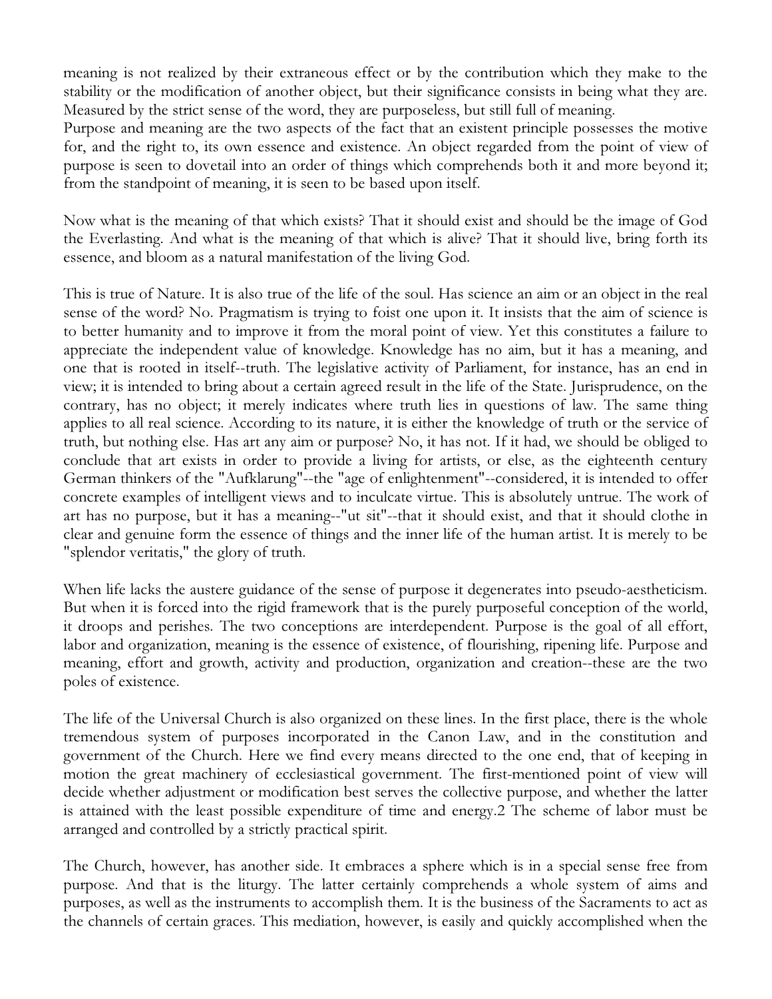meaning is not realized by their extraneous effect or by the contribution which they make to the stability or the modification of another object, but their significance consists in being what they are. Measured by the strict sense of the word, they are purposeless, but still full of meaning.

Purpose and meaning are the two aspects of the fact that an existent principle possesses the motive for, and the right to, its own essence and existence. An object regarded from the point of view of purpose is seen to dovetail into an order of things which comprehends both it and more beyond it; from the standpoint of meaning, it is seen to be based upon itself.

Now what is the meaning of that which exists? That it should exist and should be the image of God the Everlasting. And what is the meaning of that which is alive? That it should live, bring forth its essence, and bloom as a natural manifestation of the living God.

This is true of Nature. It is also true of the life of the soul. Has science an aim or an object in the real sense of the word? No. Pragmatism is trying to foist one upon it. It insists that the aim of science is to better humanity and to improve it from the moral point of view. Yet this constitutes a failure to appreciate the independent value of knowledge. Knowledge has no aim, but it has a meaning, and one that is rooted in itself--truth. The legislative activity of Parliament, for instance, has an end in view; it is intended to bring about a certain agreed result in the life of the State. Jurisprudence, on the contrary, has no object; it merely indicates where truth lies in questions of law. The same thing applies to all real science. According to its nature, it is either the knowledge of truth or the service of truth, but nothing else. Has art any aim or purpose? No, it has not. If it had, we should be obliged to conclude that art exists in order to provide a living for artists, or else, as the eighteenth century German thinkers of the "Aufklarung"--the "age of enlightenment"--considered, it is intended to offer concrete examples of intelligent views and to inculcate virtue. This is absolutely untrue. The work of art has no purpose, but it has a meaning--"ut sit"--that it should exist, and that it should clothe in clear and genuine form the essence of things and the inner life of the human artist. It is merely to be "splendor veritatis," the glory of truth.

When life lacks the austere guidance of the sense of purpose it degenerates into pseudo-aestheticism. But when it is forced into the rigid framework that is the purely purposeful conception of the world, it droops and perishes. The two conceptions are interdependent. Purpose is the goal of all effort, labor and organization, meaning is the essence of existence, of flourishing, ripening life. Purpose and meaning, effort and growth, activity and production, organization and creation--these are the two poles of existence.

The life of the Universal Church is also organized on these lines. In the first place, there is the whole tremendous system of purposes incorporated in the Canon Law, and in the constitution and government of the Church. Here we find every means directed to the one end, that of keeping in motion the great machinery of ecclesiastical government. The first-mentioned point of view will decide whether adjustment or modification best serves the collective purpose, and whether the latter is attained with the least possible expenditure of time and energy.2 The scheme of labor must be arranged and controlled by a strictly practical spirit.

The Church, however, has another side. It embraces a sphere which is in a special sense free from purpose. And that is the liturgy. The latter certainly comprehends a whole system of aims and purposes, as well as the instruments to accomplish them. It is the business of the Sacraments to act as the channels of certain graces. This mediation, however, is easily and quickly accomplished when the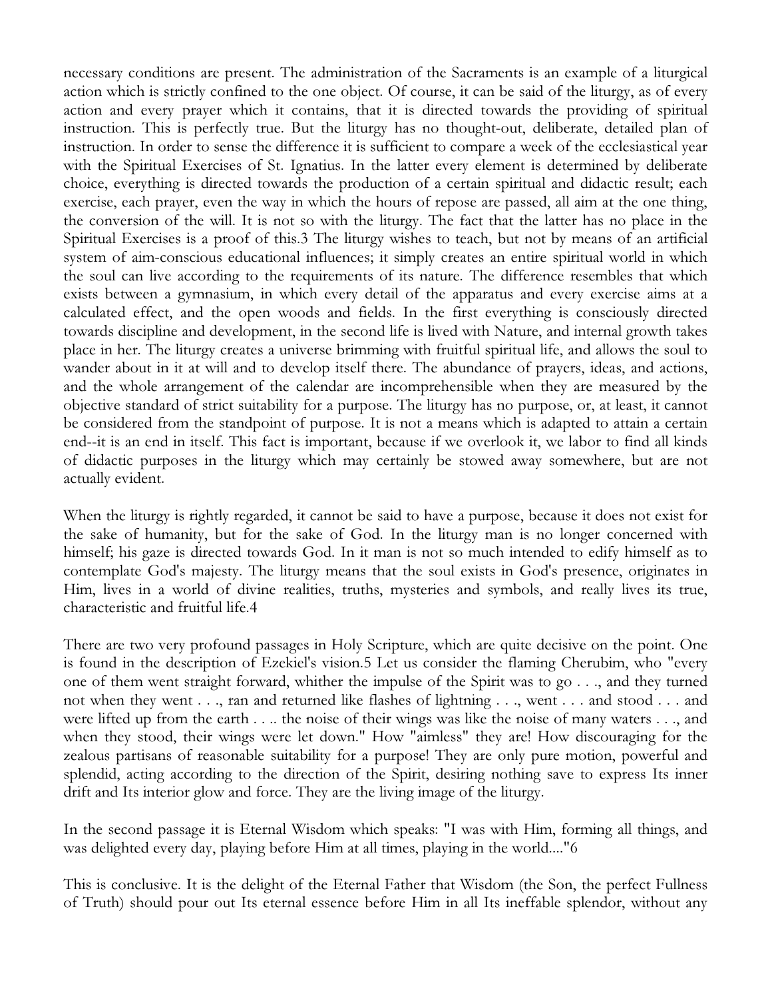necessary conditions are present. The administration of the Sacraments is an example of a liturgical action which is strictly confined to the one object. Of course, it can be said of the liturgy, as of every action and every prayer which it contains, that it is directed towards the providing of spiritual instruction. This is perfectly true. But the liturgy has no thought-out, deliberate, detailed plan of instruction. In order to sense the difference it is sufficient to compare a week of the ecclesiastical year with the Spiritual Exercises of St. Ignatius. In the latter every element is determined by deliberate choice, everything is directed towards the production of a certain spiritual and didactic result; each exercise, each prayer, even the way in which the hours of repose are passed, all aim at the one thing, the conversion of the will. It is not so with the liturgy. The fact that the latter has no place in the Spiritual Exercises is a proof of this.3 The liturgy wishes to teach, but not by means of an artificial system of aim-conscious educational influences; it simply creates an entire spiritual world in which the soul can live according to the requirements of its nature. The difference resembles that which exists between a gymnasium, in which every detail of the apparatus and every exercise aims at a calculated effect, and the open woods and fields. In the first everything is consciously directed towards discipline and development, in the second life is lived with Nature, and internal growth takes place in her. The liturgy creates a universe brimming with fruitful spiritual life, and allows the soul to wander about in it at will and to develop itself there. The abundance of prayers, ideas, and actions, and the whole arrangement of the calendar are incomprehensible when they are measured by the objective standard of strict suitability for a purpose. The liturgy has no purpose, or, at least, it cannot be considered from the standpoint of purpose. It is not a means which is adapted to attain a certain end--it is an end in itself. This fact is important, because if we overlook it, we labor to find all kinds of didactic purposes in the liturgy which may certainly be stowed away somewhere, but are not actually evident.

When the liturgy is rightly regarded, it cannot be said to have a purpose, because it does not exist for the sake of humanity, but for the sake of God. In the liturgy man is no longer concerned with himself; his gaze is directed towards God. In it man is not so much intended to edify himself as to contemplate God's majesty. The liturgy means that the soul exists in God's presence, originates in Him, lives in a world of divine realities, truths, mysteries and symbols, and really lives its true, characteristic and fruitful life.4

There are two very profound passages in Holy Scripture, which are quite decisive on the point. One is found in the description of Ezekiel's vision.5 Let us consider the flaming Cherubim, who "every one of them went straight forward, whither the impulse of the Spirit was to go . . ., and they turned not when they went . . ., ran and returned like flashes of lightning . . ., went . . . and stood . . . and were lifted up from the earth . . .. the noise of their wings was like the noise of many waters . . ., and when they stood, their wings were let down." How "aimless" they are! How discouraging for the zealous partisans of reasonable suitability for a purpose! They are only pure motion, powerful and splendid, acting according to the direction of the Spirit, desiring nothing save to express Its inner drift and Its interior glow and force. They are the living image of the liturgy.

In the second passage it is Eternal Wisdom which speaks: "I was with Him, forming all things, and was delighted every day, playing before Him at all times, playing in the world...."6

This is conclusive. It is the delight of the Eternal Father that Wisdom (the Son, the perfect Fullness of Truth) should pour out Its eternal essence before Him in all Its ineffable splendor, without any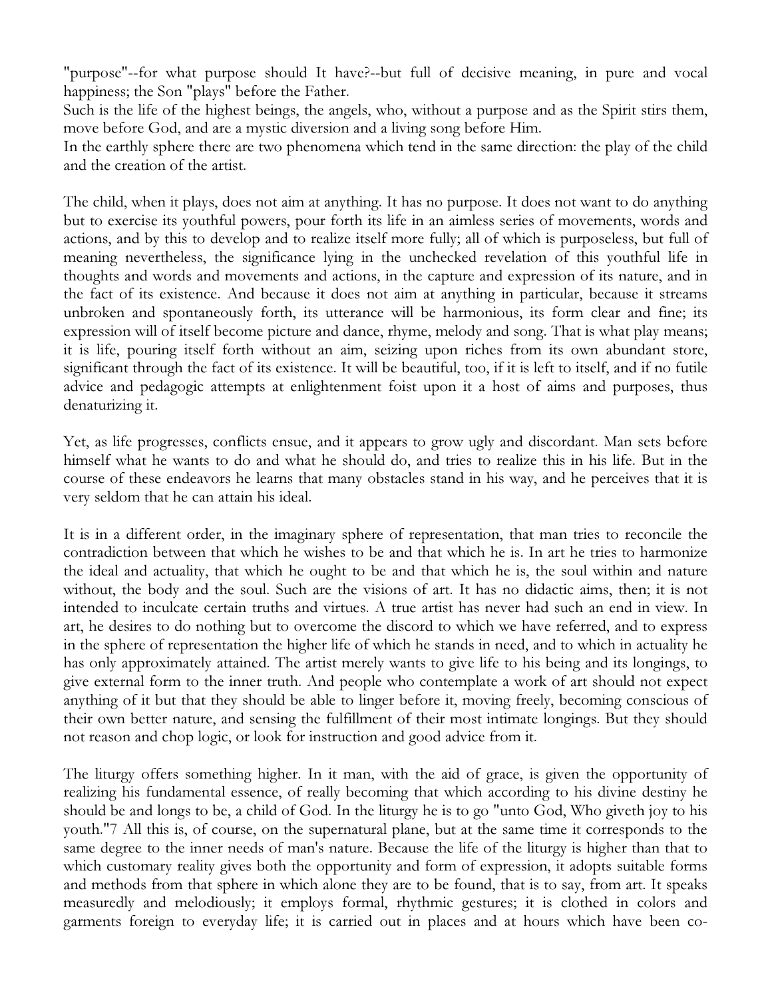"purpose"--for what purpose should It have?--but full of decisive meaning, in pure and vocal happiness; the Son "plays" before the Father.

Such is the life of the highest beings, the angels, who, without a purpose and as the Spirit stirs them, move before God, and are a mystic diversion and a living song before Him.

In the earthly sphere there are two phenomena which tend in the same direction: the play of the child and the creation of the artist.

The child, when it plays, does not aim at anything. It has no purpose. It does not want to do anything but to exercise its youthful powers, pour forth its life in an aimless series of movements, words and actions, and by this to develop and to realize itself more fully; all of which is purposeless, but full of meaning nevertheless, the significance lying in the unchecked revelation of this youthful life in thoughts and words and movements and actions, in the capture and expression of its nature, and in the fact of its existence. And because it does not aim at anything in particular, because it streams unbroken and spontaneously forth, its utterance will be harmonious, its form clear and fine; its expression will of itself become picture and dance, rhyme, melody and song. That is what play means; it is life, pouring itself forth without an aim, seizing upon riches from its own abundant store, significant through the fact of its existence. It will be beautiful, too, if it is left to itself, and if no futile advice and pedagogic attempts at enlightenment foist upon it a host of aims and purposes, thus denaturizing it.

Yet, as life progresses, conflicts ensue, and it appears to grow ugly and discordant. Man sets before himself what he wants to do and what he should do, and tries to realize this in his life. But in the course of these endeavors he learns that many obstacles stand in his way, and he perceives that it is very seldom that he can attain his ideal.

It is in a different order, in the imaginary sphere of representation, that man tries to reconcile the contradiction between that which he wishes to be and that which he is. In art he tries to harmonize the ideal and actuality, that which he ought to be and that which he is, the soul within and nature without, the body and the soul. Such are the visions of art. It has no didactic aims, then; it is not intended to inculcate certain truths and virtues. A true artist has never had such an end in view. In art, he desires to do nothing but to overcome the discord to which we have referred, and to express in the sphere of representation the higher life of which he stands in need, and to which in actuality he has only approximately attained. The artist merely wants to give life to his being and its longings, to give external form to the inner truth. And people who contemplate a work of art should not expect anything of it but that they should be able to linger before it, moving freely, becoming conscious of their own better nature, and sensing the fulfillment of their most intimate longings. But they should not reason and chop logic, or look for instruction and good advice from it.

The liturgy offers something higher. In it man, with the aid of grace, is given the opportunity of realizing his fundamental essence, of really becoming that which according to his divine destiny he should be and longs to be, a child of God. In the liturgy he is to go "unto God, Who giveth joy to his youth."7 All this is, of course, on the supernatural plane, but at the same time it corresponds to the same degree to the inner needs of man's nature. Because the life of the liturgy is higher than that to which customary reality gives both the opportunity and form of expression, it adopts suitable forms and methods from that sphere in which alone they are to be found, that is to say, from art. It speaks measuredly and melodiously; it employs formal, rhythmic gestures; it is clothed in colors and garments foreign to everyday life; it is carried out in places and at hours which have been co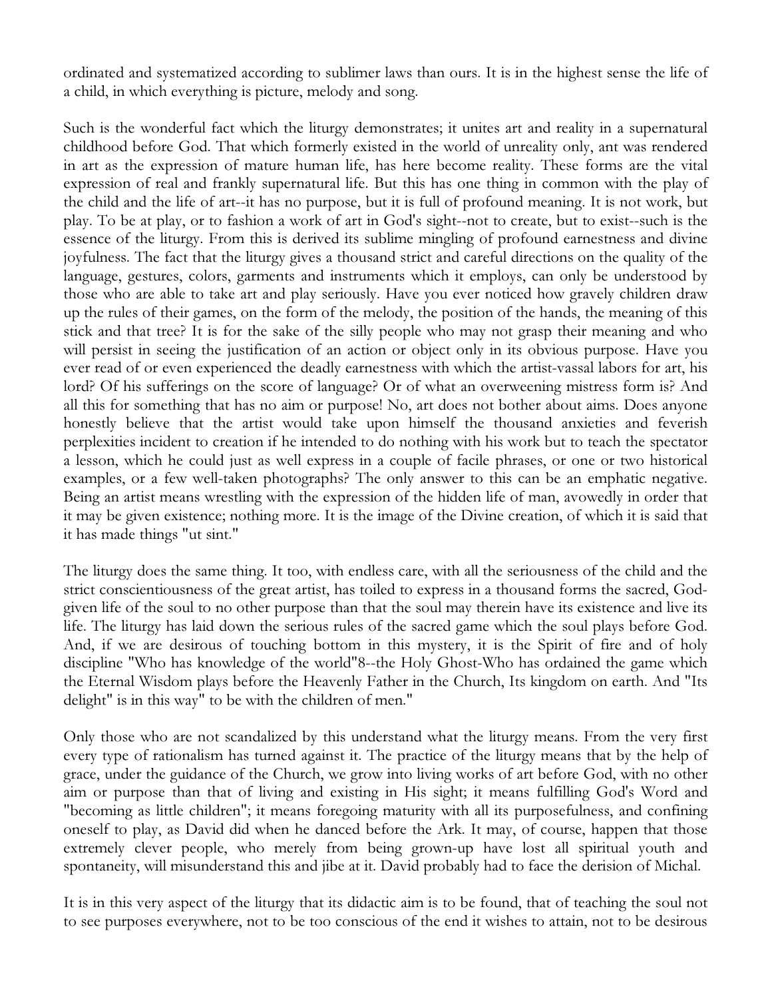ordinated and systematized according to sublimer laws than ours. It is in the highest sense the life of a child, in which everything is picture, melody and song.

Such is the wonderful fact which the liturgy demonstrates; it unites art and reality in a supernatural childhood before God. That which formerly existed in the world of unreality only, ant was rendered in art as the expression of mature human life, has here become reality. These forms are the vital expression of real and frankly supernatural life. But this has one thing in common with the play of the child and the life of art--it has no purpose, but it is full of profound meaning. It is not work, but play. To be at play, or to fashion a work of art in God's sight--not to create, but to exist--such is the essence of the liturgy. From this is derived its sublime mingling of profound earnestness and divine joyfulness. The fact that the liturgy gives a thousand strict and careful directions on the quality of the language, gestures, colors, garments and instruments which it employs, can only be understood by those who are able to take art and play seriously. Have you ever noticed how gravely children draw up the rules of their games, on the form of the melody, the position of the hands, the meaning of this stick and that tree? It is for the sake of the silly people who may not grasp their meaning and who will persist in seeing the justification of an action or object only in its obvious purpose. Have you ever read of or even experienced the deadly earnestness with which the artist-vassal labors for art, his lord? Of his sufferings on the score of language? Or of what an overweening mistress form is? And all this for something that has no aim or purpose! No, art does not bother about aims. Does anyone honestly believe that the artist would take upon himself the thousand anxieties and feverish perplexities incident to creation if he intended to do nothing with his work but to teach the spectator a lesson, which he could just as well express in a couple of facile phrases, or one or two historical examples, or a few well-taken photographs? The only answer to this can be an emphatic negative. Being an artist means wrestling with the expression of the hidden life of man, avowedly in order that it may be given existence; nothing more. It is the image of the Divine creation, of which it is said that it has made things "ut sint."

The liturgy does the same thing. It too, with endless care, with all the seriousness of the child and the strict conscientiousness of the great artist, has toiled to express in a thousand forms the sacred, Godgiven life of the soul to no other purpose than that the soul may therein have its existence and live its life. The liturgy has laid down the serious rules of the sacred game which the soul plays before God. And, if we are desirous of touching bottom in this mystery, it is the Spirit of fire and of holy discipline "Who has knowledge of the world"8--the Holy Ghost-Who has ordained the game which the Eternal Wisdom plays before the Heavenly Father in the Church, Its kingdom on earth. And "Its delight" is in this way" to be with the children of men."

Only those who are not scandalized by this understand what the liturgy means. From the very first every type of rationalism has turned against it. The practice of the liturgy means that by the help of grace, under the guidance of the Church, we grow into living works of art before God, with no other aim or purpose than that of living and existing in His sight; it means fulfilling God's Word and "becoming as little children"; it means foregoing maturity with all its purposefulness, and confining oneself to play, as David did when he danced before the Ark. It may, of course, happen that those extremely clever people, who merely from being grown-up have lost all spiritual youth and spontaneity, will misunderstand this and jibe at it. David probably had to face the derision of Michal.

It is in this very aspect of the liturgy that its didactic aim is to be found, that of teaching the soul not to see purposes everywhere, not to be too conscious of the end it wishes to attain, not to be desirous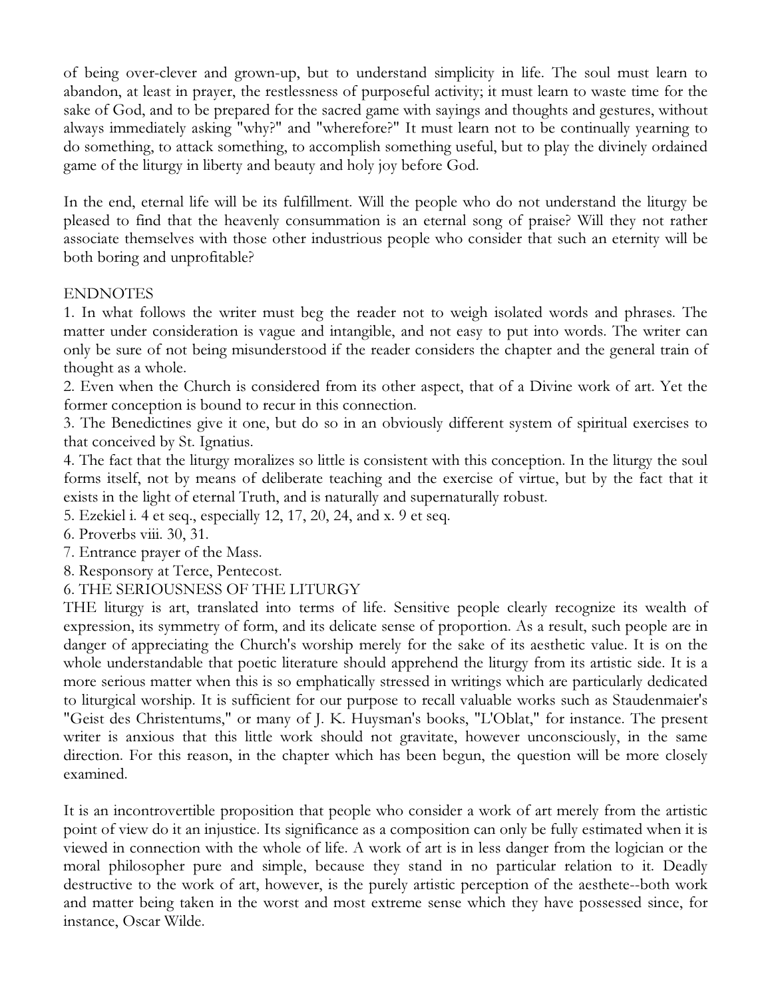of being over-clever and grown-up, but to understand simplicity in life. The soul must learn to abandon, at least in prayer, the restlessness of purposeful activity; it must learn to waste time for the sake of God, and to be prepared for the sacred game with sayings and thoughts and gestures, without always immediately asking "why?" and "wherefore?" It must learn not to be continually yearning to do something, to attack something, to accomplish something useful, but to play the divinely ordained game of the liturgy in liberty and beauty and holy joy before God.

In the end, eternal life will be its fulfillment. Will the people who do not understand the liturgy be pleased to find that the heavenly consummation is an eternal song of praise? Will they not rather associate themselves with those other industrious people who consider that such an eternity will be both boring and unprofitable?

# ENDNOTES

1. In what follows the writer must beg the reader not to weigh isolated words and phrases. The matter under consideration is vague and intangible, and not easy to put into words. The writer can only be sure of not being misunderstood if the reader considers the chapter and the general train of thought as a whole.

2. Even when the Church is considered from its other aspect, that of a Divine work of art. Yet the former conception is bound to recur in this connection.

3. The Benedictines give it one, but do so in an obviously different system of spiritual exercises to that conceived by St. Ignatius.

4. The fact that the liturgy moralizes so little is consistent with this conception. In the liturgy the soul forms itself, not by means of deliberate teaching and the exercise of virtue, but by the fact that it exists in the light of eternal Truth, and is naturally and supernaturally robust.

5. Ezekiel i. 4 et seq., especially 12, 17, 20, 24, and x. 9 et seq.

- 6. Proverbs viii. 30, 31.
- 7. Entrance prayer of the Mass.
- 8. Responsory at Terce, Pentecost.
- 6. THE SERIOUSNESS OF THE LITURGY

THE liturgy is art, translated into terms of life. Sensitive people clearly recognize its wealth of expression, its symmetry of form, and its delicate sense of proportion. As a result, such people are in danger of appreciating the Church's worship merely for the sake of its aesthetic value. It is on the whole understandable that poetic literature should apprehend the liturgy from its artistic side. It is a more serious matter when this is so emphatically stressed in writings which are particularly dedicated to liturgical worship. It is sufficient for our purpose to recall valuable works such as Staudenmaier's "Geist des Christentums," or many of J. K. Huysman's books, "L'Oblat," for instance. The present writer is anxious that this little work should not gravitate, however unconsciously, in the same direction. For this reason, in the chapter which has been begun, the question will be more closely examined.

It is an incontrovertible proposition that people who consider a work of art merely from the artistic point of view do it an injustice. Its significance as a composition can only be fully estimated when it is viewed in connection with the whole of life. A work of art is in less danger from the logician or the moral philosopher pure and simple, because they stand in no particular relation to it. Deadly destructive to the work of art, however, is the purely artistic perception of the aesthete--both work and matter being taken in the worst and most extreme sense which they have possessed since, for instance, Oscar Wilde.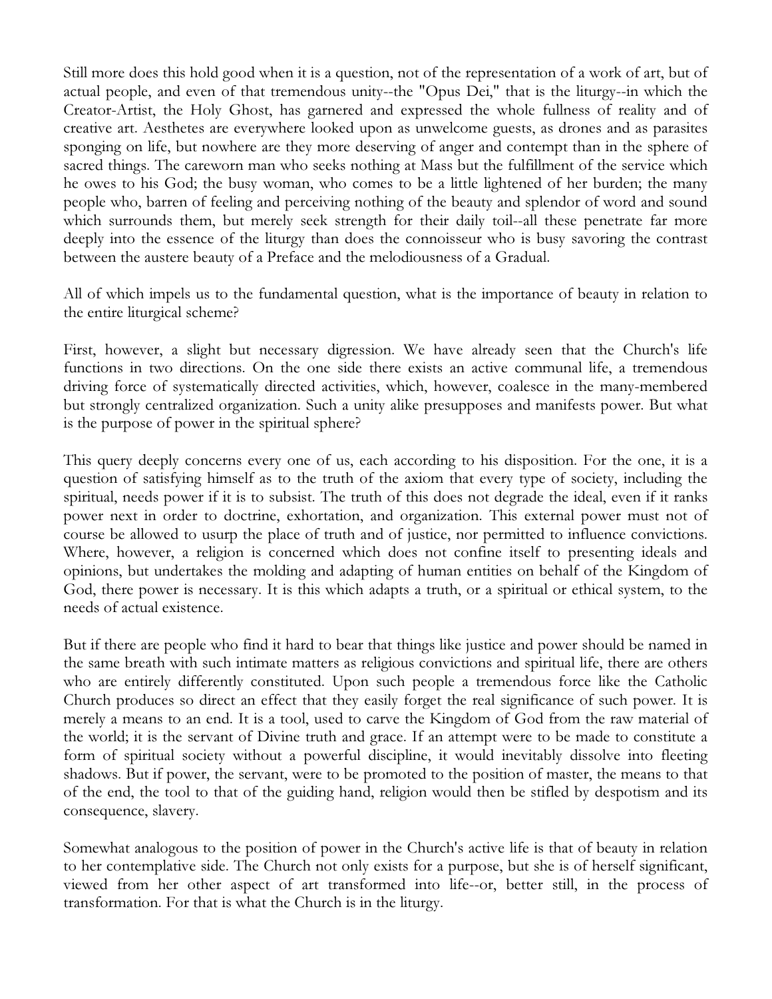Still more does this hold good when it is a question, not of the representation of a work of art, but of actual people, and even of that tremendous unity--the "Opus Dei," that is the liturgy--in which the Creator-Artist, the Holy Ghost, has garnered and expressed the whole fullness of reality and of creative art. Aesthetes are everywhere looked upon as unwelcome guests, as drones and as parasites sponging on life, but nowhere are they more deserving of anger and contempt than in the sphere of sacred things. The careworn man who seeks nothing at Mass but the fulfillment of the service which he owes to his God; the busy woman, who comes to be a little lightened of her burden; the many people who, barren of feeling and perceiving nothing of the beauty and splendor of word and sound which surrounds them, but merely seek strength for their daily toil--all these penetrate far more deeply into the essence of the liturgy than does the connoisseur who is busy savoring the contrast between the austere beauty of a Preface and the melodiousness of a Gradual.

All of which impels us to the fundamental question, what is the importance of beauty in relation to the entire liturgical scheme?

First, however, a slight but necessary digression. We have already seen that the Church's life functions in two directions. On the one side there exists an active communal life, a tremendous driving force of systematically directed activities, which, however, coalesce in the many-membered but strongly centralized organization. Such a unity alike presupposes and manifests power. But what is the purpose of power in the spiritual sphere?

This query deeply concerns every one of us, each according to his disposition. For the one, it is a question of satisfying himself as to the truth of the axiom that every type of society, including the spiritual, needs power if it is to subsist. The truth of this does not degrade the ideal, even if it ranks power next in order to doctrine, exhortation, and organization. This external power must not of course be allowed to usurp the place of truth and of justice, nor permitted to influence convictions. Where, however, a religion is concerned which does not confine itself to presenting ideals and opinions, but undertakes the molding and adapting of human entities on behalf of the Kingdom of God, there power is necessary. It is this which adapts a truth, or a spiritual or ethical system, to the needs of actual existence.

But if there are people who find it hard to bear that things like justice and power should be named in the same breath with such intimate matters as religious convictions and spiritual life, there are others who are entirely differently constituted. Upon such people a tremendous force like the Catholic Church produces so direct an effect that they easily forget the real significance of such power. It is merely a means to an end. It is a tool, used to carve the Kingdom of God from the raw material of the world; it is the servant of Divine truth and grace. If an attempt were to be made to constitute a form of spiritual society without a powerful discipline, it would inevitably dissolve into fleeting shadows. But if power, the servant, were to be promoted to the position of master, the means to that of the end, the tool to that of the guiding hand, religion would then be stifled by despotism and its consequence, slavery.

Somewhat analogous to the position of power in the Church's active life is that of beauty in relation to her contemplative side. The Church not only exists for a purpose, but she is of herself significant, viewed from her other aspect of art transformed into life--or, better still, in the process of transformation. For that is what the Church is in the liturgy.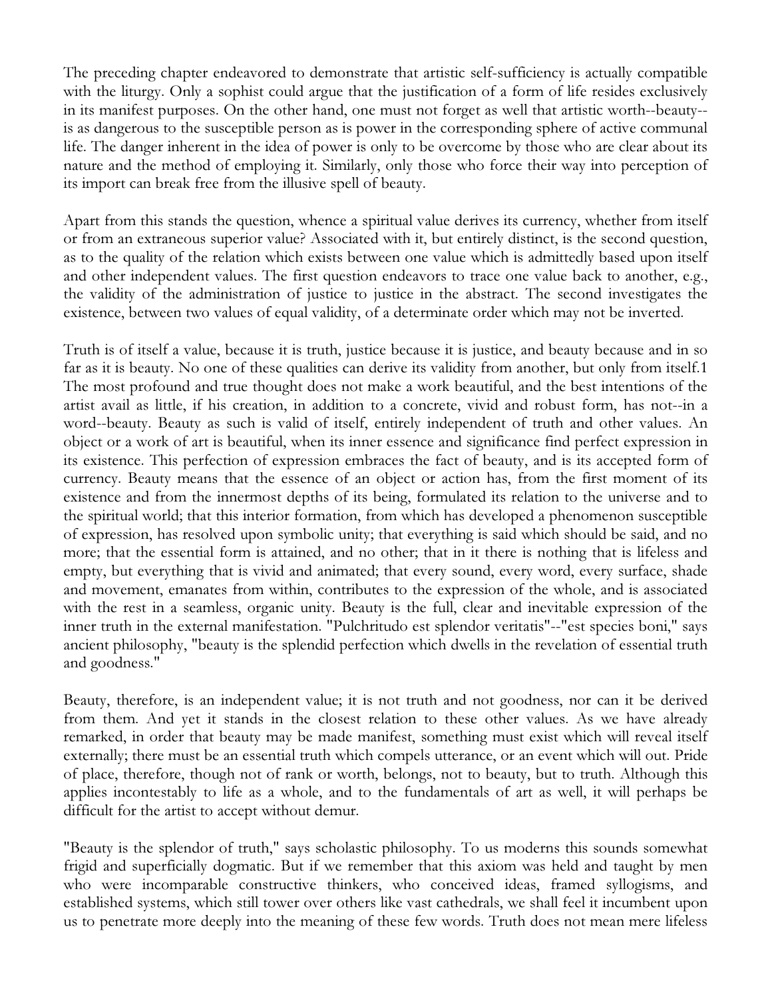The preceding chapter endeavored to demonstrate that artistic self-sufficiency is actually compatible with the liturgy. Only a sophist could argue that the justification of a form of life resides exclusively in its manifest purposes. On the other hand, one must not forget as well that artistic worth--beauty- is as dangerous to the susceptible person as is power in the corresponding sphere of active communal life. The danger inherent in the idea of power is only to be overcome by those who are clear about its nature and the method of employing it. Similarly, only those who force their way into perception of its import can break free from the illusive spell of beauty.

Apart from this stands the question, whence a spiritual value derives its currency, whether from itself or from an extraneous superior value? Associated with it, but entirely distinct, is the second question, as to the quality of the relation which exists between one value which is admittedly based upon itself and other independent values. The first question endeavors to trace one value back to another, e.g., the validity of the administration of justice to justice in the abstract. The second investigates the existence, between two values of equal validity, of a determinate order which may not be inverted.

Truth is of itself a value, because it is truth, justice because it is justice, and beauty because and in so far as it is beauty. No one of these qualities can derive its validity from another, but only from itself.1 The most profound and true thought does not make a work beautiful, and the best intentions of the artist avail as little, if his creation, in addition to a concrete, vivid and robust form, has not--in a word--beauty. Beauty as such is valid of itself, entirely independent of truth and other values. An object or a work of art is beautiful, when its inner essence and significance find perfect expression in its existence. This perfection of expression embraces the fact of beauty, and is its accepted form of currency. Beauty means that the essence of an object or action has, from the first moment of its existence and from the innermost depths of its being, formulated its relation to the universe and to the spiritual world; that this interior formation, from which has developed a phenomenon susceptible of expression, has resolved upon symbolic unity; that everything is said which should be said, and no more; that the essential form is attained, and no other; that in it there is nothing that is lifeless and empty, but everything that is vivid and animated; that every sound, every word, every surface, shade and movement, emanates from within, contributes to the expression of the whole, and is associated with the rest in a seamless, organic unity. Beauty is the full, clear and inevitable expression of the inner truth in the external manifestation. "Pulchritudo est splendor veritatis"--"est species boni," says ancient philosophy, "beauty is the splendid perfection which dwells in the revelation of essential truth and goodness."

Beauty, therefore, is an independent value; it is not truth and not goodness, nor can it be derived from them. And yet it stands in the closest relation to these other values. As we have already remarked, in order that beauty may be made manifest, something must exist which will reveal itself externally; there must be an essential truth which compels utterance, or an event which will out. Pride of place, therefore, though not of rank or worth, belongs, not to beauty, but to truth. Although this applies incontestably to life as a whole, and to the fundamentals of art as well, it will perhaps be difficult for the artist to accept without demur.

"Beauty is the splendor of truth," says scholastic philosophy. To us moderns this sounds somewhat frigid and superficially dogmatic. But if we remember that this axiom was held and taught by men who were incomparable constructive thinkers, who conceived ideas, framed syllogisms, and established systems, which still tower over others like vast cathedrals, we shall feel it incumbent upon us to penetrate more deeply into the meaning of these few words. Truth does not mean mere lifeless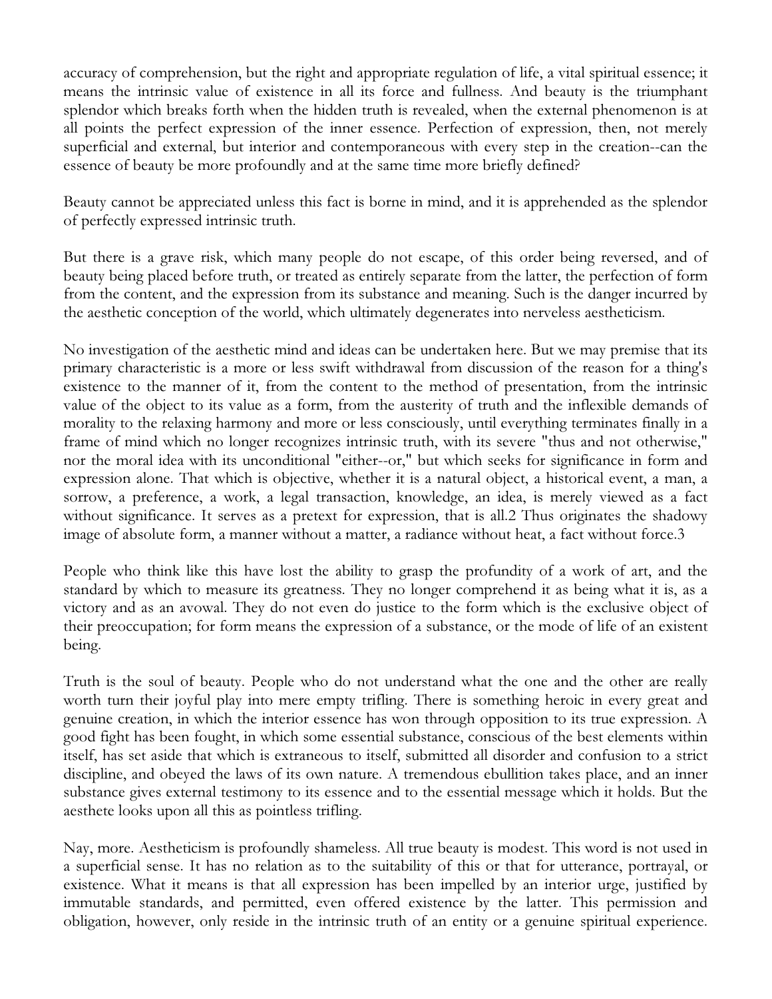accuracy of comprehension, but the right and appropriate regulation of life, a vital spiritual essence; it means the intrinsic value of existence in all its force and fullness. And beauty is the triumphant splendor which breaks forth when the hidden truth is revealed, when the external phenomenon is at all points the perfect expression of the inner essence. Perfection of expression, then, not merely superficial and external, but interior and contemporaneous with every step in the creation--can the essence of beauty be more profoundly and at the same time more briefly defined?

Beauty cannot be appreciated unless this fact is borne in mind, and it is apprehended as the splendor of perfectly expressed intrinsic truth.

But there is a grave risk, which many people do not escape, of this order being reversed, and of beauty being placed before truth, or treated as entirely separate from the latter, the perfection of form from the content, and the expression from its substance and meaning. Such is the danger incurred by the aesthetic conception of the world, which ultimately degenerates into nerveless aestheticism.

No investigation of the aesthetic mind and ideas can be undertaken here. But we may premise that its primary characteristic is a more or less swift withdrawal from discussion of the reason for a thing's existence to the manner of it, from the content to the method of presentation, from the intrinsic value of the object to its value as a form, from the austerity of truth and the inflexible demands of morality to the relaxing harmony and more or less consciously, until everything terminates finally in a frame of mind which no longer recognizes intrinsic truth, with its severe "thus and not otherwise," nor the moral idea with its unconditional "either--or," but which seeks for significance in form and expression alone. That which is objective, whether it is a natural object, a historical event, a man, a sorrow, a preference, a work, a legal transaction, knowledge, an idea, is merely viewed as a fact without significance. It serves as a pretext for expression, that is all.2 Thus originates the shadowy image of absolute form, a manner without a matter, a radiance without heat, a fact without force.3

People who think like this have lost the ability to grasp the profundity of a work of art, and the standard by which to measure its greatness. They no longer comprehend it as being what it is, as a victory and as an avowal. They do not even do justice to the form which is the exclusive object of their preoccupation; for form means the expression of a substance, or the mode of life of an existent being.

Truth is the soul of beauty. People who do not understand what the one and the other are really worth turn their joyful play into mere empty trifling. There is something heroic in every great and genuine creation, in which the interior essence has won through opposition to its true expression. A good fight has been fought, in which some essential substance, conscious of the best elements within itself, has set aside that which is extraneous to itself, submitted all disorder and confusion to a strict discipline, and obeyed the laws of its own nature. A tremendous ebullition takes place, and an inner substance gives external testimony to its essence and to the essential message which it holds. But the aesthete looks upon all this as pointless trifling.

Nay, more. Aestheticism is profoundly shameless. All true beauty is modest. This word is not used in a superficial sense. It has no relation as to the suitability of this or that for utterance, portrayal, or existence. What it means is that all expression has been impelled by an interior urge, justified by immutable standards, and permitted, even offered existence by the latter. This permission and obligation, however, only reside in the intrinsic truth of an entity or a genuine spiritual experience.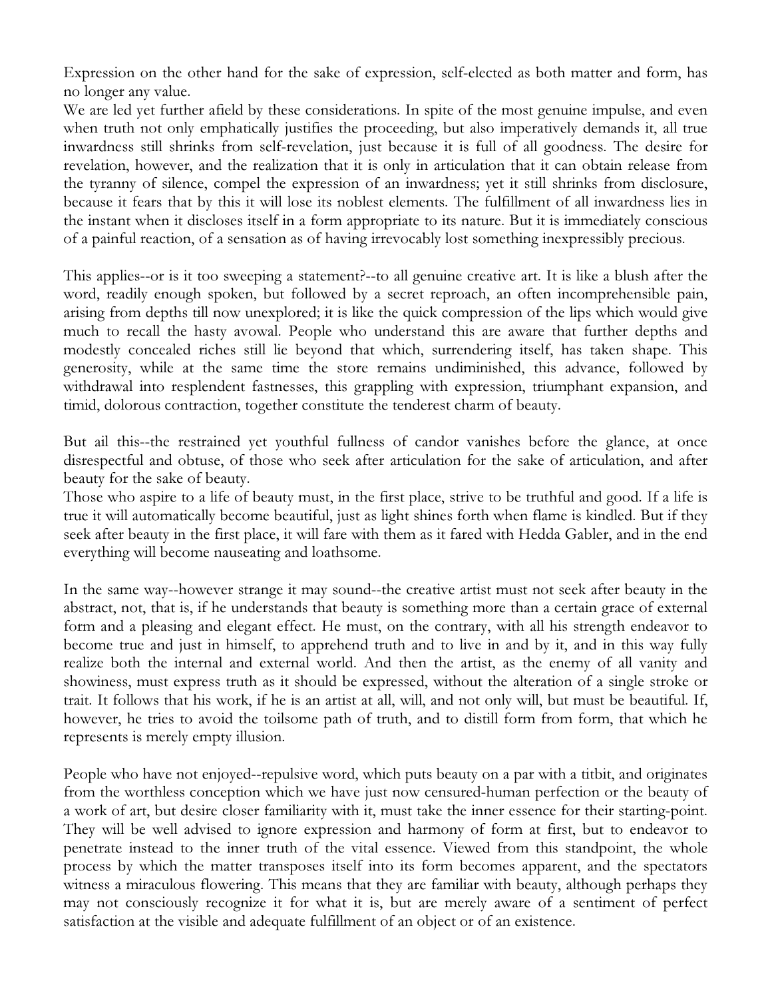Expression on the other hand for the sake of expression, self-elected as both matter and form, has no longer any value.

We are led yet further afield by these considerations. In spite of the most genuine impulse, and even when truth not only emphatically justifies the proceeding, but also imperatively demands it, all true inwardness still shrinks from self-revelation, just because it is full of all goodness. The desire for revelation, however, and the realization that it is only in articulation that it can obtain release from the tyranny of silence, compel the expression of an inwardness; yet it still shrinks from disclosure, because it fears that by this it will lose its noblest elements. The fulfillment of all inwardness lies in the instant when it discloses itself in a form appropriate to its nature. But it is immediately conscious of a painful reaction, of a sensation as of having irrevocably lost something inexpressibly precious.

This applies--or is it too sweeping a statement?--to all genuine creative art. It is like a blush after the word, readily enough spoken, but followed by a secret reproach, an often incomprehensible pain, arising from depths till now unexplored; it is like the quick compression of the lips which would give much to recall the hasty avowal. People who understand this are aware that further depths and modestly concealed riches still lie beyond that which, surrendering itself, has taken shape. This generosity, while at the same time the store remains undiminished, this advance, followed by withdrawal into resplendent fastnesses, this grappling with expression, triumphant expansion, and timid, dolorous contraction, together constitute the tenderest charm of beauty.

But ail this--the restrained yet youthful fullness of candor vanishes before the glance, at once disrespectful and obtuse, of those who seek after articulation for the sake of articulation, and after beauty for the sake of beauty.

Those who aspire to a life of beauty must, in the first place, strive to be truthful and good. If a life is true it will automatically become beautiful, just as light shines forth when flame is kindled. But if they seek after beauty in the first place, it will fare with them as it fared with Hedda Gabler, and in the end everything will become nauseating and loathsome.

In the same way--however strange it may sound--the creative artist must not seek after beauty in the abstract, not, that is, if he understands that beauty is something more than a certain grace of external form and a pleasing and elegant effect. He must, on the contrary, with all his strength endeavor to become true and just in himself, to apprehend truth and to live in and by it, and in this way fully realize both the internal and external world. And then the artist, as the enemy of all vanity and showiness, must express truth as it should be expressed, without the alteration of a single stroke or trait. It follows that his work, if he is an artist at all, will, and not only will, but must be beautiful. If, however, he tries to avoid the toilsome path of truth, and to distill form from form, that which he represents is merely empty illusion.

People who have not enjoyed--repulsive word, which puts beauty on a par with a titbit, and originates from the worthless conception which we have just now censured-human perfection or the beauty of a work of art, but desire closer familiarity with it, must take the inner essence for their starting-point. They will be well advised to ignore expression and harmony of form at first, but to endeavor to penetrate instead to the inner truth of the vital essence. Viewed from this standpoint, the whole process by which the matter transposes itself into its form becomes apparent, and the spectators witness a miraculous flowering. This means that they are familiar with beauty, although perhaps they may not consciously recognize it for what it is, but are merely aware of a sentiment of perfect satisfaction at the visible and adequate fulfillment of an object or of an existence.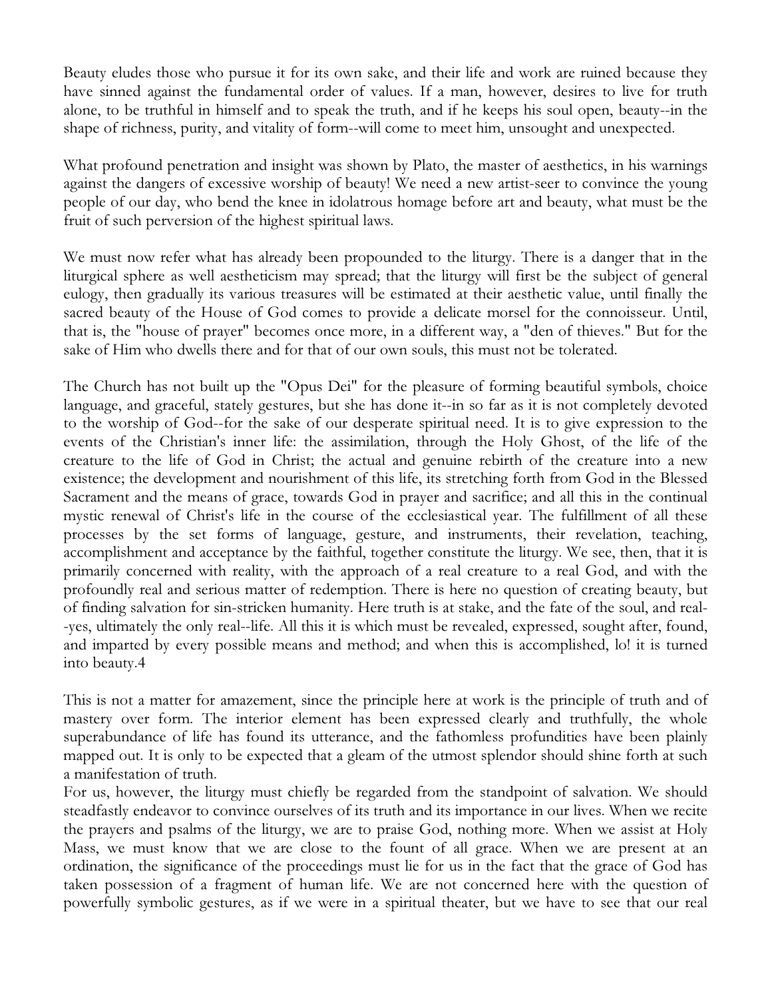Beauty eludes those who pursue it for its own sake, and their life and work are ruined because they have sinned against the fundamental order of values. If a man, however, desires to live for truth alone, to be truthful in himself and to speak the truth, and if he keeps his soul open, beauty--in the shape of richness, purity, and vitality of form--will come to meet him, unsought and unexpected.

What profound penetration and insight was shown by Plato, the master of aesthetics, in his warnings against the dangers of excessive worship of beauty! We need a new artist-seer to convince the young people of our day, who bend the knee in idolatrous homage before art and beauty, what must be the fruit of such perversion of the highest spiritual laws.

We must now refer what has already been propounded to the liturgy. There is a danger that in the liturgical sphere as well aestheticism may spread; that the liturgy will first be the subject of general eulogy, then gradually its various treasures will be estimated at their aesthetic value, until finally the sacred beauty of the House of God comes to provide a delicate morsel for the connoisseur. Until, that is, the "house of prayer" becomes once more, in a different way, a "den of thieves." But for the sake of Him who dwells there and for that of our own souls, this must not be tolerated.

The Church has not built up the "Opus Dei" for the pleasure of forming beautiful symbols, choice language, and graceful, stately gestures, but she has done it--in so far as it is not completely devoted to the worship of God--for the sake of our desperate spiritual need. It is to give expression to the events of the Christian's inner life: the assimilation, through the Holy Ghost, of the life of the creature to the life of God in Christ; the actual and genuine rebirth of the creature into a new existence; the development and nourishment of this life, its stretching forth from God in the Blessed Sacrament and the means of grace, towards God in prayer and sacrifice; and all this in the continual mystic renewal of Christ's life in the course of the ecclesiastical year. The fulfillment of all these processes by the set forms of language, gesture, and instruments, their revelation, teaching, accomplishment and acceptance by the faithful, together constitute the liturgy. We see, then, that it is primarily concerned with reality, with the approach of a real creature to a real God, and with the profoundly real and serious matter of redemption. There is here no question of creating beauty, but of finding salvation for sin-stricken humanity. Here truth is at stake, and the fate of the soul, and real- -yes, ultimately the only real--life. All this it is which must be revealed, expressed, sought after, found, and imparted by every possible means and method; and when this is accomplished, lo! it is turned into beauty.4

This is not a matter for amazement, since the principle here at work is the principle of truth and of mastery over form. The interior element has been expressed clearly and truthfully, the whole superabundance of life has found its utterance, and the fathomless profundities have been plainly mapped out. It is only to be expected that a gleam of the utmost splendor should shine forth at such a manifestation of truth.

For us, however, the liturgy must chiefly be regarded from the standpoint of salvation. We should steadfastly endeavor to convince ourselves of its truth and its importance in our lives. When we recite the prayers and psalms of the liturgy, we are to praise God, nothing more. When we assist at Holy Mass, we must know that we are close to the fount of all grace. When we are present at an ordination, the significance of the proceedings must lie for us in the fact that the grace of God has taken possession of a fragment of human life. We are not concerned here with the question of powerfully symbolic gestures, as if we were in a spiritual theater, but we have to see that our real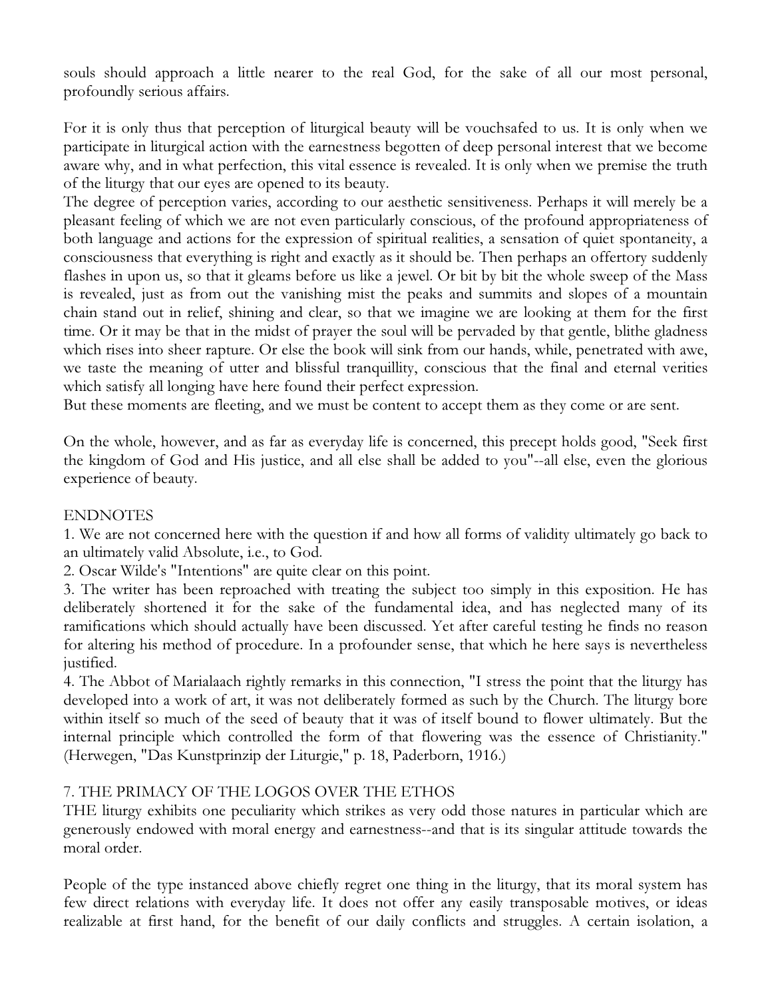souls should approach a little nearer to the real God, for the sake of all our most personal, profoundly serious affairs.

For it is only thus that perception of liturgical beauty will be vouchsafed to us. It is only when we participate in liturgical action with the earnestness begotten of deep personal interest that we become aware why, and in what perfection, this vital essence is revealed. It is only when we premise the truth of the liturgy that our eyes are opened to its beauty.

The degree of perception varies, according to our aesthetic sensitiveness. Perhaps it will merely be a pleasant feeling of which we are not even particularly conscious, of the profound appropriateness of both language and actions for the expression of spiritual realities, a sensation of quiet spontaneity, a consciousness that everything is right and exactly as it should be. Then perhaps an offertory suddenly flashes in upon us, so that it gleams before us like a jewel. Or bit by bit the whole sweep of the Mass is revealed, just as from out the vanishing mist the peaks and summits and slopes of a mountain chain stand out in relief, shining and clear, so that we imagine we are looking at them for the first time. Or it may be that in the midst of prayer the soul will be pervaded by that gentle, blithe gladness which rises into sheer rapture. Or else the book will sink from our hands, while, penetrated with awe, we taste the meaning of utter and blissful tranquillity, conscious that the final and eternal verities which satisfy all longing have here found their perfect expression.

But these moments are fleeting, and we must be content to accept them as they come or are sent.

On the whole, however, and as far as everyday life is concerned, this precept holds good, "Seek first the kingdom of God and His justice, and all else shall be added to you"--all else, even the glorious experience of beauty.

#### ENDNOTES

1. We are not concerned here with the question if and how all forms of validity ultimately go back to an ultimately valid Absolute, i.e., to God.

2. Oscar Wilde's "Intentions" are quite clear on this point.

3. The writer has been reproached with treating the subject too simply in this exposition. He has deliberately shortened it for the sake of the fundamental idea, and has neglected many of its ramifications which should actually have been discussed. Yet after careful testing he finds no reason for altering his method of procedure. In a profounder sense, that which he here says is nevertheless justified.

4. The Abbot of Marialaach rightly remarks in this connection, "I stress the point that the liturgy has developed into a work of art, it was not deliberately formed as such by the Church. The liturgy bore within itself so much of the seed of beauty that it was of itself bound to flower ultimately. But the internal principle which controlled the form of that flowering was the essence of Christianity." (Herwegen, "Das Kunstprinzip der Liturgie," p. 18, Paderborn, 1916.)

# 7. THE PRIMACY OF THE LOGOS OVER THE ETHOS

THE liturgy exhibits one peculiarity which strikes as very odd those natures in particular which are generously endowed with moral energy and earnestness--and that is its singular attitude towards the moral order.

People of the type instanced above chiefly regret one thing in the liturgy, that its moral system has few direct relations with everyday life. It does not offer any easily transposable motives, or ideas realizable at first hand, for the benefit of our daily conflicts and struggles. A certain isolation, a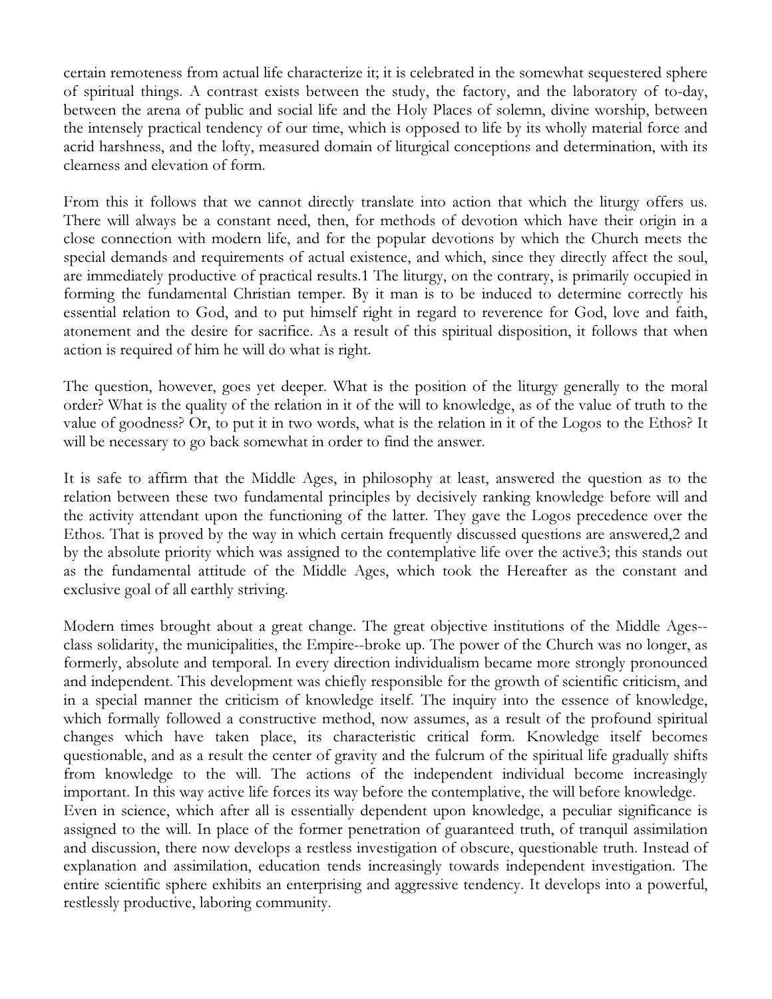certain remoteness from actual life characterize it; it is celebrated in the somewhat sequestered sphere of spiritual things. A contrast exists between the study, the factory, and the laboratory of to-day, between the arena of public and social life and the Holy Places of solemn, divine worship, between the intensely practical tendency of our time, which is opposed to life by its wholly material force and acrid harshness, and the lofty, measured domain of liturgical conceptions and determination, with its clearness and elevation of form.

From this it follows that we cannot directly translate into action that which the liturgy offers us. There will always be a constant need, then, for methods of devotion which have their origin in a close connection with modern life, and for the popular devotions by which the Church meets the special demands and requirements of actual existence, and which, since they directly affect the soul, are immediately productive of practical results.1 The liturgy, on the contrary, is primarily occupied in forming the fundamental Christian temper. By it man is to be induced to determine correctly his essential relation to God, and to put himself right in regard to reverence for God, love and faith, atonement and the desire for sacrifice. As a result of this spiritual disposition, it follows that when action is required of him he will do what is right.

The question, however, goes yet deeper. What is the position of the liturgy generally to the moral order? What is the quality of the relation in it of the will to knowledge, as of the value of truth to the value of goodness? Or, to put it in two words, what is the relation in it of the Logos to the Ethos? It will be necessary to go back somewhat in order to find the answer.

It is safe to affirm that the Middle Ages, in philosophy at least, answered the question as to the relation between these two fundamental principles by decisively ranking knowledge before will and the activity attendant upon the functioning of the latter. They gave the Logos precedence over the Ethos. That is proved by the way in which certain frequently discussed questions are answered,2 and by the absolute priority which was assigned to the contemplative life over the active3; this stands out as the fundamental attitude of the Middle Ages, which took the Hereafter as the constant and exclusive goal of all earthly striving.

Modern times brought about a great change. The great objective institutions of the Middle Ages- class solidarity, the municipalities, the Empire--broke up. The power of the Church was no longer, as formerly, absolute and temporal. In every direction individualism became more strongly pronounced and independent. This development was chiefly responsible for the growth of scientific criticism, and in a special manner the criticism of knowledge itself. The inquiry into the essence of knowledge, which formally followed a constructive method, now assumes, as a result of the profound spiritual changes which have taken place, its characteristic critical form. Knowledge itself becomes questionable, and as a result the center of gravity and the fulcrum of the spiritual life gradually shifts from knowledge to the will. The actions of the independent individual become increasingly important. In this way active life forces its way before the contemplative, the will before knowledge. Even in science, which after all is essentially dependent upon knowledge, a peculiar significance is assigned to the will. In place of the former penetration of guaranteed truth, of tranquil assimilation and discussion, there now develops a restless investigation of obscure, questionable truth. Instead of explanation and assimilation, education tends increasingly towards independent investigation. The entire scientific sphere exhibits an enterprising and aggressive tendency. It develops into a powerful, restlessly productive, laboring community.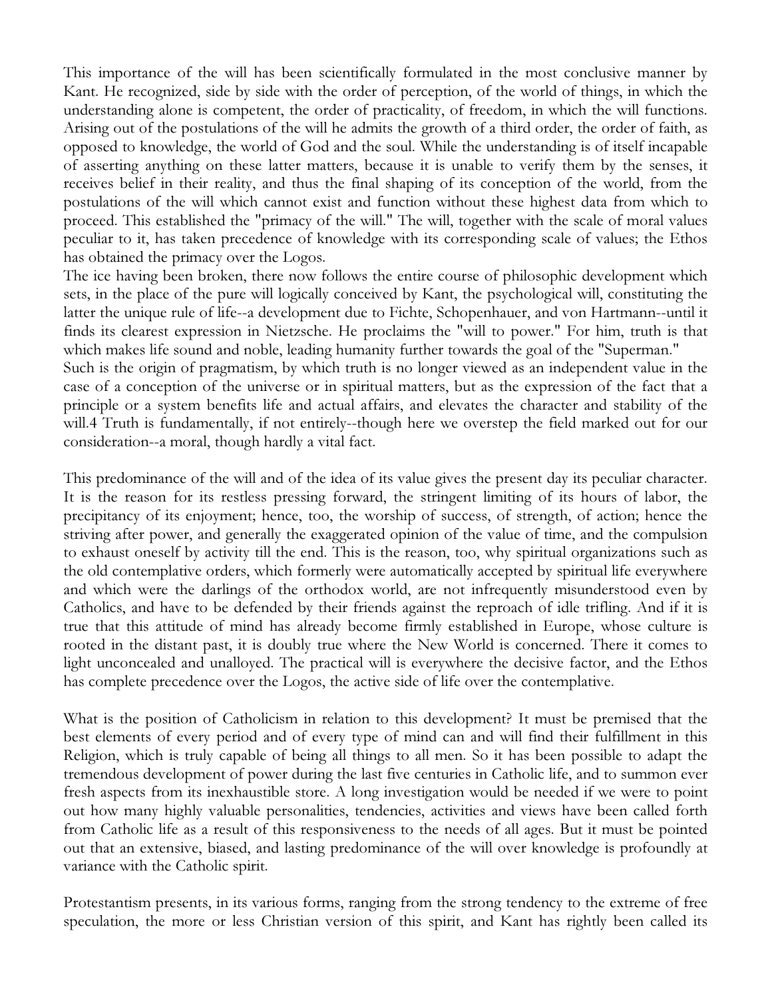This importance of the will has been scientifically formulated in the most conclusive manner by Kant. He recognized, side by side with the order of perception, of the world of things, in which the understanding alone is competent, the order of practicality, of freedom, in which the will functions. Arising out of the postulations of the will he admits the growth of a third order, the order of faith, as opposed to knowledge, the world of God and the soul. While the understanding is of itself incapable of asserting anything on these latter matters, because it is unable to verify them by the senses, it receives belief in their reality, and thus the final shaping of its conception of the world, from the postulations of the will which cannot exist and function without these highest data from which to proceed. This established the "primacy of the will." The will, together with the scale of moral values peculiar to it, has taken precedence of knowledge with its corresponding scale of values; the Ethos has obtained the primacy over the Logos.

The ice having been broken, there now follows the entire course of philosophic development which sets, in the place of the pure will logically conceived by Kant, the psychological will, constituting the latter the unique rule of life--a development due to Fichte, Schopenhauer, and von Hartmann--until it finds its clearest expression in Nietzsche. He proclaims the "will to power." For him, truth is that which makes life sound and noble, leading humanity further towards the goal of the "Superman." Such is the origin of pragmatism, by which truth is no longer viewed as an independent value in the case of a conception of the universe or in spiritual matters, but as the expression of the fact that a principle or a system benefits life and actual affairs, and elevates the character and stability of the will.4 Truth is fundamentally, if not entirely--though here we overstep the field marked out for our consideration--a moral, though hardly a vital fact.

This predominance of the will and of the idea of its value gives the present day its peculiar character. It is the reason for its restless pressing forward, the stringent limiting of its hours of labor, the precipitancy of its enjoyment; hence, too, the worship of success, of strength, of action; hence the striving after power, and generally the exaggerated opinion of the value of time, and the compulsion to exhaust oneself by activity till the end. This is the reason, too, why spiritual organizations such as the old contemplative orders, which formerly were automatically accepted by spiritual life everywhere and which were the darlings of the orthodox world, are not infrequently misunderstood even by Catholics, and have to be defended by their friends against the reproach of idle trifling. And if it is true that this attitude of mind has already become firmly established in Europe, whose culture is rooted in the distant past, it is doubly true where the New World is concerned. There it comes to light unconcealed and unalloyed. The practical will is everywhere the decisive factor, and the Ethos has complete precedence over the Logos, the active side of life over the contemplative.

What is the position of Catholicism in relation to this development? It must be premised that the best elements of every period and of every type of mind can and will find their fulfillment in this Religion, which is truly capable of being all things to all men. So it has been possible to adapt the tremendous development of power during the last five centuries in Catholic life, and to summon ever fresh aspects from its inexhaustible store. A long investigation would be needed if we were to point out how many highly valuable personalities, tendencies, activities and views have been called forth from Catholic life as a result of this responsiveness to the needs of all ages. But it must be pointed out that an extensive, biased, and lasting predominance of the will over knowledge is profoundly at variance with the Catholic spirit.

Protestantism presents, in its various forms, ranging from the strong tendency to the extreme of free speculation, the more or less Christian version of this spirit, and Kant has rightly been called its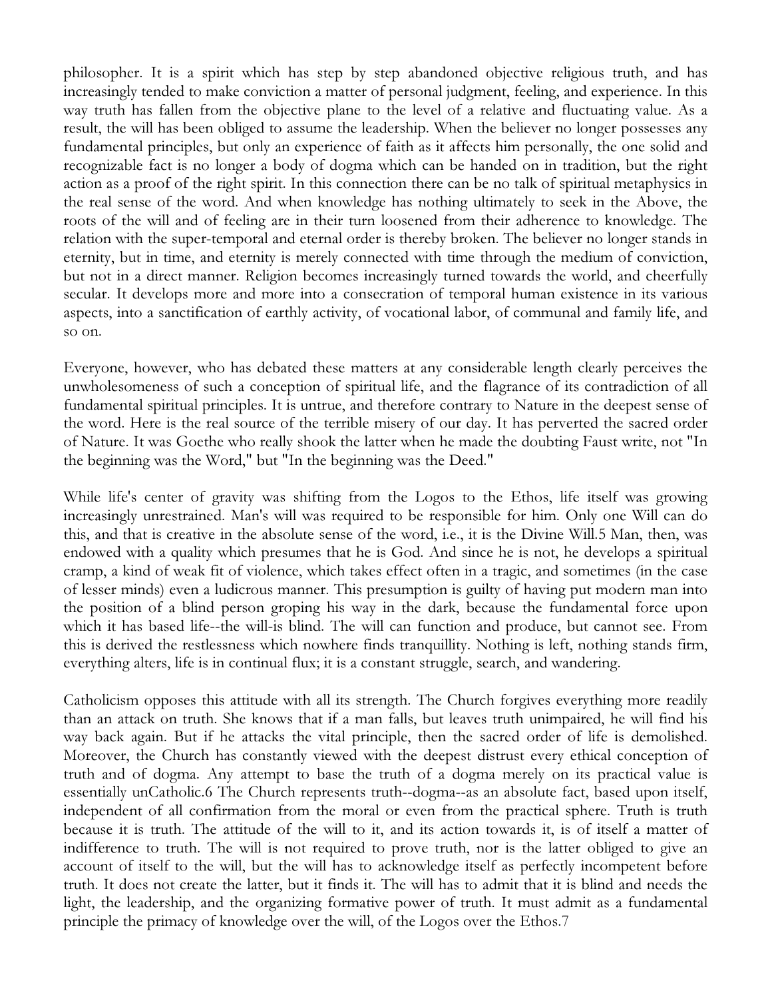philosopher. It is a spirit which has step by step abandoned objective religious truth, and has increasingly tended to make conviction a matter of personal judgment, feeling, and experience. In this way truth has fallen from the objective plane to the level of a relative and fluctuating value. As a result, the will has been obliged to assume the leadership. When the believer no longer possesses any fundamental principles, but only an experience of faith as it affects him personally, the one solid and recognizable fact is no longer a body of dogma which can be handed on in tradition, but the right action as a proof of the right spirit. In this connection there can be no talk of spiritual metaphysics in the real sense of the word. And when knowledge has nothing ultimately to seek in the Above, the roots of the will and of feeling are in their turn loosened from their adherence to knowledge. The relation with the super-temporal and eternal order is thereby broken. The believer no longer stands in eternity, but in time, and eternity is merely connected with time through the medium of conviction, but not in a direct manner. Religion becomes increasingly turned towards the world, and cheerfully secular. It develops more and more into a consecration of temporal human existence in its various aspects, into a sanctification of earthly activity, of vocational labor, of communal and family life, and so on.

Everyone, however, who has debated these matters at any considerable length clearly perceives the unwholesomeness of such a conception of spiritual life, and the flagrance of its contradiction of all fundamental spiritual principles. It is untrue, and therefore contrary to Nature in the deepest sense of the word. Here is the real source of the terrible misery of our day. It has perverted the sacred order of Nature. It was Goethe who really shook the latter when he made the doubting Faust write, not "In the beginning was the Word," but "In the beginning was the Deed."

While life's center of gravity was shifting from the Logos to the Ethos, life itself was growing increasingly unrestrained. Man's will was required to be responsible for him. Only one Will can do this, and that is creative in the absolute sense of the word, i.e., it is the Divine Will.5 Man, then, was endowed with a quality which presumes that he is God. And since he is not, he develops a spiritual cramp, a kind of weak fit of violence, which takes effect often in a tragic, and sometimes (in the case of lesser minds) even a ludicrous manner. This presumption is guilty of having put modern man into the position of a blind person groping his way in the dark, because the fundamental force upon which it has based life--the will-is blind. The will can function and produce, but cannot see. From this is derived the restlessness which nowhere finds tranquillity. Nothing is left, nothing stands firm, everything alters, life is in continual flux; it is a constant struggle, search, and wandering.

Catholicism opposes this attitude with all its strength. The Church forgives everything more readily than an attack on truth. She knows that if a man falls, but leaves truth unimpaired, he will find his way back again. But if he attacks the vital principle, then the sacred order of life is demolished. Moreover, the Church has constantly viewed with the deepest distrust every ethical conception of truth and of dogma. Any attempt to base the truth of a dogma merely on its practical value is essentially unCatholic.6 The Church represents truth--dogma--as an absolute fact, based upon itself, independent of all confirmation from the moral or even from the practical sphere. Truth is truth because it is truth. The attitude of the will to it, and its action towards it, is of itself a matter of indifference to truth. The will is not required to prove truth, nor is the latter obliged to give an account of itself to the will, but the will has to acknowledge itself as perfectly incompetent before truth. It does not create the latter, but it finds it. The will has to admit that it is blind and needs the light, the leadership, and the organizing formative power of truth. It must admit as a fundamental principle the primacy of knowledge over the will, of the Logos over the Ethos.7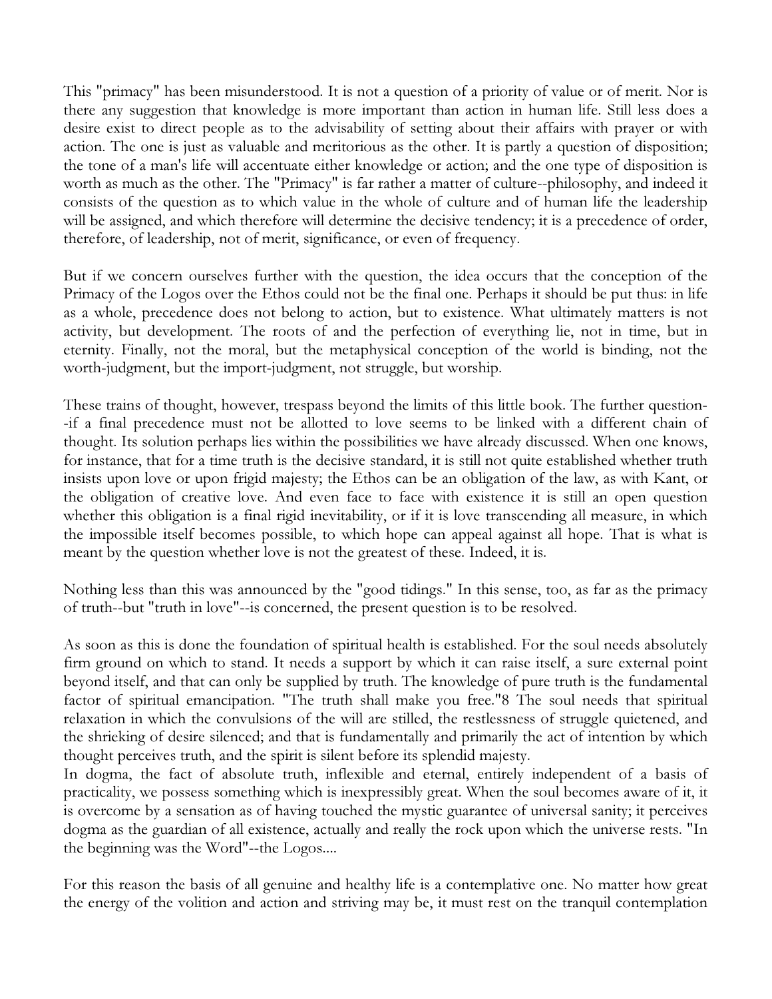This "primacy" has been misunderstood. It is not a question of a priority of value or of merit. Nor is there any suggestion that knowledge is more important than action in human life. Still less does a desire exist to direct people as to the advisability of setting about their affairs with prayer or with action. The one is just as valuable and meritorious as the other. It is partly a question of disposition; the tone of a man's life will accentuate either knowledge or action; and the one type of disposition is worth as much as the other. The "Primacy" is far rather a matter of culture--philosophy, and indeed it consists of the question as to which value in the whole of culture and of human life the leadership will be assigned, and which therefore will determine the decisive tendency; it is a precedence of order, therefore, of leadership, not of merit, significance, or even of frequency.

But if we concern ourselves further with the question, the idea occurs that the conception of the Primacy of the Logos over the Ethos could not be the final one. Perhaps it should be put thus: in life as a whole, precedence does not belong to action, but to existence. What ultimately matters is not activity, but development. The roots of and the perfection of everything lie, not in time, but in eternity. Finally, not the moral, but the metaphysical conception of the world is binding, not the worth-judgment, but the import-judgment, not struggle, but worship.

These trains of thought, however, trespass beyond the limits of this little book. The further question- -if a final precedence must not be allotted to love seems to be linked with a different chain of thought. Its solution perhaps lies within the possibilities we have already discussed. When one knows, for instance, that for a time truth is the decisive standard, it is still not quite established whether truth insists upon love or upon frigid majesty; the Ethos can be an obligation of the law, as with Kant, or the obligation of creative love. And even face to face with existence it is still an open question whether this obligation is a final rigid inevitability, or if it is love transcending all measure, in which the impossible itself becomes possible, to which hope can appeal against all hope. That is what is meant by the question whether love is not the greatest of these. Indeed, it is.

Nothing less than this was announced by the "good tidings." In this sense, too, as far as the primacy of truth--but "truth in love"--is concerned, the present question is to be resolved.

As soon as this is done the foundation of spiritual health is established. For the soul needs absolutely firm ground on which to stand. It needs a support by which it can raise itself, a sure external point beyond itself, and that can only be supplied by truth. The knowledge of pure truth is the fundamental factor of spiritual emancipation. "The truth shall make you free."8 The soul needs that spiritual relaxation in which the convulsions of the will are stilled, the restlessness of struggle quietened, and the shrieking of desire silenced; and that is fundamentally and primarily the act of intention by which thought perceives truth, and the spirit is silent before its splendid majesty.

In dogma, the fact of absolute truth, inflexible and eternal, entirely independent of a basis of practicality, we possess something which is inexpressibly great. When the soul becomes aware of it, it is overcome by a sensation as of having touched the mystic guarantee of universal sanity; it perceives dogma as the guardian of all existence, actually and really the rock upon which the universe rests. "In the beginning was the Word"--the Logos....

For this reason the basis of all genuine and healthy life is a contemplative one. No matter how great the energy of the volition and action and striving may be, it must rest on the tranquil contemplation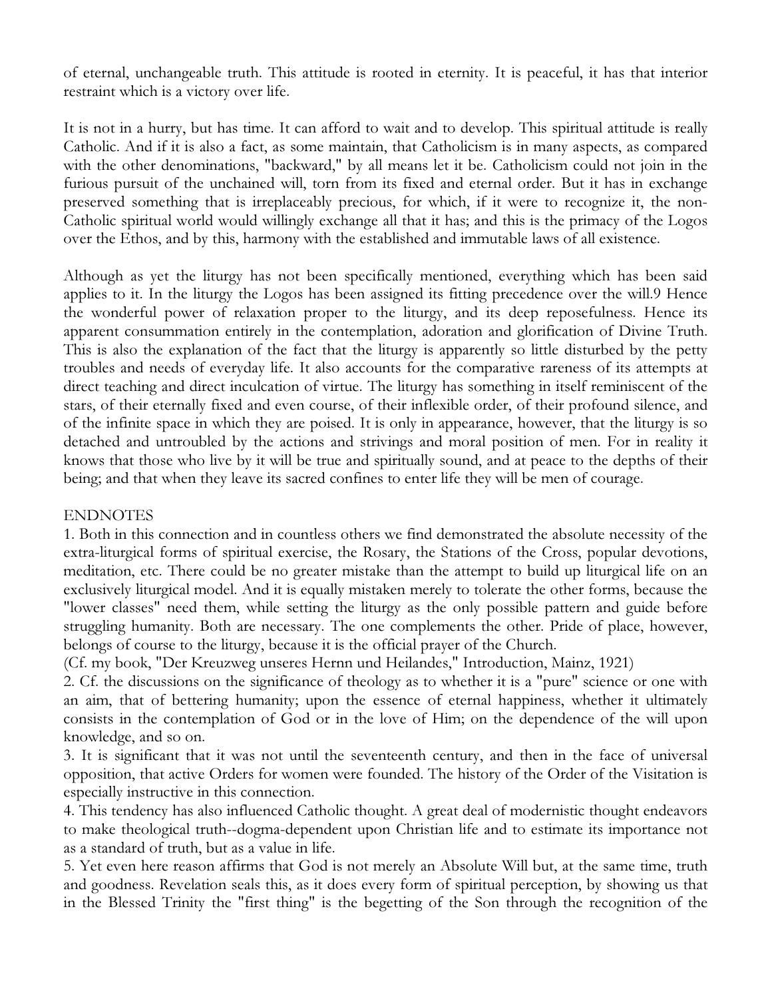of eternal, unchangeable truth. This attitude is rooted in eternity. It is peaceful, it has that interior restraint which is a victory over life.

It is not in a hurry, but has time. It can afford to wait and to develop. This spiritual attitude is really Catholic. And if it is also a fact, as some maintain, that Catholicism is in many aspects, as compared with the other denominations, "backward," by all means let it be. Catholicism could not join in the furious pursuit of the unchained will, torn from its fixed and eternal order. But it has in exchange preserved something that is irreplaceably precious, for which, if it were to recognize it, the non-Catholic spiritual world would willingly exchange all that it has; and this is the primacy of the Logos over the Ethos, and by this, harmony with the established and immutable laws of all existence.

Although as yet the liturgy has not been specifically mentioned, everything which has been said applies to it. In the liturgy the Logos has been assigned its fitting precedence over the will.9 Hence the wonderful power of relaxation proper to the liturgy, and its deep reposefulness. Hence its apparent consummation entirely in the contemplation, adoration and glorification of Divine Truth. This is also the explanation of the fact that the liturgy is apparently so little disturbed by the petty troubles and needs of everyday life. It also accounts for the comparative rareness of its attempts at direct teaching and direct inculcation of virtue. The liturgy has something in itself reminiscent of the stars, of their eternally fixed and even course, of their inflexible order, of their profound silence, and of the infinite space in which they are poised. It is only in appearance, however, that the liturgy is so detached and untroubled by the actions and strivings and moral position of men. For in reality it knows that those who live by it will be true and spiritually sound, and at peace to the depths of their being; and that when they leave its sacred confines to enter life they will be men of courage.

#### ENDNOTES

1. Both in this connection and in countless others we find demonstrated the absolute necessity of the extra-liturgical forms of spiritual exercise, the Rosary, the Stations of the Cross, popular devotions, meditation, etc. There could be no greater mistake than the attempt to build up liturgical life on an exclusively liturgical model. And it is equally mistaken merely to tolerate the other forms, because the "lower classes" need them, while setting the liturgy as the only possible pattern and guide before struggling humanity. Both are necessary. The one complements the other. Pride of place, however, belongs of course to the liturgy, because it is the official prayer of the Church.

(Cf. my book, "Der Kreuzweg unseres Hernn und Heilandes," Introduction, Mainz, 1921)

2. Cf. the discussions on the significance of theology as to whether it is a "pure" science or one with an aim, that of bettering humanity; upon the essence of eternal happiness, whether it ultimately consists in the contemplation of God or in the love of Him; on the dependence of the will upon knowledge, and so on.

3. It is significant that it was not until the seventeenth century, and then in the face of universal opposition, that active Orders for women were founded. The history of the Order of the Visitation is especially instructive in this connection.

4. This tendency has also influenced Catholic thought. A great deal of modernistic thought endeavors to make theological truth--dogma-dependent upon Christian life and to estimate its importance not as a standard of truth, but as a value in life.

5. Yet even here reason affirms that God is not merely an Absolute Will but, at the same time, truth and goodness. Revelation seals this, as it does every form of spiritual perception, by showing us that in the Blessed Trinity the "first thing" is the begetting of the Son through the recognition of the